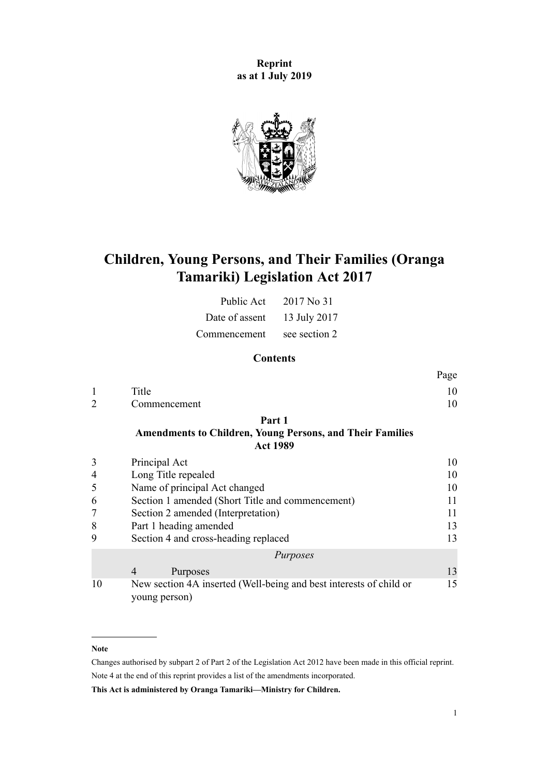**Reprint as at 1 July 2019**



# **Children, Young Persons, and Their Families (Oranga Tamariki) Legislation Act 2017**

| Public Act     | 2017 No 31    |
|----------------|---------------|
| Date of assent | 13 July 2017  |
| Commencement   | see section 2 |

# **Contents**

|   |              | Page |
|---|--------------|------|
| 1 | Title        | 10   |
| 2 | Commencement | 10   |
|   |              |      |

# **[Part 1](#page-9-0)**

#### **[Amendments to Children, Young Persons, and Their Families](#page-9-0) [Act 1989](#page-9-0)**

|                | Principal Act                                                                       | 10 |
|----------------|-------------------------------------------------------------------------------------|----|
| $\overline{4}$ | Long Title repealed                                                                 | 10 |
| 5              | Name of principal Act changed                                                       | 10 |
| 6              | Section 1 amended (Short Title and commencement)                                    |    |
|                | Section 2 amended (Interpretation)                                                  | 11 |
| 8              | Part 1 heading amended                                                              | 13 |
| 9              | Section 4 and cross-heading replaced                                                | 13 |
|                | Purposes                                                                            |    |
|                | Purposes<br>$\overline{4}$                                                          | 13 |
| 10             | New section 4A inserted (Well-being and best interests of child or<br>young person) | 15 |

#### **Note**

Changes authorised by [subpart 2](http://legislation.govt.nz/pdflink.aspx?id=DLM2998524) of Part 2 of the Legislation Act 2012 have been made in this official reprint. Note 4 at the end of this reprint provides a list of the amendments incorporated.

**This Act is administered by Oranga Tamariki—Ministry for Children.**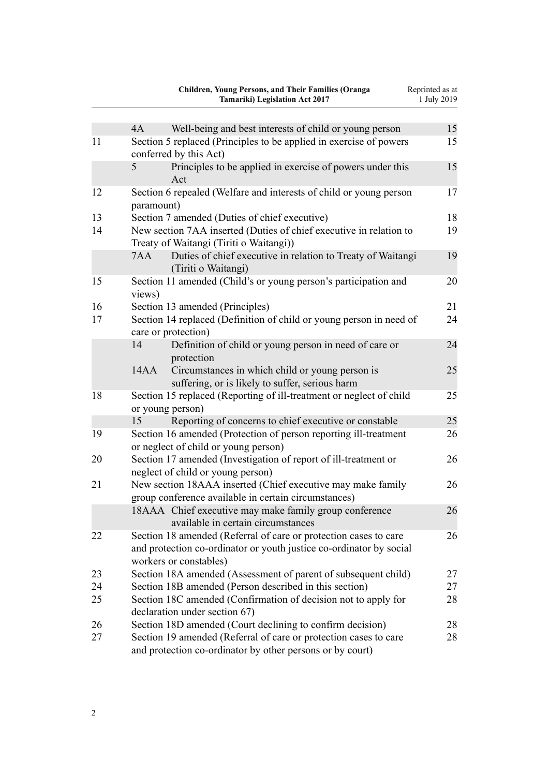|    | <b>Children, Young Persons, and Their Families (Oranga</b><br><b>Tamariki)</b> Legislation Act 2017                                                               | Reprinted as at<br>1 July 2019 |
|----|-------------------------------------------------------------------------------------------------------------------------------------------------------------------|--------------------------------|
|    | 4A<br>Well-being and best interests of child or young person                                                                                                      | 15                             |
| 11 | Section 5 replaced (Principles to be applied in exercise of powers<br>conferred by this Act)                                                                      | 15                             |
|    | 5<br>Principles to be applied in exercise of powers under this<br>Act                                                                                             | 15                             |
| 12 | Section 6 repealed (Welfare and interests of child or young person<br>paramount)                                                                                  | 17                             |
| 13 | Section 7 amended (Duties of chief executive)                                                                                                                     | 18                             |
| 14 | New section 7AA inserted (Duties of chief executive in relation to<br>Treaty of Waitangi (Tiriti o Waitangi))                                                     | 19                             |
|    | Duties of chief executive in relation to Treaty of Waitangi<br>7AA<br>(Tiriti o Waitangi)                                                                         | 19                             |
| 15 | Section 11 amended (Child's or young person's participation and<br>views)                                                                                         | 20                             |
| 16 | Section 13 amended (Principles)                                                                                                                                   | 21                             |
| 17 | Section 14 replaced (Definition of child or young person in need of<br>care or protection)                                                                        | 24                             |
|    | 14<br>Definition of child or young person in need of care or<br>protection                                                                                        | 24                             |
|    | Circumstances in which child or young person is<br>14AA<br>suffering, or is likely to suffer, serious harm                                                        | 25                             |
| 18 | Section 15 replaced (Reporting of ill-treatment or neglect of child<br>or young person)                                                                           | 25                             |
|    | 15<br>Reporting of concerns to chief executive or constable                                                                                                       | 25                             |
| 19 | Section 16 amended (Protection of person reporting ill-treatment<br>or neglect of child or young person)                                                          | 26                             |
| 20 | Section 17 amended (Investigation of report of ill-treatment or<br>neglect of child or young person)                                                              | 26                             |
| 21 | New section 18AAA inserted (Chief executive may make family<br>group conference available in certain circumstances)                                               | 26                             |
|    | 18AAA Chief executive may make family group conference<br>available in certain circumstances                                                                      | 26                             |
| 22 | Section 18 amended (Referral of care or protection cases to care<br>and protection co-ordinator or youth justice co-ordinator by social<br>workers or constables) | 26                             |
| 23 | Section 18A amended (Assessment of parent of subsequent child)                                                                                                    | 27                             |
| 24 | Section 18B amended (Person described in this section)                                                                                                            | 27                             |
| 25 | Section 18C amended (Confirmation of decision not to apply for<br>declaration under section 67)                                                                   | 28                             |
| 26 | Section 18D amended (Court declining to confirm decision)                                                                                                         | 28                             |
| 27 | Section 19 amended (Referral of care or protection cases to care<br>and protection co-ordinator by other persons or by court)                                     | 28                             |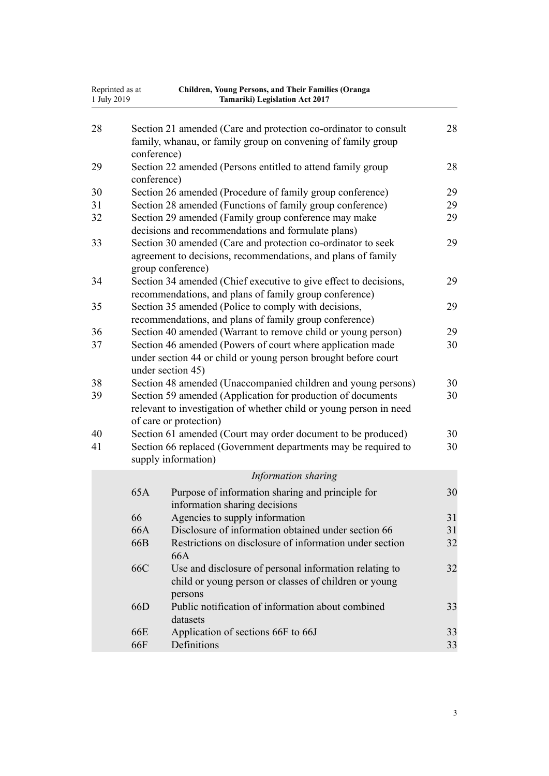| Reprinted as at<br>1 July 2019 |             | Children, Young Persons, and Their Families (Oranga<br>Tamariki) Legislation Act 2017                                                                                                                                        |          |
|--------------------------------|-------------|------------------------------------------------------------------------------------------------------------------------------------------------------------------------------------------------------------------------------|----------|
| 28                             | conference) | Section 21 amended (Care and protection co-ordinator to consult<br>family, whanau, or family group on convening of family group                                                                                              | 28       |
| 29                             |             | Section 22 amended (Persons entitled to attend family group                                                                                                                                                                  | 28       |
|                                | conference) |                                                                                                                                                                                                                              |          |
| 30                             |             | Section 26 amended (Procedure of family group conference)                                                                                                                                                                    | 29       |
| 31                             |             | Section 28 amended (Functions of family group conference)                                                                                                                                                                    | 29       |
| 32                             |             | Section 29 amended (Family group conference may make                                                                                                                                                                         | 29       |
| 33                             |             | decisions and recommendations and formulate plans)<br>Section 30 amended (Care and protection co-ordinator to seek<br>agreement to decisions, recommendations, and plans of family<br>group conference)                      | 29       |
| 34                             |             | Section 34 amended (Chief executive to give effect to decisions,<br>recommendations, and plans of family group conference)                                                                                                   | 29       |
| 35                             |             | Section 35 amended (Police to comply with decisions,<br>recommendations, and plans of family group conference)                                                                                                               | 29       |
| 36                             |             | Section 40 amended (Warrant to remove child or young person)                                                                                                                                                                 | 29       |
| 37                             |             | Section 46 amended (Powers of court where application made<br>under section 44 or child or young person brought before court<br>under section 45)                                                                            | 30       |
| 38<br>39                       |             | Section 48 amended (Unaccompanied children and young persons)<br>Section 59 amended (Application for production of documents<br>relevant to investigation of whether child or young person in need<br>of care or protection) | 30<br>30 |
| 40                             |             | Section 61 amended (Court may order document to be produced)                                                                                                                                                                 | 30       |
| 41                             |             | Section 66 replaced (Government departments may be required to<br>supply information)                                                                                                                                        | 30       |
|                                |             | Information sharing                                                                                                                                                                                                          |          |
|                                | 65A         | Purpose of information sharing and principle for<br>information sharing decisions                                                                                                                                            | 30       |
|                                | 66          | Agencies to supply information                                                                                                                                                                                               | 31       |
|                                | 66A         | Disclosure of information obtained under section 66                                                                                                                                                                          | 31       |
|                                | 66B         | Restrictions on disclosure of information under section<br>66A                                                                                                                                                               | 32       |
|                                | 66C         | Use and disclosure of personal information relating to<br>child or young person or classes of children or young<br>persons                                                                                                   | 32       |
|                                | 66D         | Public notification of information about combined<br>datasets                                                                                                                                                                | 33       |
|                                | 66E         | Application of sections 66F to 66J                                                                                                                                                                                           | 33       |
|                                | 66F         | Definitions                                                                                                                                                                                                                  | 33       |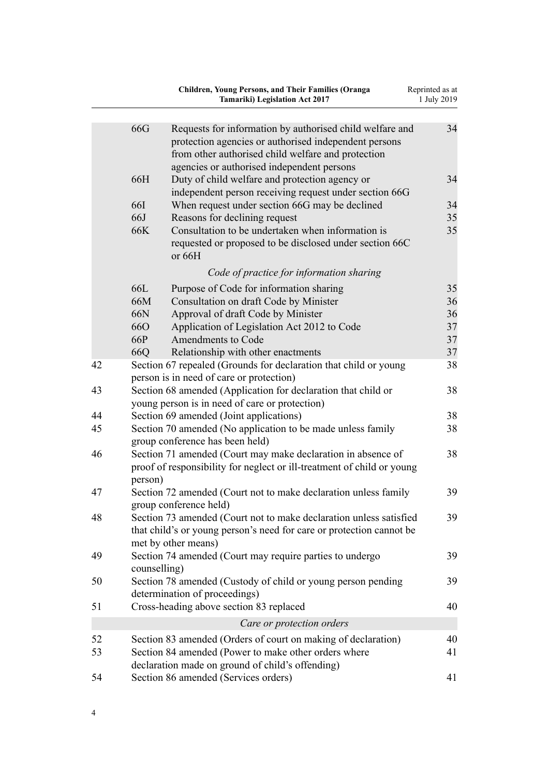|    |              | <b>Children, Young Persons, and Their Families (Oranga</b><br><b>Tamariki)</b> Legislation Act 2017                                                                                                                   | Reprinted as at<br>1 July 2019 |
|----|--------------|-----------------------------------------------------------------------------------------------------------------------------------------------------------------------------------------------------------------------|--------------------------------|
|    |              |                                                                                                                                                                                                                       |                                |
|    | 66G          | Requests for information by authorised child welfare and<br>protection agencies or authorised independent persons<br>from other authorised child welfare and protection<br>agencies or authorised independent persons | 34                             |
|    | 66H          | Duty of child welfare and protection agency or<br>independent person receiving request under section 66G                                                                                                              | 34                             |
|    | <b>66I</b>   | When request under section 66G may be declined                                                                                                                                                                        | 34                             |
|    | 66J          | Reasons for declining request                                                                                                                                                                                         | 35                             |
|    | 66K          | Consultation to be undertaken when information is<br>requested or proposed to be disclosed under section 66C<br>or 66H                                                                                                | 35                             |
|    |              | Code of practice for information sharing                                                                                                                                                                              |                                |
|    | 66L          | Purpose of Code for information sharing                                                                                                                                                                               | 35                             |
|    | 66M          | Consultation on draft Code by Minister                                                                                                                                                                                | 36                             |
|    | 66N          | Approval of draft Code by Minister                                                                                                                                                                                    | 36                             |
|    | <b>66O</b>   | Application of Legislation Act 2012 to Code                                                                                                                                                                           | 37                             |
|    | 66P          | Amendments to Code                                                                                                                                                                                                    | 37                             |
|    | 66Q          | Relationship with other enactments                                                                                                                                                                                    | 37                             |
| 42 |              | Section 67 repealed (Grounds for declaration that child or young<br>person is in need of care or protection)                                                                                                          | 38                             |
| 43 |              | Section 68 amended (Application for declaration that child or<br>young person is in need of care or protection)                                                                                                       | 38                             |
| 44 |              | Section 69 amended (Joint applications)                                                                                                                                                                               | 38                             |
| 45 |              | Section 70 amended (No application to be made unless family<br>group conference has been held)                                                                                                                        | 38                             |
| 46 | person)      | Section 71 amended (Court may make declaration in absence of<br>proof of responsibility for neglect or ill-treatment of child or young                                                                                | 38                             |
| 47 |              | Section 72 amended (Court not to make declaration unless family<br>group conference held)                                                                                                                             | 39                             |
| 48 |              | Section 73 amended (Court not to make declaration unless satisfied<br>that child's or young person's need for care or protection cannot be<br>met by other means)                                                     | 39                             |
| 49 | counselling) | Section 74 amended (Court may require parties to undergo                                                                                                                                                              | 39                             |
| 50 |              | Section 78 amended (Custody of child or young person pending<br>determination of proceedings)                                                                                                                         | 39                             |
| 51 |              | Cross-heading above section 83 replaced                                                                                                                                                                               | 40                             |
|    |              | Care or protection orders                                                                                                                                                                                             |                                |
| 52 |              | Section 83 amended (Orders of court on making of declaration)                                                                                                                                                         | 40                             |
| 53 |              | Section 84 amended (Power to make other orders where<br>declaration made on ground of child's offending)                                                                                                              | 41                             |
| 54 |              | Section 86 amended (Services orders)                                                                                                                                                                                  | 41                             |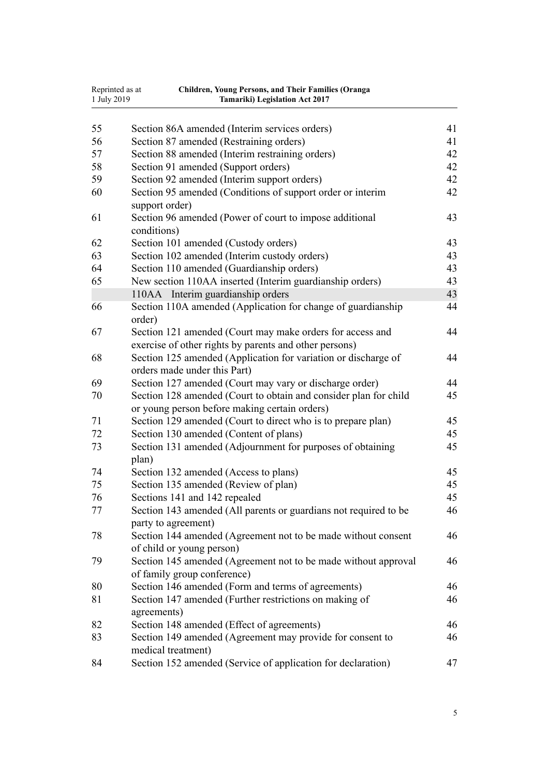| 1 July 2019 | Reprinted as at<br><b>Children, Young Persons, and Their Families (Oranga</b><br><b>Tamariki)</b> Legislation Act 2017 |    |
|-------------|------------------------------------------------------------------------------------------------------------------------|----|
| 55          | Section 86A amended (Interim services orders)                                                                          | 41 |
| 56          | Section 87 amended (Restraining orders)                                                                                | 41 |
| 57          | Section 88 amended (Interim restraining orders)                                                                        | 42 |
| 58          | Section 91 amended (Support orders)                                                                                    | 42 |
| 59          | Section 92 amended (Interim support orders)                                                                            | 42 |
| 60          | Section 95 amended (Conditions of support order or interim<br>support order)                                           | 42 |
| 61          | Section 96 amended (Power of court to impose additional<br>conditions)                                                 | 43 |
| 62          | Section 101 amended (Custody orders)                                                                                   | 43 |
| 63          | Section 102 amended (Interim custody orders)                                                                           | 43 |
| 64          | Section 110 amended (Guardianship orders)                                                                              | 43 |
| 65          | New section 110AA inserted (Interim guardianship orders)                                                               | 43 |
|             | 110AA Interim guardianship orders                                                                                      | 43 |
| 66          | Section 110A amended (Application for change of guardianship<br>order)                                                 | 44 |
| 67          | Section 121 amended (Court may make orders for access and<br>exercise of other rights by parents and other persons)    | 44 |
| 68          | Section 125 amended (Application for variation or discharge of<br>orders made under this Part)                         | 44 |
| 69          | Section 127 amended (Court may vary or discharge order)                                                                | 44 |
| 70          | Section 128 amended (Court to obtain and consider plan for child<br>or young person before making certain orders)      | 45 |
| 71          | Section 129 amended (Court to direct who is to prepare plan)                                                           | 45 |
| 72          | Section 130 amended (Content of plans)                                                                                 | 45 |
| 73          | Section 131 amended (Adjournment for purposes of obtaining<br>plan)                                                    | 45 |
| 74          | Section 132 amended (Access to plans)                                                                                  | 45 |
| 75          | Section 135 amended (Review of plan)                                                                                   | 45 |
| 76          | Sections 141 and 142 repealed                                                                                          | 45 |
| 77          | Section 143 amended (All parents or guardians not required to be<br>party to agreement)                                | 46 |
| 78          | Section 144 amended (Agreement not to be made without consent<br>of child or young person)                             | 46 |
| 79          | Section 145 amended (Agreement not to be made without approval<br>of family group conference)                          | 46 |
| 80          | Section 146 amended (Form and terms of agreements)                                                                     | 46 |
| 81          | Section 147 amended (Further restrictions on making of<br>agreements)                                                  | 46 |
| 82          | Section 148 amended (Effect of agreements)                                                                             | 46 |
| 83          | Section 149 amended (Agreement may provide for consent to<br>medical treatment)                                        | 46 |
| 84          | Section 152 amended (Service of application for declaration)                                                           | 47 |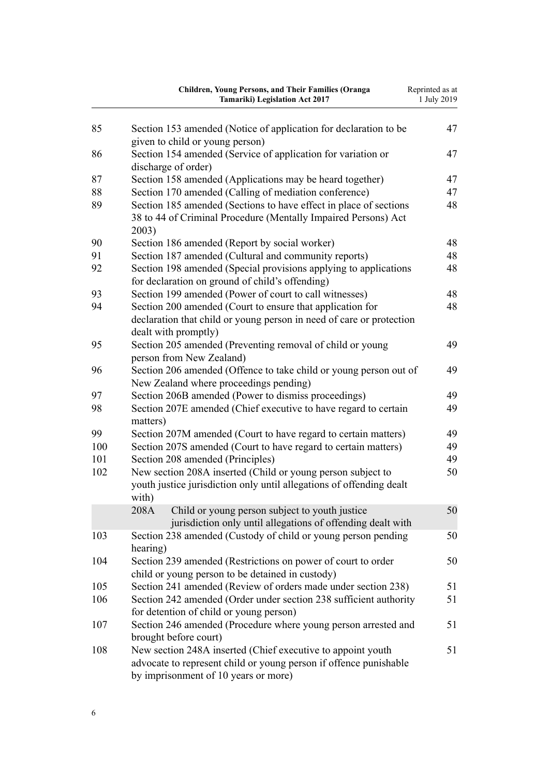|          | Children, Young Persons, and Their Families (Oranga<br><b>Tamariki)</b> Legislation Act 2017                                                                             | Reprinted as at<br>1 July 2019 |
|----------|--------------------------------------------------------------------------------------------------------------------------------------------------------------------------|--------------------------------|
| 85       | Section 153 amended (Notice of application for declaration to be                                                                                                         | 47                             |
|          | given to child or young person)                                                                                                                                          |                                |
| 86       | Section 154 amended (Service of application for variation or                                                                                                             | 47                             |
|          | discharge of order)                                                                                                                                                      | 47                             |
| 87<br>88 | Section 158 amended (Applications may be heard together)                                                                                                                 | 47                             |
| 89       | Section 170 amended (Calling of mediation conference)<br>Section 185 amended (Sections to have effect in place of sections                                               | 48                             |
|          | 38 to 44 of Criminal Procedure (Mentally Impaired Persons) Act<br>2003)                                                                                                  |                                |
| 90       | Section 186 amended (Report by social worker)                                                                                                                            | 48                             |
| 91       | Section 187 amended (Cultural and community reports)                                                                                                                     | 48                             |
| 92       | Section 198 amended (Special provisions applying to applications<br>for declaration on ground of child's offending)                                                      | 48                             |
| 93       | Section 199 amended (Power of court to call witnesses)                                                                                                                   | 48                             |
| 94       | Section 200 amended (Court to ensure that application for                                                                                                                | 48                             |
|          | declaration that child or young person in need of care or protection<br>dealt with promptly)                                                                             |                                |
| 95       | Section 205 amended (Preventing removal of child or young<br>person from New Zealand)                                                                                    | 49                             |
| 96       | Section 206 amended (Offence to take child or young person out of<br>New Zealand where proceedings pending)                                                              | 49                             |
| 97       | Section 206B amended (Power to dismiss proceedings)                                                                                                                      | 49                             |
| 98       | Section 207E amended (Chief executive to have regard to certain<br>matters)                                                                                              | 49                             |
| 99       | Section 207M amended (Court to have regard to certain matters)                                                                                                           | 49                             |
| 100      | Section 207S amended (Court to have regard to certain matters)                                                                                                           | 49                             |
| 101      | Section 208 amended (Principles)                                                                                                                                         | 49                             |
| 102      | New section 208A inserted (Child or young person subject to<br>youth justice jurisdiction only until allegations of offending dealt<br>with)                             | 50                             |
|          | 208A<br>Child or young person subject to youth justice                                                                                                                   | 50                             |
|          | jurisdiction only until allegations of offending dealt with                                                                                                              |                                |
| 103      | Section 238 amended (Custody of child or young person pending<br>hearing)                                                                                                | 50                             |
| 104      | Section 239 amended (Restrictions on power of court to order<br>child or young person to be detained in custody)                                                         | 50                             |
| 105      | Section 241 amended (Review of orders made under section 238)                                                                                                            | 51                             |
| 106      | Section 242 amended (Order under section 238 sufficient authority<br>for detention of child or young person)                                                             | 51                             |
| 107      | Section 246 amended (Procedure where young person arrested and<br>brought before court)                                                                                  | 51                             |
| 108      | New section 248A inserted (Chief executive to appoint youth<br>advocate to represent child or young person if offence punishable<br>by imprisonment of 10 years or more) | 51                             |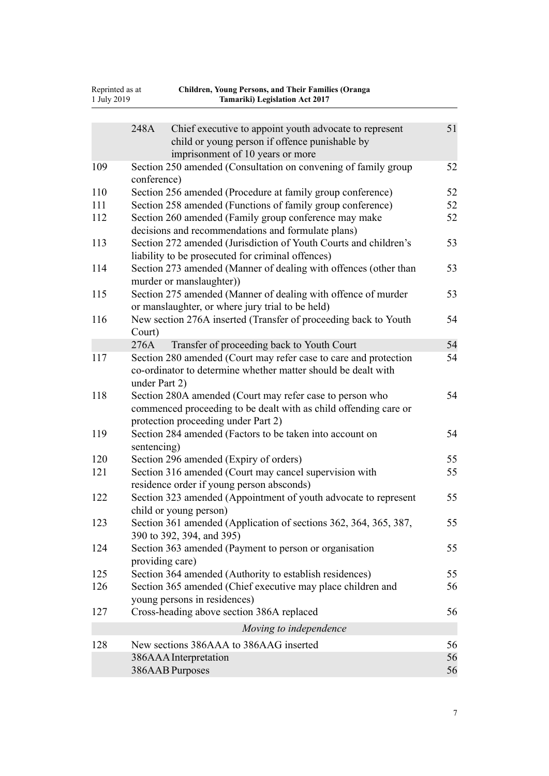| Reprinted as at<br>1 July 2019 | <b>Children, Young Persons, and Their Families (Oranga</b><br><b>Tamariki) Legislation Act 2017</b>                                                                 |          |
|--------------------------------|---------------------------------------------------------------------------------------------------------------------------------------------------------------------|----------|
|                                | 248A<br>Chief executive to appoint youth advocate to represent<br>child or young person if offence punishable by<br>imprisonment of 10 years or more                | 51       |
| 109                            | Section 250 amended (Consultation on convening of family group<br>conference)                                                                                       | 52       |
| 110                            | Section 256 amended (Procedure at family group conference)                                                                                                          | 52       |
| 111                            | Section 258 amended (Functions of family group conference)                                                                                                          | 52       |
| 112                            | Section 260 amended (Family group conference may make<br>decisions and recommendations and formulate plans)                                                         | 52       |
| 113                            | Section 272 amended (Jurisdiction of Youth Courts and children's<br>liability to be prosecuted for criminal offences)                                               | 53       |
| 114                            | Section 273 amended (Manner of dealing with offences (other than<br>murder or manslaughter))                                                                        | 53       |
| 115                            | Section 275 amended (Manner of dealing with offence of murder<br>or manslaughter, or where jury trial to be held)                                                   | 53       |
| 116                            | New section 276A inserted (Transfer of proceeding back to Youth<br>Court)                                                                                           | 54       |
|                                | 276A<br>Transfer of proceeding back to Youth Court                                                                                                                  | 54       |
| 117                            | Section 280 amended (Court may refer case to care and protection<br>co-ordinator to determine whether matter should be dealt with<br>under Part 2)                  | 54       |
| 118                            | Section 280A amended (Court may refer case to person who<br>commenced proceeding to be dealt with as child offending care or<br>protection proceeding under Part 2) | 54       |
| 119                            | Section 284 amended (Factors to be taken into account on<br>sentencing)                                                                                             | 54       |
| 120                            | Section 296 amended (Expiry of orders)                                                                                                                              | 55       |
| 121                            | Section 316 amended (Court may cancel supervision with<br>residence order if young person absconds)                                                                 | 55       |
| 122                            | Section 323 amended (Appointment of youth advocate to represent<br>child or young person)                                                                           | 55       |
| 123                            | Section 361 amended (Application of sections 362, 364, 365, 387,<br>390 to 392, 394, and 395)                                                                       | 55       |
| 124                            | Section 363 amended (Payment to person or organisation<br>providing care)                                                                                           | 55       |
| 125                            | Section 364 amended (Authority to establish residences)                                                                                                             | 55       |
| 126                            | Section 365 amended (Chief executive may place children and<br>young persons in residences)                                                                         | 56       |
| 127                            | Cross-heading above section 386A replaced                                                                                                                           | 56       |
|                                | Moving to independence                                                                                                                                              |          |
| 128                            | New sections 386AAA to 386AAG inserted                                                                                                                              | 56       |
|                                | 386AAA Interpretation<br>386AAB Purposes                                                                                                                            | 56<br>56 |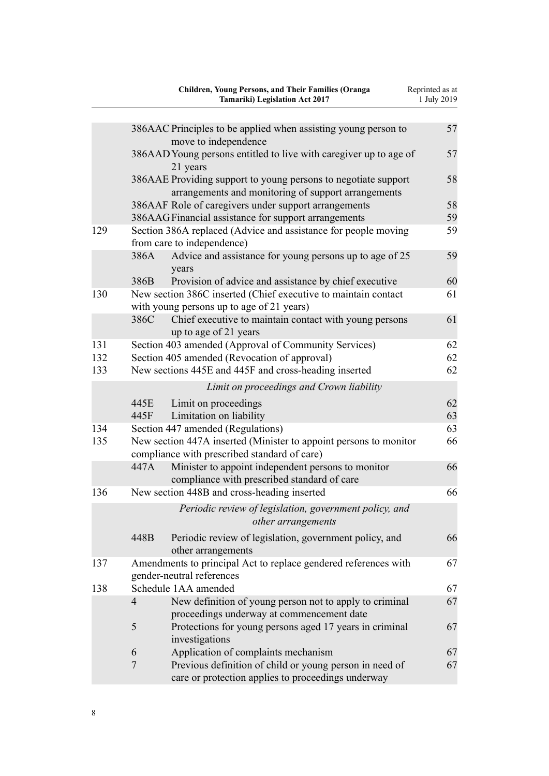|     |                | <b>Children, Young Persons, and Their Families (Oranga</b><br><b>Tamariki) Legislation Act 2017</b>                   | Reprinted as at<br>1 July 2019 |
|-----|----------------|-----------------------------------------------------------------------------------------------------------------------|--------------------------------|
|     |                | 386AAC Principles to be applied when assisting young person to<br>move to independence                                | 57                             |
|     |                | 386AAD Young persons entitled to live with caregiver up to age of<br>21 years                                         | 57                             |
|     |                | 386AAE Providing support to young persons to negotiate support<br>arrangements and monitoring of support arrangements | 58                             |
|     |                | 386AAF Role of caregivers under support arrangements                                                                  | 58                             |
|     |                | 386AAGFinancial assistance for support arrangements                                                                   | 59                             |
| 129 |                | Section 386A replaced (Advice and assistance for people moving<br>from care to independence)                          | 59                             |
|     | 386A           | Advice and assistance for young persons up to age of 25<br>years                                                      | 59                             |
|     | 386B           | Provision of advice and assistance by chief executive                                                                 | 60                             |
| 130 |                | New section 386C inserted (Chief executive to maintain contact<br>with young persons up to age of 21 years)           | 61                             |
|     | 386C           | Chief executive to maintain contact with young persons<br>up to age of 21 years                                       | 61                             |
| 131 |                | Section 403 amended (Approval of Community Services)                                                                  | 62                             |
| 132 |                | Section 405 amended (Revocation of approval)                                                                          | 62                             |
| 133 |                | New sections 445E and 445F and cross-heading inserted                                                                 | 62                             |
|     |                | Limit on proceedings and Crown liability                                                                              |                                |
|     | 445E<br>445F   | Limit on proceedings<br>Limitation on liability                                                                       | 62<br>63                       |
| 134 |                | Section 447 amended (Regulations)                                                                                     | 63                             |
| 135 |                | New section 447A inserted (Minister to appoint persons to monitor<br>compliance with prescribed standard of care)     | 66                             |
|     | 447A           | Minister to appoint independent persons to monitor<br>compliance with prescribed standard of care                     | 66                             |
| 136 |                | New section 448B and cross-heading inserted                                                                           | 66                             |
|     |                | Periodic review of legislation, government policy, and<br>other arrangements                                          |                                |
|     | 448B           | Periodic review of legislation, government policy, and<br>other arrangements                                          | 66                             |
| 137 |                | Amendments to principal Act to replace gendered references with<br>gender-neutral references                          | 67                             |
| 138 |                | Schedule 1AA amended                                                                                                  | 67                             |
|     | $\overline{4}$ | New definition of young person not to apply to criminal<br>proceedings underway at commencement date                  | 67                             |
|     | 5              | Protections for young persons aged 17 years in criminal<br>investigations                                             | 67                             |
|     | 6              | Application of complaints mechanism                                                                                   | 67                             |
|     | $\overline{7}$ | Previous definition of child or young person in need of<br>care or protection applies to proceedings underway         | 67                             |
|     |                |                                                                                                                       |                                |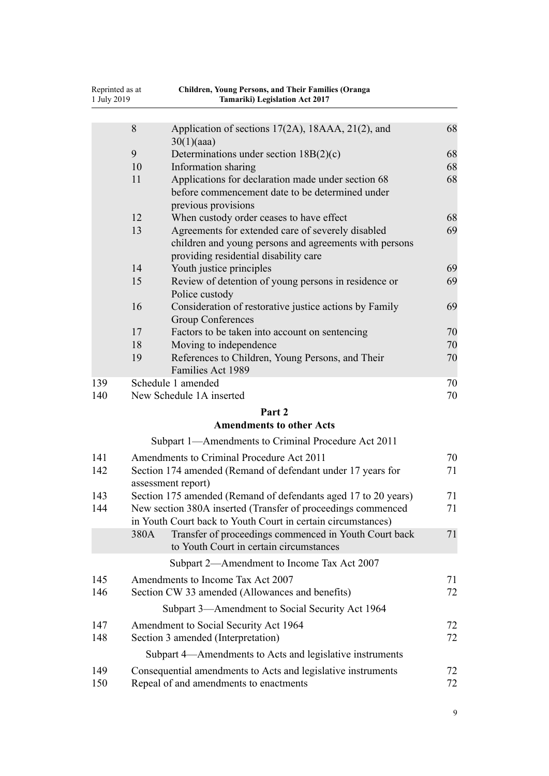|     | Children, Young Persons, and Their Families (Oranga<br>Reprinted as at<br>1 July 2019<br><b>Tamariki)</b> Legislation Act 2017 |                                                                                                                                                      |    |
|-----|--------------------------------------------------------------------------------------------------------------------------------|------------------------------------------------------------------------------------------------------------------------------------------------------|----|
|     | 8                                                                                                                              | Application of sections 17(2A), 18AAA, 21(2), and                                                                                                    | 68 |
|     | 9                                                                                                                              | 30(1)(aaa)<br>Determinations under section $18B(2)(c)$                                                                                               | 68 |
|     | 10                                                                                                                             | Information sharing                                                                                                                                  | 68 |
|     | 11                                                                                                                             | Applications for declaration made under section 68                                                                                                   | 68 |
|     |                                                                                                                                | before commencement date to be determined under<br>previous provisions                                                                               |    |
|     | 12                                                                                                                             | When custody order ceases to have effect                                                                                                             | 68 |
|     | 13                                                                                                                             | Agreements for extended care of severely disabled<br>children and young persons and agreements with persons<br>providing residential disability care | 69 |
|     | 14                                                                                                                             | Youth justice principles                                                                                                                             | 69 |
|     | 15                                                                                                                             | Review of detention of young persons in residence or<br>Police custody                                                                               | 69 |
|     | 16                                                                                                                             | Consideration of restorative justice actions by Family<br><b>Group Conferences</b>                                                                   | 69 |
|     | 17                                                                                                                             | Factors to be taken into account on sentencing                                                                                                       | 70 |
|     | 18                                                                                                                             | Moving to independence                                                                                                                               | 70 |
|     | 19                                                                                                                             | References to Children, Young Persons, and Their<br>Families Act 1989                                                                                | 70 |
| 139 |                                                                                                                                | Schedule 1 amended                                                                                                                                   | 70 |
| 140 |                                                                                                                                | New Schedule 1A inserted                                                                                                                             | 70 |
|     |                                                                                                                                | Part 2                                                                                                                                               |    |
|     |                                                                                                                                | <b>Amendments to other Acts</b>                                                                                                                      |    |
|     |                                                                                                                                | Subpart 1—Amendments to Criminal Procedure Act 2011                                                                                                  |    |
| 141 |                                                                                                                                | Amendments to Criminal Procedure Act 2011                                                                                                            | 70 |
| 142 |                                                                                                                                | Section 174 amended (Remand of defendant under 17 years for<br>assessment report)                                                                    | 71 |
| 143 |                                                                                                                                | Section 175 amended (Remand of defendants aged 17 to 20 years)                                                                                       | 71 |
| 144 |                                                                                                                                | New section 380A inserted (Transfer of proceedings commenced<br>in Youth Court back to Youth Court in certain circumstances)                         | 71 |
|     | 380A                                                                                                                           | Transfer of proceedings commenced in Youth Court back<br>to Youth Court in certain circumstances                                                     | 71 |
|     |                                                                                                                                | Subpart 2-Amendment to Income Tax Act 2007                                                                                                           |    |
| 145 |                                                                                                                                | Amendments to Income Tax Act 2007                                                                                                                    | 71 |
| 146 |                                                                                                                                | Section CW 33 amended (Allowances and benefits)                                                                                                      | 72 |
|     |                                                                                                                                | Subpart 3—Amendment to Social Security Act 1964                                                                                                      |    |
| 147 |                                                                                                                                | Amendment to Social Security Act 1964                                                                                                                | 72 |
| 148 |                                                                                                                                | Section 3 amended (Interpretation)                                                                                                                   | 72 |
|     |                                                                                                                                | Subpart 4—Amendments to Acts and legislative instruments                                                                                             |    |
| 149 |                                                                                                                                | Consequential amendments to Acts and legislative instruments                                                                                         | 72 |
| 150 |                                                                                                                                | Repeal of and amendments to enactments                                                                                                               | 72 |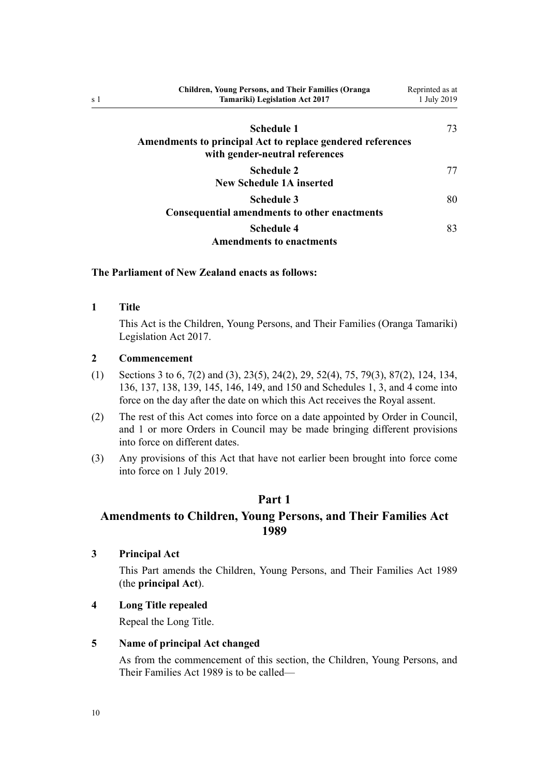<span id="page-9-0"></span>

| <b>Children, Young Persons, and Their Families (Oranga)</b><br><b>Tamariki</b> ) Legislation Act 2017 | Reprinted as at<br>1 July 2019 |
|-------------------------------------------------------------------------------------------------------|--------------------------------|
| Schedule 1                                                                                            | 73                             |
| Amendments to principal Act to replace gendered references<br>with gender-neutral references          |                                |
| Schedule 2<br>New Schedule 1A inserted                                                                |                                |
| Schedule 3<br><b>Consequential amendments to other enactments</b>                                     | 80                             |
| Schedule 4<br><b>Amendments to enactments</b>                                                         | 83                             |

#### **The Parliament of New Zealand enacts as follows:**

# **1 Title**

This Act is the Children, Young Persons, and Their Families (Oranga Tamariki) Legislation Act 2017.

# **2 Commencement**

- (1) Sections 3 to 6, [7\(2\) and \(3\),](#page-10-0) [23\(5\)](#page-26-0), [24\(2\)](#page-26-0), [29](#page-27-0), [52\(4\)](#page-39-0), [75](#page-44-0), [79\(3\)](#page-45-0), [87\(2\),](#page-46-0) [124](#page-54-0), [134](#page-62-0), [136](#page-65-0), [137](#page-66-0), [138,](#page-66-0) [139,](#page-69-0) [145,](#page-70-0) [146, 149,](#page-71-0) and [150](#page-71-0) and [Schedules 1,](#page-72-0) [3](#page-79-0), and [4](#page-82-0) come into force on the day after the date on which this Act receives the Royal assent.
- (2) The rest of this Act comes into force on a date appointed by Order in Council, and 1 or more Orders in Council may be made bringing different provisions into force on different dates.
- (3) Any provisions of this Act that have not earlier been brought into force come into force on 1 July 2019.

# **Part 1**

# **Amendments to Children, Young Persons, and Their Families Act 1989**

**3 Principal Act**

This Part amends the [Children, Young Persons, and Their Families Act 1989](http://legislation.govt.nz/pdflink.aspx?id=DLM147087) (the **principal Act**).

**4 Long Title repealed**

Repeal the Long Title.

# **5 Name of principal Act changed**

As from the commencement of this section, the [Children, Young Persons, and](http://legislation.govt.nz/pdflink.aspx?id=DLM147087) [Their Families Act 1989](http://legislation.govt.nz/pdflink.aspx?id=DLM147087) is to be called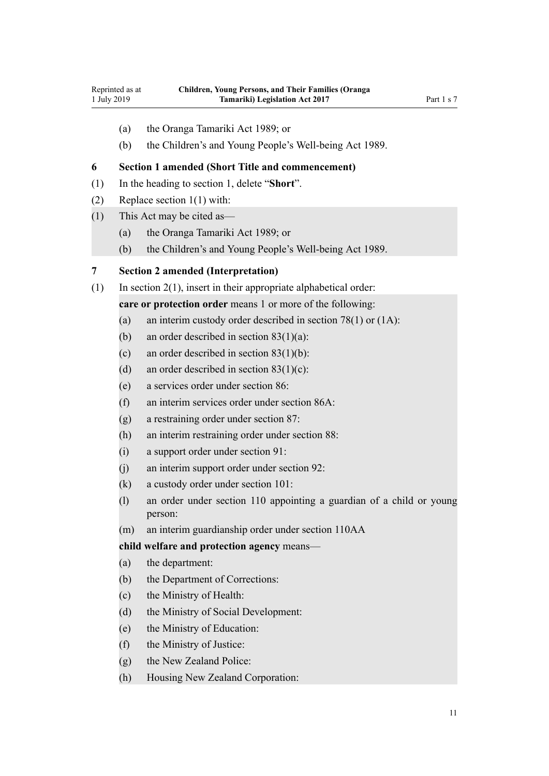<span id="page-10-0"></span>Reprinted as at 1 July 2019

- (a) the Oranga Tamariki Act 1989; or
- (b) the Children's and Young People's Well-being Act 1989.

# **6 Section 1 amended (Short Title and commencement)**

- (1) In the heading to [section 1,](http://legislation.govt.nz/pdflink.aspx?id=DLM147093) delete "**Short**".
- (2) Replace [section 1\(1\)](http://legislation.govt.nz/pdflink.aspx?id=DLM147093) with:
- (1) This Act may be cited as—
	- (a) the Oranga Tamariki Act 1989; or
	- (b) the Children's and Young People's Well-being Act 1989.

#### **7 Section 2 amended (Interpretation)**

- (1) In [section 2\(1\)](http://legislation.govt.nz/pdflink.aspx?id=DLM147094), insert in their appropriate alphabetical order:
	- **care or protection order** means 1 or more of the following:
	- (a) an interim custody order described in section 78(1) or (1A):
	- (b) an order described in section  $83(1)(a)$ :
	- (c) an order described in section  $83(1)(b)$ :
	- (d) an order described in section  $83(1)(c)$ :
	- (e) a services order under section 86:
	- (f) an interim services order under section 86A:
	- (g) a restraining order under section 87:
	- (h) an interim restraining order under section 88:
	- (i) a support order under section 91:
	- (j) an interim support order under section 92:
	- (k) a custody order under section 101:
	- (l) an order under section 110 appointing a guardian of a child or young person:
	- (m) an interim guardianship order under section 110AA

# **child welfare and protection agency** means—

- (a) the department:
- (b) the Department of Corrections:
- (c) the Ministry of Health:
- (d) the Ministry of Social Development:
- (e) the Ministry of Education:
- (f) the Ministry of Justice:
- (g) the New Zealand Police:
- (h) Housing New Zealand Corporation: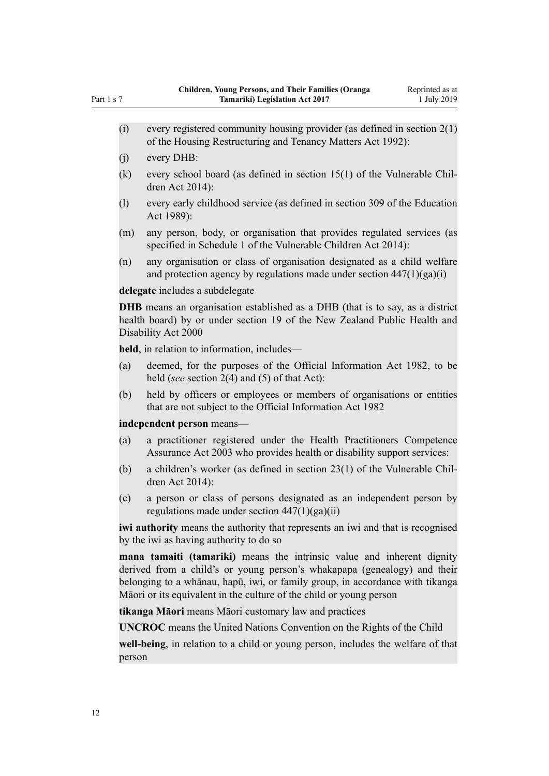- (i) every registered community housing provider (as defined in section  $2(1)$ of the Housing Restructuring and Tenancy Matters Act 1992):
- (j) every DHB:
- (k) every school board (as defined in section 15(1) of the Vulnerable Children Act 2014):
- (l) every early childhood service (as defined in section 309 of the Education Act 1989):
- (m) any person, body, or organisation that provides regulated services (as specified in Schedule 1 of the Vulnerable Children Act 2014):
- (n) any organisation or class of organisation designated as a child welfare and protection agency by regulations made under section  $447(1)(ga)(i)$

**delegate** includes a subdelegate

**DHB** means an organisation established as a DHB (that is to say, as a district health board) by or under section 19 of the New Zealand Public Health and Disability Act 2000

**held**, in relation to information, includes—

- (a) deemed, for the purposes of the Official Information Act 1982, to be held (*see* section 2(4) and (5) of that Act):
- (b) held by officers or employees or members of organisations or entities that are not subject to the Official Information Act 1982

**independent person** means—

- (a) a practitioner registered under the Health Practitioners Competence Assurance Act 2003 who provides health or disability support services:
- (b) a children's worker (as defined in section 23(1) of the Vulnerable Children Act 2014):
- (c) a person or class of persons designated as an independent person by regulations made under section  $447(1)(ga)(ii)$

*iwi authority* means the authority that represents an iwi and that is recognised by the iwi as having authority to do so

**mana tamaiti (tamariki)** means the intrinsic value and inherent dignity derived from a child's or young person's whakapapa (genealogy) and their belonging to a whānau, hapū, iwi, or family group, in accordance with tikanga Māori or its equivalent in the culture of the child or young person

**tikanga Māori** means Māori customary law and practices

**UNCROC** means the United Nations Convention on the Rights of the Child

**well-being**, in relation to a child or young person, includes the welfare of that person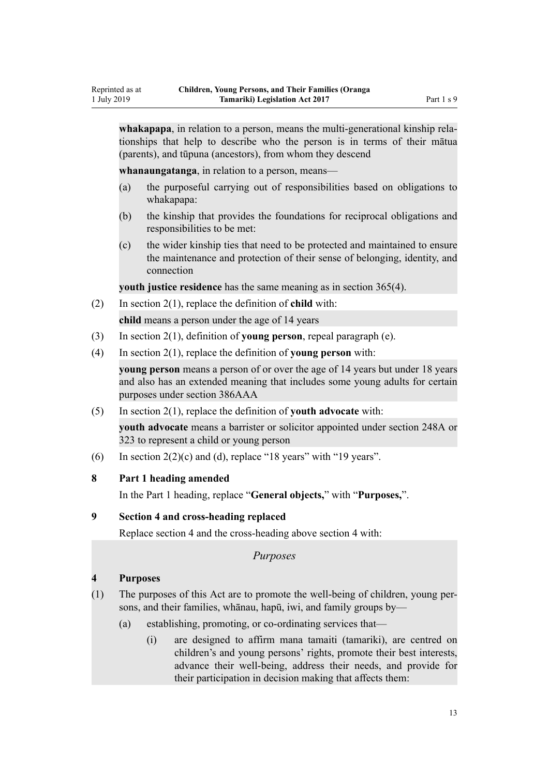<span id="page-12-0"></span>**whakapapa**, in relation to a person, means the multi-generational kinship relationships that help to describe who the person is in terms of their mātua (parents), and tūpuna (ancestors), from whom they descend

**whanaungatanga**, in relation to a person, means—

- (a) the purposeful carrying out of responsibilities based on obligations to whakapapa:
- (b) the kinship that provides the foundations for reciprocal obligations and responsibilities to be met:
- (c) the wider kinship ties that need to be protected and maintained to ensure the maintenance and protection of their sense of belonging, identity, and connection

**youth justice residence** has the same meaning as in section 365(4).

(2) In [section 2\(1\)](http://legislation.govt.nz/pdflink.aspx?id=DLM147094), replace the definition of **child** with:

**child** means a person under the age of 14 years

- (3) In [section 2\(1\)](http://legislation.govt.nz/pdflink.aspx?id=DLM147094), definition of **young person**, repeal paragraph (e).
- (4) In [section 2\(1\)](http://legislation.govt.nz/pdflink.aspx?id=DLM147094), replace the definition of **young person** with:

**young person** means a person of or over the age of 14 years but under 18 years and also has an extended meaning that includes some young adults for certain purposes under section 386AAA

(5) In [section 2\(1\)](http://legislation.govt.nz/pdflink.aspx?id=DLM147094), replace the definition of **youth advocate** with:

**youth advocate** means a barrister or solicitor appointed under section 248A or 323 to represent a child or young person

(6) In section  $2(2)(c)$  and (d), replace "18 years" with "19 years".

#### **8 Part 1 heading amended**

In the [Part 1](http://legislation.govt.nz/pdflink.aspx?id=DLM149436) heading, replace "**General objects,**" with "**Purposes,**".

# **9 Section 4 and cross-heading replaced**

Replace [section 4](http://legislation.govt.nz/pdflink.aspx?id=DLM149438) and the cross-heading above section 4 with:

*Purposes*

# **4 Purposes**

- (1) The purposes of this Act are to promote the well-being of children, young persons, and their families, whānau, hapū, iwi, and family groups by—
	- (a) establishing, promoting, or co-ordinating services that—
		- (i) are designed to affirm mana tamaiti (tamariki), are centred on children's and young persons' rights, promote their best interests, advance their well-being, address their needs, and provide for their participation in decision making that affects them: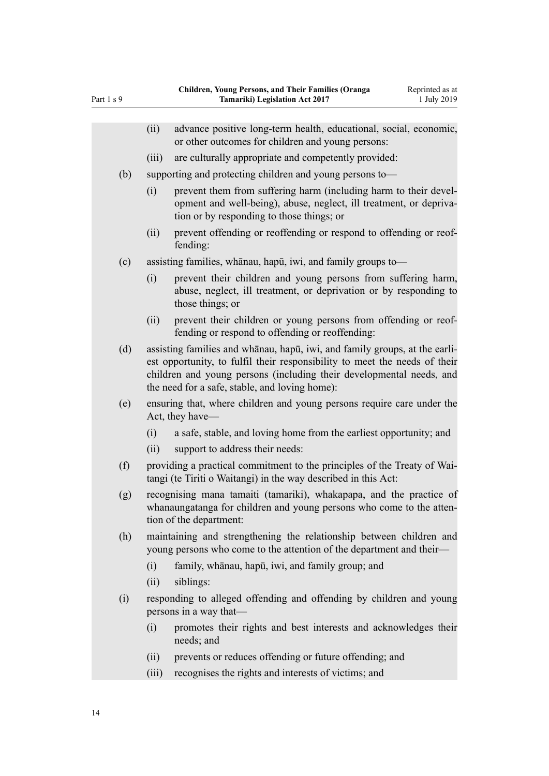|     | (ii)  | advance positive long-term health, educational, social, economic,<br>or other outcomes for children and young persons:                                                                                                                                                             |
|-----|-------|------------------------------------------------------------------------------------------------------------------------------------------------------------------------------------------------------------------------------------------------------------------------------------|
|     | (iii) | are culturally appropriate and competently provided:                                                                                                                                                                                                                               |
| (b) |       | supporting and protecting children and young persons to—                                                                                                                                                                                                                           |
|     | (i)   | prevent them from suffering harm (including harm to their devel-<br>opment and well-being), abuse, neglect, ill treatment, or depriva-<br>tion or by responding to those things; or                                                                                                |
|     | (ii)  | prevent offending or reoffending or respond to offending or reof-<br>fending:                                                                                                                                                                                                      |
| (c) |       | assisting families, whanau, hapu, iwi, and family groups to-                                                                                                                                                                                                                       |
|     | (i)   | prevent their children and young persons from suffering harm,<br>abuse, neglect, ill treatment, or deprivation or by responding to<br>those things; or                                                                                                                             |
|     | (ii)  | prevent their children or young persons from offending or reof-<br>fending or respond to offending or reoffending:                                                                                                                                                                 |
| (d) |       | assisting families and whanau, hapu, iwi, and family groups, at the earli-<br>est opportunity, to fulfil their responsibility to meet the needs of their<br>children and young persons (including their developmental needs, and<br>the need for a safe, stable, and loving home): |
| (e) |       | ensuring that, where children and young persons require care under the<br>Act, they have—                                                                                                                                                                                          |
|     | (i)   | a safe, stable, and loving home from the earliest opportunity; and                                                                                                                                                                                                                 |
|     | (ii)  | support to address their needs:                                                                                                                                                                                                                                                    |
| (f) |       | providing a practical commitment to the principles of the Treaty of Wai-<br>tangi (te Tiriti o Waitangi) in the way described in this Act:                                                                                                                                         |
| (g) |       | recognising mana tamaiti (tamariki), whakapapa, and the practice of<br>whanaungatanga for children and young persons who come to the atten-<br>tion of the department:                                                                                                             |
| (h) |       | maintaining and strengthening the relationship between children and<br>young persons who come to the attention of the department and their-                                                                                                                                        |
|     | (i)   | family, whānau, hapū, iwi, and family group; and                                                                                                                                                                                                                                   |
|     | (ii)  | siblings:                                                                                                                                                                                                                                                                          |
| (i) |       | responding to alleged offending and offending by children and young<br>persons in a way that—                                                                                                                                                                                      |
|     | (i)   | promotes their rights and best interests and acknowledges their<br>needs; and                                                                                                                                                                                                      |
|     | (ii)  | prevents or reduces offending or future offending; and                                                                                                                                                                                                                             |
|     | (iii) | recognises the rights and interests of victims; and                                                                                                                                                                                                                                |
|     |       |                                                                                                                                                                                                                                                                                    |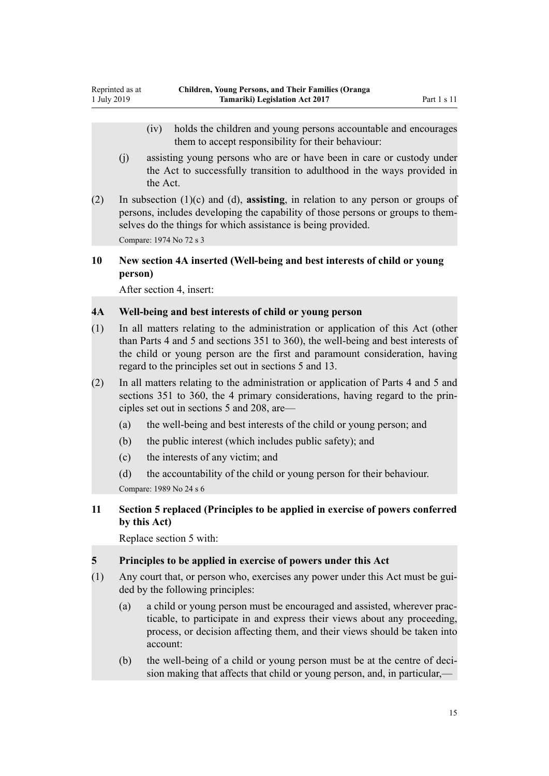- <span id="page-14-0"></span>(iv) holds the children and young persons accountable and encourages them to accept responsibility for their behaviour:
- (j) assisting young persons who are or have been in care or custody under the Act to successfully transition to adulthood in the ways provided in the Act.
- (2) In subsection (1)(c) and (d), **assisting**, in relation to any person or groups of persons, includes developing the capability of those persons or groups to themselves do the things for which assistance is being provided. Compare: 1974 No 72 s 3

# **10 New section 4A inserted (Well-being and best interests of child or young person)**

After [section 4,](http://legislation.govt.nz/pdflink.aspx?id=DLM149438) insert:

# **4A Well-being and best interests of child or young person**

- (1) In all matters relating to the administration or application of this Act (other than Parts 4 and 5 and sections 351 to 360), the well-being and best interests of the child or young person are the first and paramount consideration, having regard to the principles set out in sections 5 and 13.
- (2) In all matters relating to the administration or application of Parts 4 and 5 and sections 351 to 360, the 4 primary considerations, having regard to the principles set out in sections 5 and 208, are—
	- (a) the well-being and best interests of the child or young person; and
	- (b) the public interest (which includes public safety); and
	- (c) the interests of any victim; and

(d) the accountability of the child or young person for their behaviour. Compare: 1989 No 24 s 6

**11 Section 5 replaced (Principles to be applied in exercise of powers conferred by this Act)**

Replace [section 5](http://legislation.govt.nz/pdflink.aspx?id=DLM149440) with:

# **5 Principles to be applied in exercise of powers under this Act**

- (1) Any court that, or person who, exercises any power under this Act must be guided by the following principles:
	- (a) a child or young person must be encouraged and assisted, wherever practicable, to participate in and express their views about any proceeding, process, or decision affecting them, and their views should be taken into account:
	- (b) the well-being of a child or young person must be at the centre of decision making that affects that child or young person, and, in particular,—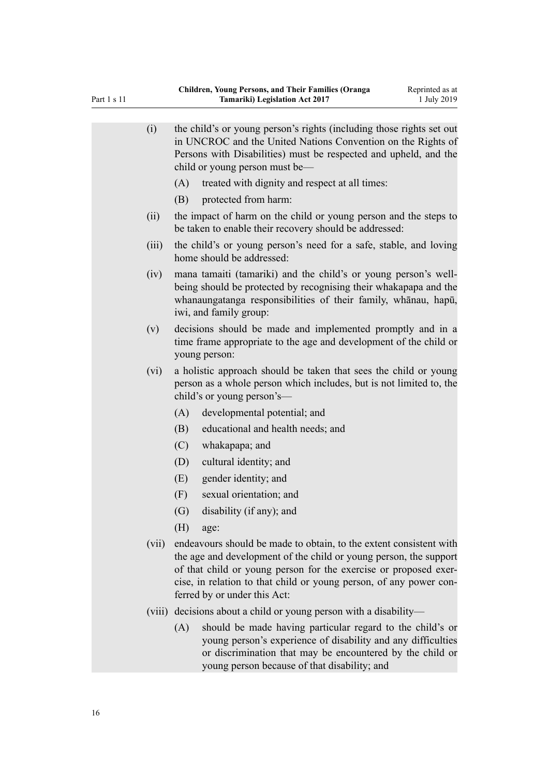| (i)    | the child's or young person's rights (including those rights set out<br>in UNCROC and the United Nations Convention on the Rights of<br>Persons with Disabilities) must be respected and upheld, and the<br>child or young person must be—                                                                        |
|--------|-------------------------------------------------------------------------------------------------------------------------------------------------------------------------------------------------------------------------------------------------------------------------------------------------------------------|
|        | treated with dignity and respect at all times:<br>(A)                                                                                                                                                                                                                                                             |
|        | (B)<br>protected from harm:                                                                                                                                                                                                                                                                                       |
| (ii)   | the impact of harm on the child or young person and the steps to<br>be taken to enable their recovery should be addressed:                                                                                                                                                                                        |
| (iii)  | the child's or young person's need for a safe, stable, and loving<br>home should be addressed:                                                                                                                                                                                                                    |
| (iv)   | mana tamaiti (tamariki) and the child's or young person's well-<br>being should be protected by recognising their whakapapa and the<br>whanaungatanga responsibilities of their family, whanau, hapū,<br>iwi, and family group:                                                                                   |
| (v)    | decisions should be made and implemented promptly and in a<br>time frame appropriate to the age and development of the child or<br>young person:                                                                                                                                                                  |
| (vi)   | a holistic approach should be taken that sees the child or young<br>person as a whole person which includes, but is not limited to, the<br>child's or young person's—                                                                                                                                             |
|        | (A)<br>developmental potential; and                                                                                                                                                                                                                                                                               |
|        | (B)<br>educational and health needs; and                                                                                                                                                                                                                                                                          |
|        | (C)<br>whakapapa; and                                                                                                                                                                                                                                                                                             |
|        | (D)<br>cultural identity; and                                                                                                                                                                                                                                                                                     |
|        | gender identity; and<br>(E)                                                                                                                                                                                                                                                                                       |
|        | (F)<br>sexual orientation; and                                                                                                                                                                                                                                                                                    |
|        | $\left( G\right)$<br>disability (if any); and                                                                                                                                                                                                                                                                     |
|        | (H)<br>age:                                                                                                                                                                                                                                                                                                       |
| (vii)  | endeavours should be made to obtain, to the extent consistent with<br>the age and development of the child or young person, the support<br>of that child or young person for the exercise or proposed exer-<br>cise, in relation to that child or young person, of any power con-<br>ferred by or under this Act: |
| (viii) | decisions about a child or young person with a disability—                                                                                                                                                                                                                                                        |
|        | should be made having particular regard to the child's or<br>(A)<br>young person's experience of disability and any difficulties<br>or discrimination that may be encountered by the child or                                                                                                                     |

young person because of that disability; and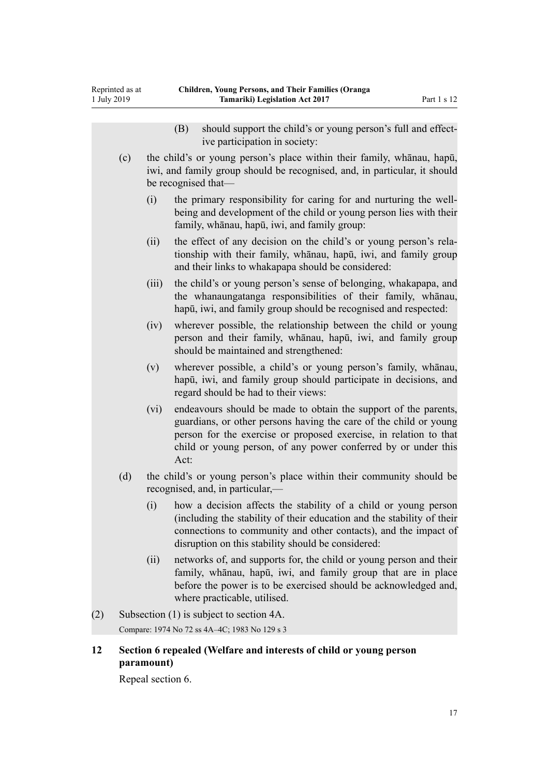<span id="page-16-0"></span>

|     |                                            |                                                                                                                                                                            | should support the child's or young person's full and effect-<br>(B)<br>ive participation in society:                                                                                                                                                                               |  |  |  |
|-----|--------------------------------------------|----------------------------------------------------------------------------------------------------------------------------------------------------------------------------|-------------------------------------------------------------------------------------------------------------------------------------------------------------------------------------------------------------------------------------------------------------------------------------|--|--|--|
|     | (c)                                        | the child's or young person's place within their family, whanau, hapu,<br>iwi, and family group should be recognised, and, in particular, it should<br>be recognised that— |                                                                                                                                                                                                                                                                                     |  |  |  |
|     |                                            | (i)                                                                                                                                                                        | the primary responsibility for caring for and nurturing the well-<br>being and development of the child or young person lies with their<br>family, whānau, hapū, iwi, and family group:                                                                                             |  |  |  |
|     |                                            | (ii)                                                                                                                                                                       | the effect of any decision on the child's or young person's rela-<br>tionship with their family, whanau, hapu, iwi, and family group<br>and their links to whakapapa should be considered:                                                                                          |  |  |  |
|     |                                            | (iii)                                                                                                                                                                      | the child's or young person's sense of belonging, whakapapa, and<br>the whanaungatanga responsibilities of their family, whanau,<br>hapū, iwi, and family group should be recognised and respected:                                                                                 |  |  |  |
|     |                                            | (iv)                                                                                                                                                                       | wherever possible, the relationship between the child or young<br>person and their family, whanau, hapu, iwi, and family group<br>should be maintained and strengthened:                                                                                                            |  |  |  |
|     |                                            | (v)                                                                                                                                                                        | wherever possible, a child's or young person's family, whanau,<br>hapū, iwi, and family group should participate in decisions, and<br>regard should be had to their views:                                                                                                          |  |  |  |
|     |                                            | (vi)                                                                                                                                                                       | endeavours should be made to obtain the support of the parents,<br>guardians, or other persons having the care of the child or young<br>person for the exercise or proposed exercise, in relation to that<br>child or young person, of any power conferred by or under this<br>Act: |  |  |  |
|     | (d)                                        | the child's or young person's place within their community should be<br>recognised, and, in particular,—                                                                   |                                                                                                                                                                                                                                                                                     |  |  |  |
|     |                                            | (i)                                                                                                                                                                        | how a decision affects the stability of a child or young person<br>(including the stability of their education and the stability of their<br>connections to community and other contacts), and the impact of<br>disruption on this stability should be considered:                  |  |  |  |
|     |                                            | (ii)                                                                                                                                                                       | networks of, and supports for, the child or young person and their<br>family, whānau, hapū, iwi, and family group that are in place<br>before the power is to be exercised should be acknowledged and,<br>where practicable, utilised.                                              |  |  |  |
| (2) | Subsection $(1)$ is subject to section 4A. |                                                                                                                                                                            |                                                                                                                                                                                                                                                                                     |  |  |  |

Compare: 1974 No 72 ss 4A–4C; 1983 No 129 s 3

# **12 Section 6 repealed (Welfare and interests of child or young person paramount)**

Repeal [section 6](http://legislation.govt.nz/pdflink.aspx?id=DLM149441).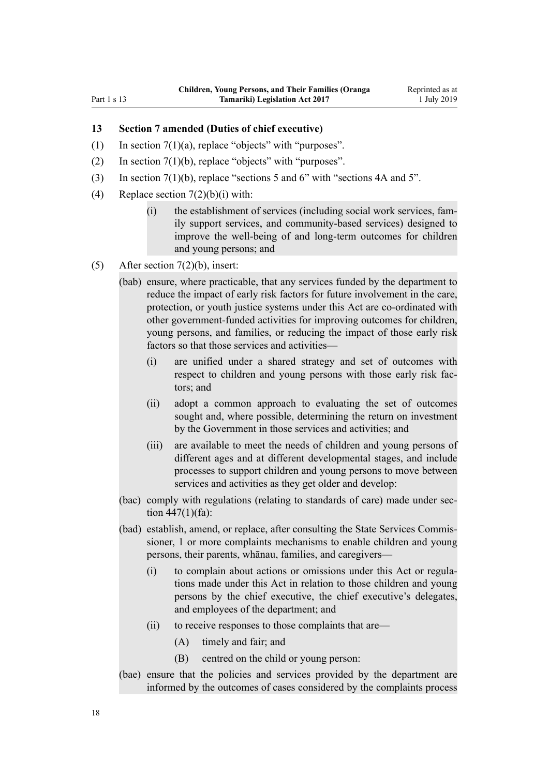#### <span id="page-17-0"></span>Part 1 s 13

#### **13 Section 7 amended (Duties of chief executive)**

- (1) In section  $7(1)(a)$ , replace "objects" with "purposes".
- (2) In section  $7(1)(b)$ , replace "objects" with "purposes".
- (3) In [section 7\(1\)\(b\),](http://legislation.govt.nz/pdflink.aspx?id=DLM149444) replace "sections 5 and 6" with "sections 4A and 5".
- (4) Replace section  $7(2)(b)(i)$  with:
	- (i) the establishment of services (including social work services, family support services, and community-based services) designed to improve the well-being of and long-term outcomes for children and young persons; and
- (5) After [section 7\(2\)\(b\)](http://legislation.govt.nz/pdflink.aspx?id=DLM149444), insert:
	- (bab) ensure, where practicable, that any services funded by the department to reduce the impact of early risk factors for future involvement in the care, protection, or youth justice systems under this Act are co-ordinated with other government-funded activities for improving outcomes for children, young persons, and families, or reducing the impact of those early risk factors so that those services and activities—
		- (i) are unified under a shared strategy and set of outcomes with respect to children and young persons with those early risk factors; and
		- (ii) adopt a common approach to evaluating the set of outcomes sought and, where possible, determining the return on investment by the Government in those services and activities; and
		- (iii) are available to meet the needs of children and young persons of different ages and at different developmental stages, and include processes to support children and young persons to move between services and activities as they get older and develop:
	- (bac) comply with regulations (relating to standards of care) made under section  $447(1)$ (fa):
	- (bad) establish, amend, or replace, after consulting the State Services Commissioner, 1 or more complaints mechanisms to enable children and young persons, their parents, whānau, families, and caregivers—
		- (i) to complain about actions or omissions under this Act or regulations made under this Act in relation to those children and young persons by the chief executive, the chief executive's delegates, and employees of the department; and
		- (ii) to receive responses to those complaints that are—
			- (A) timely and fair; and
			- (B) centred on the child or young person:
	- (bae) ensure that the policies and services provided by the department are informed by the outcomes of cases considered by the complaints process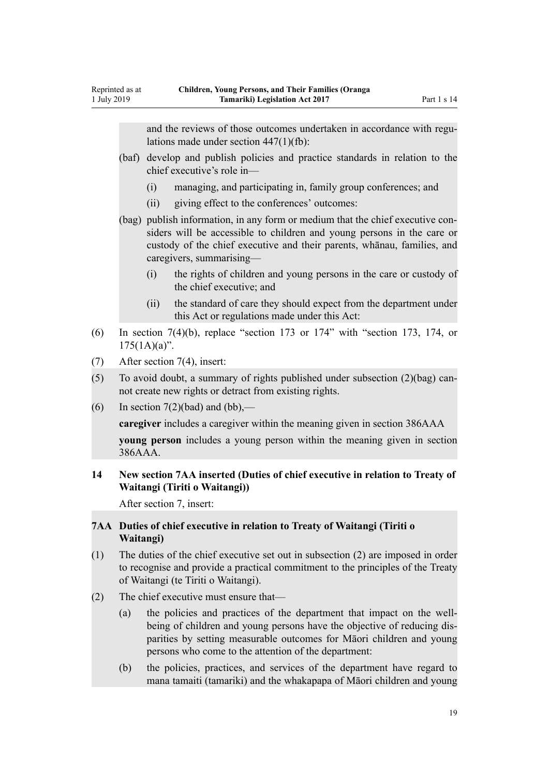<span id="page-18-0"></span>and the reviews of those outcomes undertaken in accordance with regulations made under section 447(1)(fb):

- (baf) develop and publish policies and practice standards in relation to the chief executive's role in—
	- (i) managing, and participating in, family group conferences; and
	- (ii) giving effect to the conferences' outcomes:
- (bag) publish information, in any form or medium that the chief executive considers will be accessible to children and young persons in the care or custody of the chief executive and their parents, whānau, families, and caregivers, summarising—
	- (i) the rights of children and young persons in the care or custody of the chief executive; and
	- (ii) the standard of care they should expect from the department under this Act or regulations made under this Act:
- (6) In section  $7(4)(b)$ , replace "section 173 or 174" with "section 173, 174, or  $175(1A)(a)$ ".
- (7) After [section 7\(4\),](http://legislation.govt.nz/pdflink.aspx?id=DLM149444) insert:
- (5) To avoid doubt, a summary of rights published under subsection (2)(bag) cannot create new rights or detract from existing rights.
- (6) In section  $7(2)(bad)$  and  $(bb)$ ,—

**caregiver** includes a caregiver within the meaning given in section 386AAA

**young person** includes a young person within the meaning given in section 386AAA.

# **14 New section 7AA inserted (Duties of chief executive in relation to Treaty of Waitangi (Tiriti o Waitangi))**

After [section 7,](http://legislation.govt.nz/pdflink.aspx?id=DLM149444) insert:

#### **7AA Duties of chief executive in relation to Treaty of Waitangi (Tiriti o Waitangi)**

- (1) The duties of the chief executive set out in subsection (2) are imposed in order to recognise and provide a practical commitment to the principles of the Treaty of Waitangi (te Tiriti o Waitangi).
- (2) The chief executive must ensure that—
	- (a) the policies and practices of the department that impact on the wellbeing of children and young persons have the objective of reducing disparities by setting measurable outcomes for Māori children and young persons who come to the attention of the department:
	- (b) the policies, practices, and services of the department have regard to mana tamaiti (tamariki) and the whakapapa of Māori children and young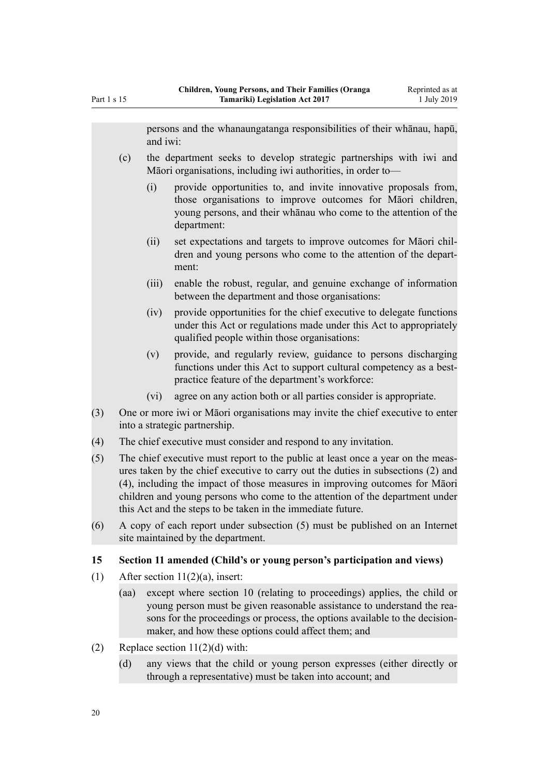<span id="page-19-0"></span>persons and the whanaungatanga responsibilities of their whānau, hapū, and iwi:

- (c) the department seeks to develop strategic partnerships with iwi and Māori organisations, including iwi authorities, in order to—
	- (i) provide opportunities to, and invite innovative proposals from, those organisations to improve outcomes for Māori children, young persons, and their whānau who come to the attention of the department:
	- (ii) set expectations and targets to improve outcomes for Māori children and young persons who come to the attention of the department:
	- (iii) enable the robust, regular, and genuine exchange of information between the department and those organisations:
	- (iv) provide opportunities for the chief executive to delegate functions under this Act or regulations made under this Act to appropriately qualified people within those organisations:
	- (v) provide, and regularly review, guidance to persons discharging functions under this Act to support cultural competency as a bestpractice feature of the department's workforce:
	- (vi) agree on any action both or all parties consider is appropriate.
- (3) One or more iwi or Māori organisations may invite the chief executive to enter into a strategic partnership.
- (4) The chief executive must consider and respond to any invitation.
- (5) The chief executive must report to the public at least once a year on the measures taken by the chief executive to carry out the duties in subsections (2) and (4), including the impact of those measures in improving outcomes for Māori children and young persons who come to the attention of the department under this Act and the steps to be taken in the immediate future.
- (6) A copy of each report under subsection (5) must be published on an Internet site maintained by the department.

# **15 Section 11 amended (Child's or young person's participation and views)**

- (1) After section  $11(2)(a)$ , insert:
	- (aa) except where section 10 (relating to proceedings) applies, the child or young person must be given reasonable assistance to understand the reasons for the proceedings or process, the options available to the decisionmaker, and how these options could affect them; and
- (2) Replace section  $11(2)(d)$  with:
	- (d) any views that the child or young person expresses (either directly or through a representative) must be taken into account; and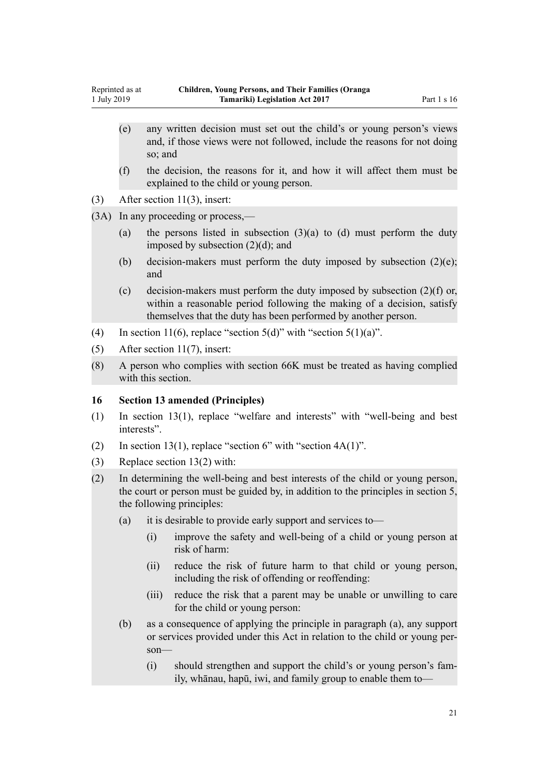- <span id="page-20-0"></span>(e) any written decision must set out the child's or young person's views and, if those views were not followed, include the reasons for not doing so; and
- (f) the decision, the reasons for it, and how it will affect them must be explained to the child or young person.
- (3) After [section 11\(3\)](http://legislation.govt.nz/pdflink.aspx?id=DLM149450), insert:

(3A) In any proceeding or process,—

- (a) the persons listed in subsection  $(3)(a)$  to  $(d)$  must perform the duty imposed by subsection (2)(d); and
- (b) decision-makers must perform the duty imposed by subsection  $(2)(e)$ ; and
- (c) decision-makers must perform the duty imposed by subsection  $(2)(f)$  or, within a reasonable period following the making of a decision, satisfy themselves that the duty has been performed by another person.
- (4) In [section 11\(6\),](http://legislation.govt.nz/pdflink.aspx?id=DLM149450) replace "section 5(d)" with "section 5(1)(a)".
- (5) After [section 11\(7\)](http://legislation.govt.nz/pdflink.aspx?id=DLM149450), insert:
- (8) A person who complies with section 66K must be treated as having complied with this section.

#### **16 Section 13 amended (Principles)**

- (1) In [section 13\(1\)](http://legislation.govt.nz/pdflink.aspx?id=DLM149454), replace "welfare and interests" with "well-being and best interests".
- (2) In [section 13\(1\)](http://legislation.govt.nz/pdflink.aspx?id=DLM149454), replace "section 6" with "section  $4A(1)$ ".
- (3) Replace [section 13\(2\)](http://legislation.govt.nz/pdflink.aspx?id=DLM149454) with:
- (2) In determining the well-being and best interests of the child or young person, the court or person must be guided by, in addition to the principles in section 5, the following principles:
	- (a) it is desirable to provide early support and services to—
		- (i) improve the safety and well-being of a child or young person at risk of harm:
		- (ii) reduce the risk of future harm to that child or young person, including the risk of offending or reoffending:
		- (iii) reduce the risk that a parent may be unable or unwilling to care for the child or young person:
	- (b) as a consequence of applying the principle in paragraph (a), any support or services provided under this Act in relation to the child or young person—
		- (i) should strengthen and support the child's or young person's family, whānau, hapū, iwi, and family group to enable them to—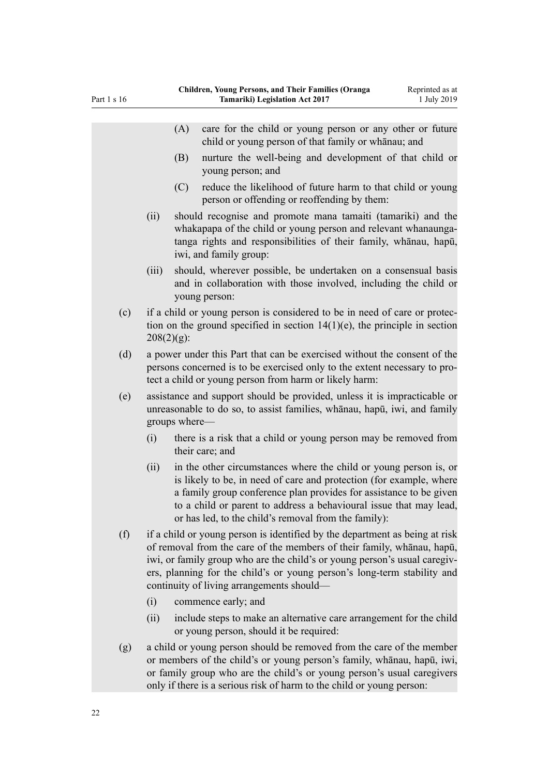| Part 1 s 16 | патен, тоанд т егзонз, ана т нен т анниез (Отанда<br>would as a<br>Tamariki) Legislation Act 2017<br>1 July 2019                                                                                                                                                                                                                                           |
|-------------|------------------------------------------------------------------------------------------------------------------------------------------------------------------------------------------------------------------------------------------------------------------------------------------------------------------------------------------------------------|
|             | care for the child or young person or any other or future<br>(A)<br>child or young person of that family or whanau; and                                                                                                                                                                                                                                    |
|             | nurture the well-being and development of that child or<br>(B)<br>young person; and                                                                                                                                                                                                                                                                        |
|             | reduce the likelihood of future harm to that child or young<br>(C)<br>person or offending or reoffending by them:                                                                                                                                                                                                                                          |
|             | (ii)<br>should recognise and promote mana tamaiti (tamariki) and the<br>whakapapa of the child or young person and relevant whanaunga-<br>tanga rights and responsibilities of their family, whanau, hapu,<br>iwi, and family group:                                                                                                                       |
|             | should, wherever possible, be undertaken on a consensual basis<br>(iii)<br>and in collaboration with those involved, including the child or<br>young person:                                                                                                                                                                                               |
| (c)         | if a child or young person is considered to be in need of care or protec-<br>tion on the ground specified in section $14(1)(e)$ , the principle in section<br>$208(2)(g)$ :                                                                                                                                                                                |
| (d)         | a power under this Part that can be exercised without the consent of the<br>persons concerned is to be exercised only to the extent necessary to pro-<br>tect a child or young person from harm or likely harm:                                                                                                                                            |
| (e)         | assistance and support should be provided, unless it is impracticable or<br>unreasonable to do so, to assist families, whanau, hapu, iwi, and family<br>groups where—                                                                                                                                                                                      |
|             | there is a risk that a child or young person may be removed from<br>(i)<br>their care; and                                                                                                                                                                                                                                                                 |
|             | in the other circumstances where the child or young person is, or<br>(ii)<br>is likely to be, in need of care and protection (for example, where<br>a family group conference plan provides for assistance to be given<br>to a child or parent to address a behavioural issue that may lead,<br>or has led, to the child's removal from the family):       |
| (f)         | if a child or young person is identified by the department as being at risk<br>of removal from the care of the members of their family, whanau, hapu,<br>iwi, or family group who are the child's or young person's usual caregiv-<br>ers, planning for the child's or young person's long-term stability and<br>continuity of living arrangements should— |
|             | (i)<br>commence early; and                                                                                                                                                                                                                                                                                                                                 |
|             | include steps to make an alternative care arrangement for the child<br>(ii)<br>or young person, should it be required:                                                                                                                                                                                                                                     |
| (g)         | a child or young person should be removed from the care of the member<br>or members of the child's or young person's family, whanau, hapu, iwi,<br>or family group who are the child's or young person's usual caregivers<br>only if there is a serious risk of harm to the child or young person:                                                         |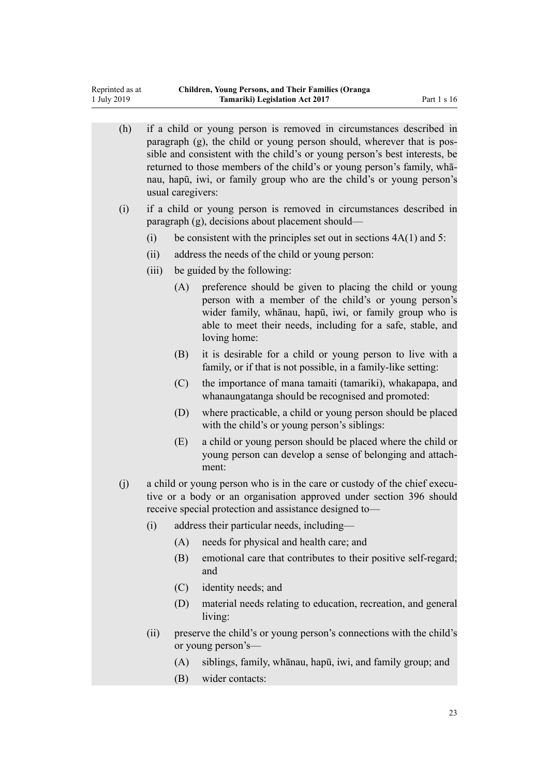Reprinted as at 1 July 2019

|  | (h) | if a child or young person is removed in circumstances described in<br>paragraph (g), the child or young person should, wherever that is pos-<br>sible and consistent with the child's or young person's best interests, be<br>returned to those members of the child's or young person's family, wha-<br>nau, hapū, iwi, or family group who are the child's or young person's<br>usual caregivers: |                             |                                                                                                                                                                                                                                                             |  |  |
|--|-----|------------------------------------------------------------------------------------------------------------------------------------------------------------------------------------------------------------------------------------------------------------------------------------------------------------------------------------------------------------------------------------------------------|-----------------------------|-------------------------------------------------------------------------------------------------------------------------------------------------------------------------------------------------------------------------------------------------------------|--|--|
|  | (i) | if a child or young person is removed in circumstances described in<br>paragraph (g), decisions about placement should—                                                                                                                                                                                                                                                                              |                             |                                                                                                                                                                                                                                                             |  |  |
|  |     | (i)                                                                                                                                                                                                                                                                                                                                                                                                  |                             | be consistent with the principles set out in sections $4A(1)$ and 5:                                                                                                                                                                                        |  |  |
|  |     | (ii)                                                                                                                                                                                                                                                                                                                                                                                                 |                             | address the needs of the child or young person:                                                                                                                                                                                                             |  |  |
|  |     | (iii)                                                                                                                                                                                                                                                                                                                                                                                                | be guided by the following: |                                                                                                                                                                                                                                                             |  |  |
|  |     |                                                                                                                                                                                                                                                                                                                                                                                                      | (A)                         | preference should be given to placing the child or young<br>person with a member of the child's or young person's<br>wider family, whānau, hapū, iwi, or family group who is<br>able to meet their needs, including for a safe, stable, and<br>loving home: |  |  |
|  |     |                                                                                                                                                                                                                                                                                                                                                                                                      | (B)                         | it is desirable for a child or young person to live with a<br>family, or if that is not possible, in a family-like setting:                                                                                                                                 |  |  |
|  |     |                                                                                                                                                                                                                                                                                                                                                                                                      | (C)                         | the importance of mana tamaiti (tamariki), whakapapa, and<br>whanaungatanga should be recognised and promoted:                                                                                                                                              |  |  |
|  |     |                                                                                                                                                                                                                                                                                                                                                                                                      | (D)                         | where practicable, a child or young person should be placed<br>with the child's or young person's siblings:                                                                                                                                                 |  |  |
|  |     |                                                                                                                                                                                                                                                                                                                                                                                                      | (E)                         | a child or young person should be placed where the child or<br>young person can develop a sense of belonging and attach-<br>ment:                                                                                                                           |  |  |
|  | (j) | a child or young person who is in the care or custody of the chief execu-<br>tive or a body or an organisation approved under section 396 should<br>receive special protection and assistance designed to-                                                                                                                                                                                           |                             |                                                                                                                                                                                                                                                             |  |  |
|  |     | (i)                                                                                                                                                                                                                                                                                                                                                                                                  |                             | address their particular needs, including-                                                                                                                                                                                                                  |  |  |
|  |     |                                                                                                                                                                                                                                                                                                                                                                                                      | (A)                         | needs for physical and health care; and                                                                                                                                                                                                                     |  |  |
|  |     |                                                                                                                                                                                                                                                                                                                                                                                                      | (B)                         | emotional care that contributes to their positive self-regard;<br>and                                                                                                                                                                                       |  |  |
|  |     |                                                                                                                                                                                                                                                                                                                                                                                                      | (C)                         | identity needs; and                                                                                                                                                                                                                                         |  |  |
|  |     |                                                                                                                                                                                                                                                                                                                                                                                                      | (D)                         | material needs relating to education, recreation, and general<br>living:                                                                                                                                                                                    |  |  |
|  |     | (ii)                                                                                                                                                                                                                                                                                                                                                                                                 |                             | preserve the child's or young person's connections with the child's<br>or young person's—                                                                                                                                                                   |  |  |
|  |     |                                                                                                                                                                                                                                                                                                                                                                                                      | (A)                         | siblings, family, whānau, hapū, iwi, and family group; and                                                                                                                                                                                                  |  |  |

(B) wider contacts: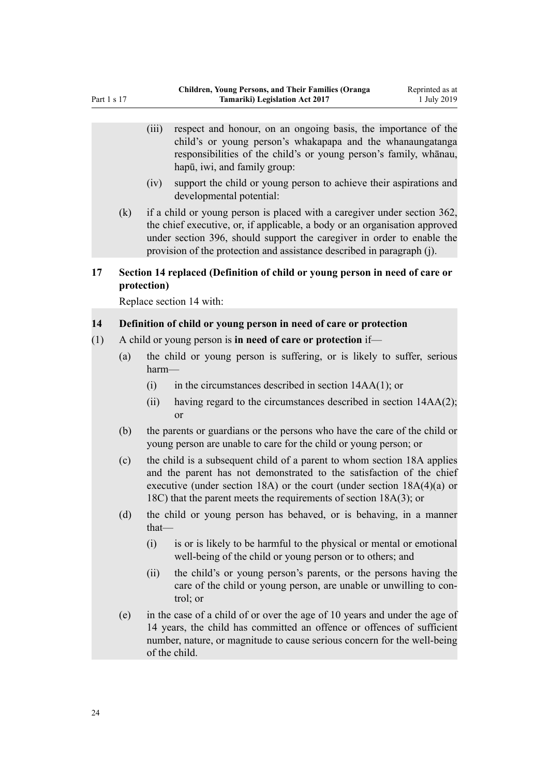- <span id="page-23-0"></span>(iii) respect and honour, on an ongoing basis, the importance of the child's or young person's whakapapa and the whanaungatanga responsibilities of the child's or young person's family, whānau, hapū, iwi, and family group: (iv) support the child or young person to achieve their aspirations and developmental potential: (k) if a child or young person is placed with a caregiver under section 362, the chief executive, or, if applicable, a body or an organisation approved under section 396, should support the caregiver in order to enable the provision of the protection and assistance described in paragraph (j). **17 Section 14 replaced (Definition of child or young person in need of care or protection)** Replace [section 14](http://legislation.govt.nz/pdflink.aspx?id=DLM149457) with: **14 Definition of child or young person in need of care or protection** (1) A child or young person is **in need of care or protection** if— (a) the child or young person is suffering, or is likely to suffer, serious harm—
	- $(i)$  in the circumstances described in section 14AA(1); or
	- (ii) having regard to the circumstances described in section 14AA(2); or
	- (b) the parents or guardians or the persons who have the care of the child or young person are unable to care for the child or young person; or
	- (c) the child is a subsequent child of a parent to whom section 18A applies and the parent has not demonstrated to the satisfaction of the chief executive (under section 18A) or the court (under section 18A(4)(a) or 18C) that the parent meets the requirements of section 18A(3); or
	- (d) the child or young person has behaved, or is behaving, in a manner that—
		- (i) is or is likely to be harmful to the physical or mental or emotional well-being of the child or young person or to others; and
		- (ii) the child's or young person's parents, or the persons having the care of the child or young person, are unable or unwilling to control; or
	- (e) in the case of a child of or over the age of 10 years and under the age of 14 years, the child has committed an offence or offences of sufficient number, nature, or magnitude to cause serious concern for the well-being of the child.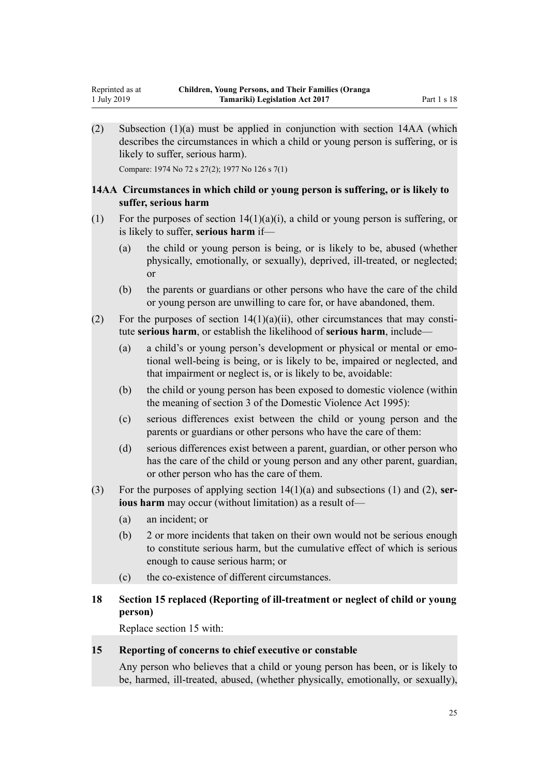(2) Subsection (1)(a) must be applied in conjunction with section 14AA (which describes the circumstances in which a child or young person is suffering, or is likely to suffer, serious harm).

Compare: 1974 No 72 s 27(2); 1977 No 126 s 7(1)

<span id="page-24-0"></span>1 July 2019

#### **14AA Circumstances in which child or young person is suffering, or is likely to suffer, serious harm**

- (1) For the purposes of section  $14(1)(a)(i)$ , a child or young person is suffering, or is likely to suffer, **serious harm** if—
	- (a) the child or young person is being, or is likely to be, abused (whether physically, emotionally, or sexually), deprived, ill-treated, or neglected; or
	- (b) the parents or guardians or other persons who have the care of the child or young person are unwilling to care for, or have abandoned, them.
- (2) For the purposes of section  $14(1)(a)(ii)$ , other circumstances that may constitute **serious harm**, or establish the likelihood of **serious harm**, include—
	- (a) a child's or young person's development or physical or mental or emotional well-being is being, or is likely to be, impaired or neglected, and that impairment or neglect is, or is likely to be, avoidable:
	- (b) the child or young person has been exposed to domestic violence (within the meaning of section 3 of the Domestic Violence Act 1995):
	- (c) serious differences exist between the child or young person and the parents or guardians or other persons who have the care of them:
	- (d) serious differences exist between a parent, guardian, or other person who has the care of the child or young person and any other parent, guardian, or other person who has the care of them.
- (3) For the purposes of applying section 14(1)(a) and subsections (1) and (2), **serious harm** may occur (without limitation) as a result of—
	- (a) an incident; or
	- (b) 2 or more incidents that taken on their own would not be serious enough to constitute serious harm, but the cumulative effect of which is serious enough to cause serious harm; or
	- (c) the co-existence of different circumstances.

# **18 Section 15 replaced (Reporting of ill-treatment or neglect of child or young person)**

Replace [section 15](http://legislation.govt.nz/pdflink.aspx?id=DLM149467) with:

#### **15 Reporting of concerns to chief executive or constable**

Any person who believes that a child or young person has been, or is likely to be, harmed, ill-treated, abused, (whether physically, emotionally, or sexually),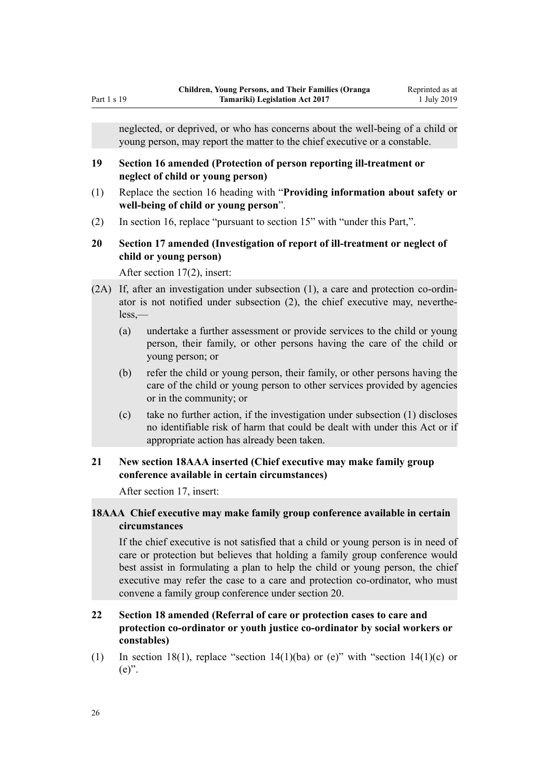<span id="page-25-0"></span>neglected, or deprived, or who has concerns about the well-being of a child or young person, may report the matter to the chief executive or a constable.

#### **19 Section 16 amended (Protection of person reporting ill-treatment or neglect of child or young person)**

- (1) Replace the [section 16](http://legislation.govt.nz/pdflink.aspx?id=DLM149468) heading with "**Providing information about safety or well-being of child or young person**".
- (2) In [section 16,](http://legislation.govt.nz/pdflink.aspx?id=DLM149468) replace "pursuant to section 15" with "under this Part,".

# **20 Section 17 amended (Investigation of report of ill-treatment or neglect of child or young person)**

After [section 17\(2\),](http://legislation.govt.nz/pdflink.aspx?id=DLM149470) insert:

- (2A) If, after an investigation under subsection (1), a care and protection co-ordinator is not notified under subsection (2), the chief executive may, nevertheless,—
	- (a) undertake a further assessment or provide services to the child or young person, their family, or other persons having the care of the child or young person; or
	- (b) refer the child or young person, their family, or other persons having the care of the child or young person to other services provided by agencies or in the community; or
	- (c) take no further action, if the investigation under subsection (1) discloses no identifiable risk of harm that could be dealt with under this Act or if appropriate action has already been taken.

# **21 New section 18AAA inserted (Chief executive may make family group conference available in certain circumstances)**

After [section 17](http://legislation.govt.nz/pdflink.aspx?id=DLM149470), insert:

# **18AAA Chief executive may make family group conference available in certain circumstances**

If the chief executive is not satisfied that a child or young person is in need of care or protection but believes that holding a family group conference would best assist in formulating a plan to help the child or young person, the chief executive may refer the case to a care and protection co-ordinator, who must convene a family group conference under section 20.

# **22 Section 18 amended (Referral of care or protection cases to care and protection co-ordinator or youth justice co-ordinator by social workers or constables)**

(1) In [section 18\(1\)](http://legislation.govt.nz/pdflink.aspx?id=DLM149472), replace "section 14(1)(ba) or (e)" with "section 14(1)(c) or (e)".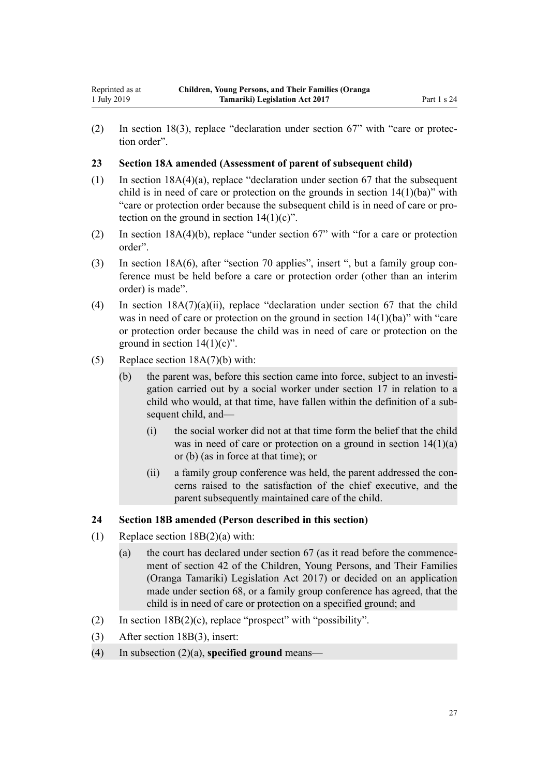<span id="page-26-0"></span>(2) In [section 18\(3\),](http://legislation.govt.nz/pdflink.aspx?id=DLM149472) replace "declaration under section 67" with "care or protection order".

#### **23 Section 18A amended (Assessment of parent of subsequent child)**

- (1) In [section 18A\(4\)\(a\)](http://legislation.govt.nz/pdflink.aspx?id=DLM6889643), replace "declaration under section 67 that the subsequent child is in need of care or protection on the grounds in section  $14(1)(ba)$ " with "care or protection order because the subsequent child is in need of care or protection on the ground in section  $14(1)(c)$ ".
- (2) In [section 18A\(4\)\(b\)](http://legislation.govt.nz/pdflink.aspx?id=DLM6889643), replace "under section 67" with "for a care or protection order".
- (3) In [section 18A\(6\),](http://legislation.govt.nz/pdflink.aspx?id=DLM6889643) after "section 70 applies", insert ", but a family group conference must be held before a care or protection order (other than an interim order) is made".
- (4) In section  $18A(7)(a)(ii)$ , replace "declaration under section 67 that the child was in need of care or protection on the ground in section 14(1)(ba)" with "care or protection order because the child was in need of care or protection on the ground in section  $14(1)(c)$ ".
- (5) Replace [section 18A\(7\)\(b\)](http://legislation.govt.nz/pdflink.aspx?id=DLM6889643) with:
	- (b) the parent was, before this section came into force, subject to an investigation carried out by a social worker under section 17 in relation to a child who would, at that time, have fallen within the definition of a subsequent child, and—
		- (i) the social worker did not at that time form the belief that the child was in need of care or protection on a ground in section  $14(1)(a)$ or (b) (as in force at that time); or
		- (ii) a family group conference was held, the parent addressed the concerns raised to the satisfaction of the chief executive, and the parent subsequently maintained care of the child.

#### **24 Section 18B amended (Person described in this section)**

- (1) Replace [section 18B\(2\)\(a\)](http://legislation.govt.nz/pdflink.aspx?id=DLM6889619) with:
	- (a) the court has declared under section 67 (as it read before the commencement of section 42 of the Children, Young Persons, and Their Families (Oranga Tamariki) Legislation Act 2017) or decided on an application made under section 68, or a family group conference has agreed, that the child is in need of care or protection on a specified ground; and
- (2) In section  $18B(2)(c)$ , replace "prospect" with "possibility".
- (3) After [section 18B\(3\)](http://legislation.govt.nz/pdflink.aspx?id=DLM6889619), insert:
- (4) In subsection (2)(a), **specified ground** means—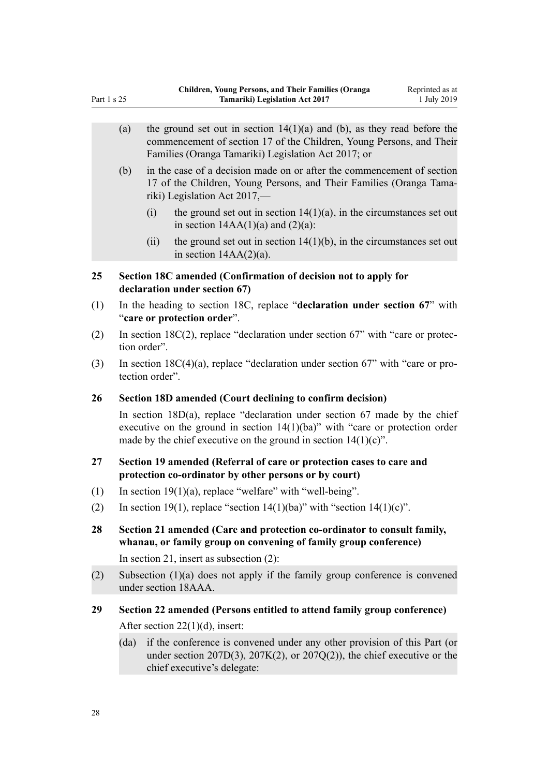<span id="page-27-0"></span>

|     | (a)                                                                                                                                         |                                                                                                           | the ground set out in section $14(1)(a)$ and (b), as they read before the<br>commencement of section 17 of the Children, Young Persons, and Their<br>Families (Oranga Tamariki) Legislation Act 2017; or                               |  |  |
|-----|---------------------------------------------------------------------------------------------------------------------------------------------|-----------------------------------------------------------------------------------------------------------|----------------------------------------------------------------------------------------------------------------------------------------------------------------------------------------------------------------------------------------|--|--|
|     | (b)                                                                                                                                         |                                                                                                           | in the case of a decision made on or after the commencement of section<br>17 of the Children, Young Persons, and Their Families (Oranga Tama-<br>riki) Legislation Act 2017,—                                                          |  |  |
|     |                                                                                                                                             | (i)                                                                                                       | the ground set out in section $14(1)(a)$ , in the circumstances set out<br>in section $14AA(1)(a)$ and $(2)(a)$ :                                                                                                                      |  |  |
|     |                                                                                                                                             | (ii)                                                                                                      | the ground set out in section $14(1)(b)$ , in the circumstances set out<br>in section $14AA(2)(a)$ .                                                                                                                                   |  |  |
| 25  |                                                                                                                                             |                                                                                                           | Section 18C amended (Confirmation of decision not to apply for<br>declaration under section 67)                                                                                                                                        |  |  |
| (1) |                                                                                                                                             | In the heading to section 18C, replace "declaration under section 67" with<br>"care or protection order". |                                                                                                                                                                                                                                        |  |  |
| (2) |                                                                                                                                             | In section $18C(2)$ , replace "declaration under section 67" with "care or protec-<br>tion order".        |                                                                                                                                                                                                                                        |  |  |
| (3) |                                                                                                                                             | In section $18C(4)(a)$ , replace "declaration under section 67" with "care or pro-<br>tection order".     |                                                                                                                                                                                                                                        |  |  |
| 26  | Section 18D amended (Court declining to confirm decision)                                                                                   |                                                                                                           |                                                                                                                                                                                                                                        |  |  |
|     |                                                                                                                                             |                                                                                                           | In section $18D(a)$ , replace "declaration under section 67 made by the chief<br>executive on the ground in section $14(1)(ba)$ " with "care or protection order<br>made by the chief executive on the ground in section $14(1)(c)$ ". |  |  |
| 27  | Section 19 amended (Referral of care or protection cases to care and<br>protection co-ordinator by other persons or by court)               |                                                                                                           |                                                                                                                                                                                                                                        |  |  |
| (1) |                                                                                                                                             | In section $19(1)(a)$ , replace "welfare" with "well-being".                                              |                                                                                                                                                                                                                                        |  |  |
| (2) |                                                                                                                                             | In section 19(1), replace "section 14(1)(ba)" with "section 14(1)(c)".                                    |                                                                                                                                                                                                                                        |  |  |
| 28  | Section 21 amended (Care and protection co-ordinator to consult family,<br>whanau, or family group on convening of family group conference) |                                                                                                           |                                                                                                                                                                                                                                        |  |  |
|     |                                                                                                                                             |                                                                                                           | In section 21, insert as subsection $(2)$ :                                                                                                                                                                                            |  |  |
| (2) |                                                                                                                                             | Subsection $(1)(a)$ does not apply if the family group conference is convened<br>under section 18AAA.     |                                                                                                                                                                                                                                        |  |  |
| 29  |                                                                                                                                             |                                                                                                           | Section 22 amended (Persons entitled to attend family group conference)                                                                                                                                                                |  |  |
|     | After section $22(1)(d)$ , insert:                                                                                                          |                                                                                                           |                                                                                                                                                                                                                                        |  |  |
|     | (da)                                                                                                                                        |                                                                                                           | if the conference is convened under any other provision of this Part (or<br>under section 207D(3), 207K(2), or 207Q(2)), the chief executive or the<br>chief executive's delegate:                                                     |  |  |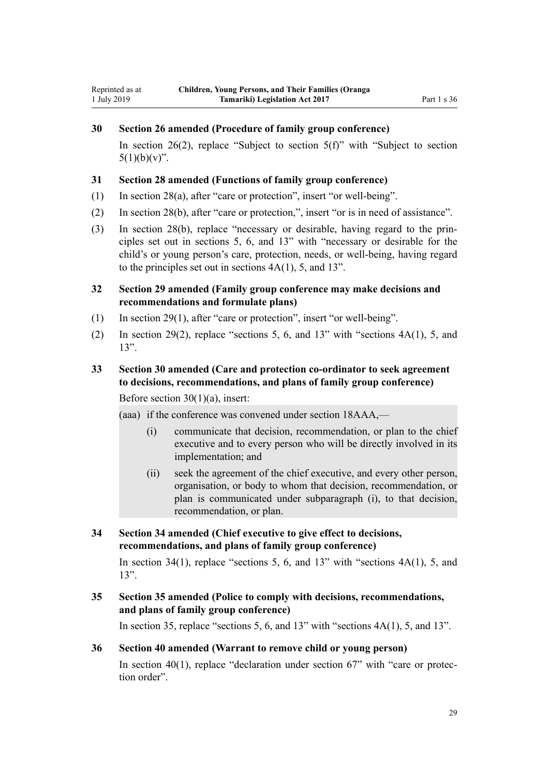# <span id="page-28-0"></span>**30 Section 26 amended (Procedure of family group conference)**

In [section 26\(2\),](http://legislation.govt.nz/pdflink.aspx?id=DLM149486) replace "Subject to section  $5(f)$ " with "Subject to section  $5(1)(b)(v)$ ".

#### **31 Section 28 amended (Functions of family group conference)**

- (1) In [section 28\(a\)](http://legislation.govt.nz/pdflink.aspx?id=DLM149488), after "care or protection", insert "or well-being".
- (2) In [section 28\(b\)](http://legislation.govt.nz/pdflink.aspx?id=DLM149488), after "care or protection,", insert "or is in need of assistance".
- (3) In [section 28\(b\)](http://legislation.govt.nz/pdflink.aspx?id=DLM149488), replace "necessary or desirable, having regard to the principles set out in sections 5, 6, and 13" with "necessary or desirable for the child's or young person's care, protection, needs, or well-being, having regard to the principles set out in sections 4A(1), 5, and 13".
- **32 Section 29 amended (Family group conference may make decisions and recommendations and formulate plans)**
- (1) In [section 29\(1\)](http://legislation.govt.nz/pdflink.aspx?id=DLM149489), after "care or protection", insert "or well-being".
- (2) In [section 29\(2\)](http://legislation.govt.nz/pdflink.aspx?id=DLM149489), replace "sections 5, 6, and 13" with "sections 4A(1), 5, and 13".

# **33 Section 30 amended (Care and protection co-ordinator to seek agreement to decisions, recommendations, and plans of family group conference)**

Before section  $30(1)(a)$ , insert:

(aaa) if the conference was convened under section 18AAA,—

- (i) communicate that decision, recommendation, or plan to the chief executive and to every person who will be directly involved in its implementation; and
- (ii) seek the agreement of the chief executive, and every other person, organisation, or body to whom that decision, recommendation, or plan is communicated under subparagraph (i), to that decision, recommendation, or plan.
- **34 Section 34 amended (Chief executive to give effect to decisions, recommendations, and plans of family group conference)**

In [section 34\(1\)](http://legislation.govt.nz/pdflink.aspx?id=DLM149495), replace "sections 5, 6, and 13" with "sections  $4A(1)$ , 5, and 13".

**35 Section 35 amended (Police to comply with decisions, recommendations, and plans of family group conference)**

In [section 35,](http://legislation.govt.nz/pdflink.aspx?id=DLM149497) replace "sections 5, 6, and  $13$ " with "sections  $4A(1)$ , 5, and  $13$ ".

#### **36 Section 40 amended (Warrant to remove child or young person)**

In section  $40(1)$ , replace "declaration under section  $67$ " with "care or protection order".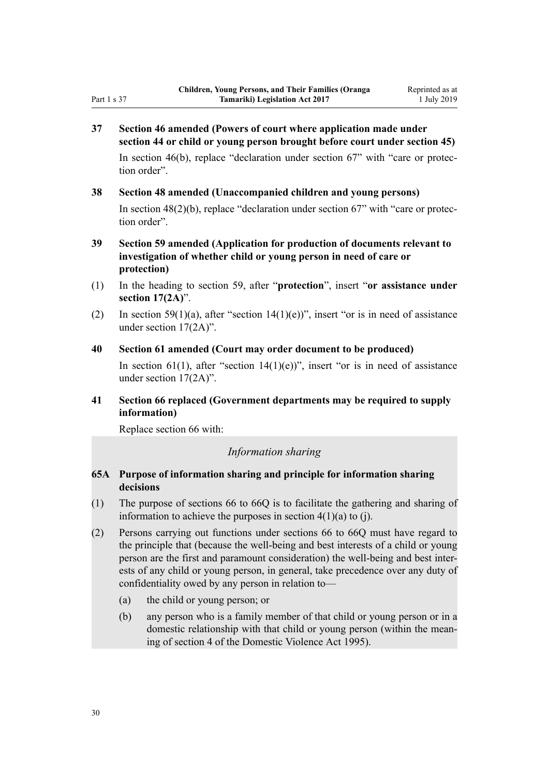<span id="page-29-0"></span>**37 Section 46 amended (Powers of court where application made under section 44 or child or young person brought before court under section 45)**

In [section 46\(b\),](http://legislation.govt.nz/pdflink.aspx?id=DLM150018) replace "declaration under section 67" with "care or protection order".

**38 Section 48 amended (Unaccompanied children and young persons)**

In [section 48\(2\)\(b\)](http://legislation.govt.nz/pdflink.aspx?id=DLM150022), replace "declaration under section 67" with "care or protection order".

- **39 Section 59 amended (Application for production of documents relevant to investigation of whether child or young person in need of care or protection)**
- (1) In the heading to [section 59,](http://legislation.govt.nz/pdflink.aspx?id=DLM150042) after "**protection**", insert "**or assistance under section 17(2A)**".
- (2) In [section 59\(1\)\(a\)](http://legislation.govt.nz/pdflink.aspx?id=DLM150042), after "section 14(1)(e))", insert "or is in need of assistance under section 17(2A)".
- **40 Section 61 amended (Court may order document to be produced)**

In [section 61\(1\)](http://legislation.govt.nz/pdflink.aspx?id=DLM150044), after "section 14(1)(e))", insert "or is in need of assistance under section 17(2A)".

**41 Section 66 replaced (Government departments may be required to supply information)**

Replace [section 66](http://legislation.govt.nz/pdflink.aspx?id=DLM150049) with:

#### *Information sharing*

# **65A Purpose of information sharing and principle for information sharing decisions**

- (1) The purpose of sections 66 to 66Q is to facilitate the gathering and sharing of information to achieve the purposes in section  $4(1)(a)$  to (j).
- (2) Persons carrying out functions under sections 66 to 66Q must have regard to the principle that (because the well-being and best interests of a child or young person are the first and paramount consideration) the well-being and best interests of any child or young person, in general, take precedence over any duty of confidentiality owed by any person in relation to—
	- (a) the child or young person; or
	- (b) any person who is a family member of that child or young person or in a domestic relationship with that child or young person (within the meaning of section 4 of the Domestic Violence Act 1995).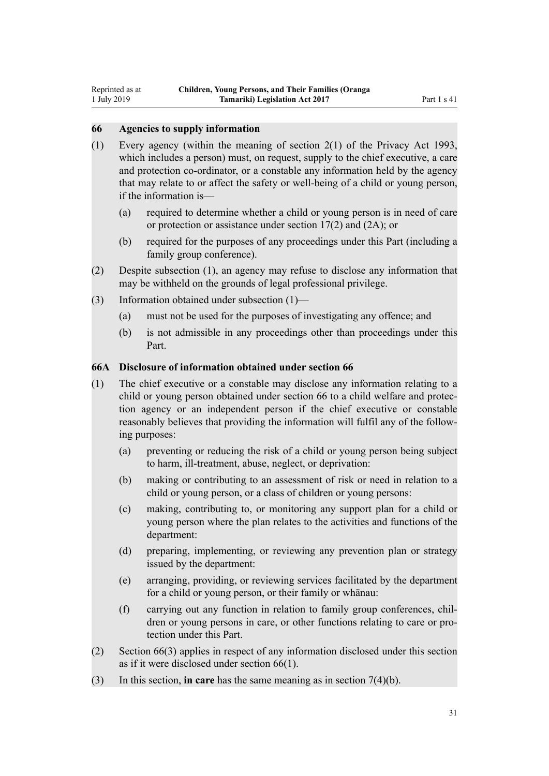#### <span id="page-30-0"></span>**66 Agencies to supply information**

- (1) Every agency (within the meaning of section 2(1) of the Privacy Act 1993, which includes a person) must, on request, supply to the chief executive, a care and protection co-ordinator, or a constable any information held by the agency that may relate to or affect the safety or well-being of a child or young person, if the information is—
	- (a) required to determine whether a child or young person is in need of care or protection or assistance under section 17(2) and (2A); or
	- (b) required for the purposes of any proceedings under this Part (including a family group conference).
- (2) Despite subsection (1), an agency may refuse to disclose any information that may be withheld on the grounds of legal professional privilege.
- (3) Information obtained under subsection (1)—
	- (a) must not be used for the purposes of investigating any offence; and
	- (b) is not admissible in any proceedings other than proceedings under this Part.

#### **66A Disclosure of information obtained under section 66**

- (1) The chief executive or a constable may disclose any information relating to a child or young person obtained under section 66 to a child welfare and protection agency or an independent person if the chief executive or constable reasonably believes that providing the information will fulfil any of the following purposes:
	- (a) preventing or reducing the risk of a child or young person being subject to harm, ill-treatment, abuse, neglect, or deprivation:
	- (b) making or contributing to an assessment of risk or need in relation to a child or young person, or a class of children or young persons:
	- (c) making, contributing to, or monitoring any support plan for a child or young person where the plan relates to the activities and functions of the department:
	- (d) preparing, implementing, or reviewing any prevention plan or strategy issued by the department:
	- (e) arranging, providing, or reviewing services facilitated by the department for a child or young person, or their family or whānau:
	- (f) carrying out any function in relation to family group conferences, children or young persons in care, or other functions relating to care or protection under this Part.
- (2) Section 66(3) applies in respect of any information disclosed under this section as if it were disclosed under section 66(1).
- (3) In this section, **in care** has the same meaning as in section 7(4)(b).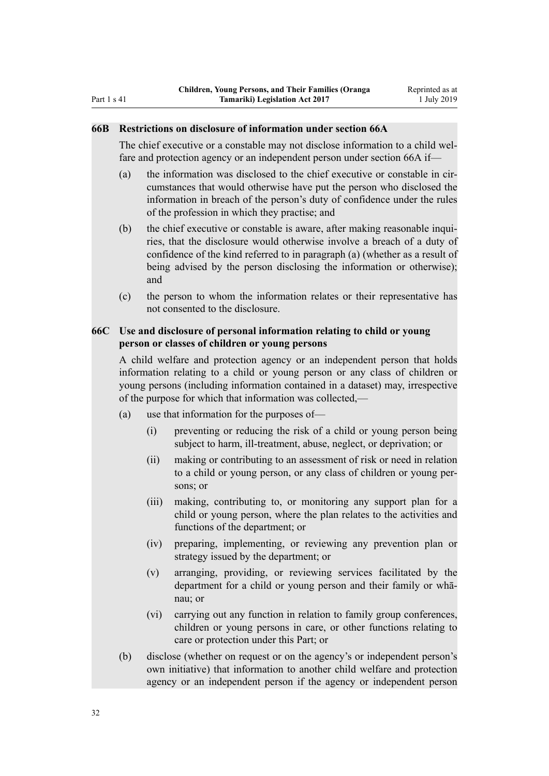# <span id="page-31-0"></span>**66B Restrictions on disclosure of information under section 66A**

The chief executive or a constable may not disclose information to a child welfare and protection agency or an independent person under section 66A if—

- (a) the information was disclosed to the chief executive or constable in circumstances that would otherwise have put the person who disclosed the information in breach of the person's duty of confidence under the rules of the profession in which they practise; and
- (b) the chief executive or constable is aware, after making reasonable inquiries, that the disclosure would otherwise involve a breach of a duty of confidence of the kind referred to in paragraph (a) (whether as a result of being advised by the person disclosing the information or otherwise); and
- (c) the person to whom the information relates or their representative has not consented to the disclosure.

### **66C Use and disclosure of personal information relating to child or young person or classes of children or young persons**

A child welfare and protection agency or an independent person that holds information relating to a child or young person or any class of children or young persons (including information contained in a dataset) may, irrespective of the purpose for which that information was collected,—

- (a) use that information for the purposes of—
	- (i) preventing or reducing the risk of a child or young person being subject to harm, ill-treatment, abuse, neglect, or deprivation; or
	- (ii) making or contributing to an assessment of risk or need in relation to a child or young person, or any class of children or young persons; or
	- (iii) making, contributing to, or monitoring any support plan for a child or young person, where the plan relates to the activities and functions of the department; or
	- (iv) preparing, implementing, or reviewing any prevention plan or strategy issued by the department; or
	- (v) arranging, providing, or reviewing services facilitated by the department for a child or young person and their family or whānau; or
	- (vi) carrying out any function in relation to family group conferences, children or young persons in care, or other functions relating to care or protection under this Part; or
- (b) disclose (whether on request or on the agency's or independent person's own initiative) that information to another child welfare and protection agency or an independent person if the agency or independent person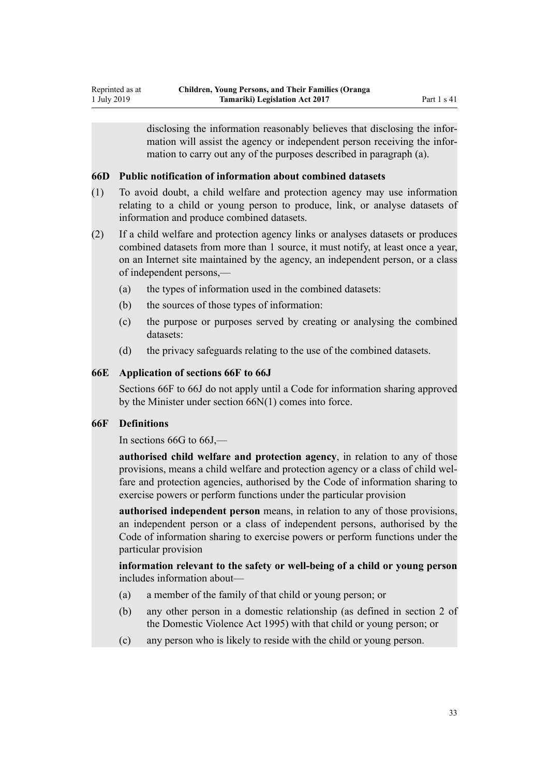<span id="page-32-0"></span>disclosing the information reasonably believes that disclosing the information will assist the agency or independent person receiving the information to carry out any of the purposes described in paragraph (a).

#### **66D Public notification of information about combined datasets**

- (1) To avoid doubt, a child welfare and protection agency may use information relating to a child or young person to produce, link, or analyse datasets of information and produce combined datasets.
- (2) If a child welfare and protection agency links or analyses datasets or produces combined datasets from more than 1 source, it must notify, at least once a year, on an Internet site maintained by the agency, an independent person, or a class of independent persons,—
	- (a) the types of information used in the combined datasets:
	- (b) the sources of those types of information:
	- (c) the purpose or purposes served by creating or analysing the combined datasets:
	- (d) the privacy safeguards relating to the use of the combined datasets.

#### **66E Application of sections 66F to 66J**

Sections 66F to 66J do not apply until a Code for information sharing approved by the Minister under section 66N(1) comes into force.

#### **66F Definitions**

In sections 66G to 66J,—

**authorised child welfare and protection agency**, in relation to any of those provisions, means a child welfare and protection agency or a class of child welfare and protection agencies, authorised by the Code of information sharing to exercise powers or perform functions under the particular provision

**authorised independent person** means, in relation to any of those provisions, an independent person or a class of independent persons, authorised by the Code of information sharing to exercise powers or perform functions under the particular provision

**information relevant to the safety or well-being of a child or young person** includes information about—

- (a) a member of the family of that child or young person; or
- (b) any other person in a domestic relationship (as defined in section 2 of the Domestic Violence Act 1995) with that child or young person; or
- (c) any person who is likely to reside with the child or young person.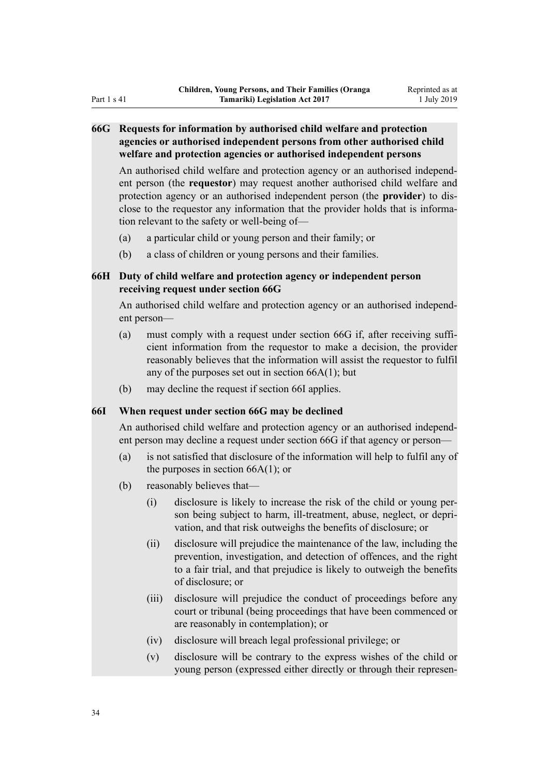# <span id="page-33-0"></span>**66G Requests for information by authorised child welfare and protection agencies or authorised independent persons from other authorised child welfare and protection agencies or authorised independent persons**

An authorised child welfare and protection agency or an authorised independent person (the **requestor**) may request another authorised child welfare and protection agency or an authorised independent person (the **provider**) to disclose to the requestor any information that the provider holds that is information relevant to the safety or well-being of—

- (a) a particular child or young person and their family; or
- (b) a class of children or young persons and their families.

# **66H Duty of child welfare and protection agency or independent person receiving request under section 66G**

An authorised child welfare and protection agency or an authorised independent person—

- (a) must comply with a request under section 66G if, after receiving sufficient information from the requestor to make a decision, the provider reasonably believes that the information will assist the requestor to fulfil any of the purposes set out in section 66A(1); but
- (b) may decline the request if section 66I applies.

#### **66I When request under section 66G may be declined**

An authorised child welfare and protection agency or an authorised independent person may decline a request under section 66G if that agency or person—

- (a) is not satisfied that disclosure of the information will help to fulfil any of the purposes in section  $66A(1)$ ; or
- (b) reasonably believes that—
	- (i) disclosure is likely to increase the risk of the child or young person being subject to harm, ill-treatment, abuse, neglect, or deprivation, and that risk outweighs the benefits of disclosure; or
	- (ii) disclosure will prejudice the maintenance of the law, including the prevention, investigation, and detection of offences, and the right to a fair trial, and that prejudice is likely to outweigh the benefits of disclosure; or
	- (iii) disclosure will prejudice the conduct of proceedings before any court or tribunal (being proceedings that have been commenced or are reasonably in contemplation); or
	- (iv) disclosure will breach legal professional privilege; or
	- (v) disclosure will be contrary to the express wishes of the child or young person (expressed either directly or through their represen-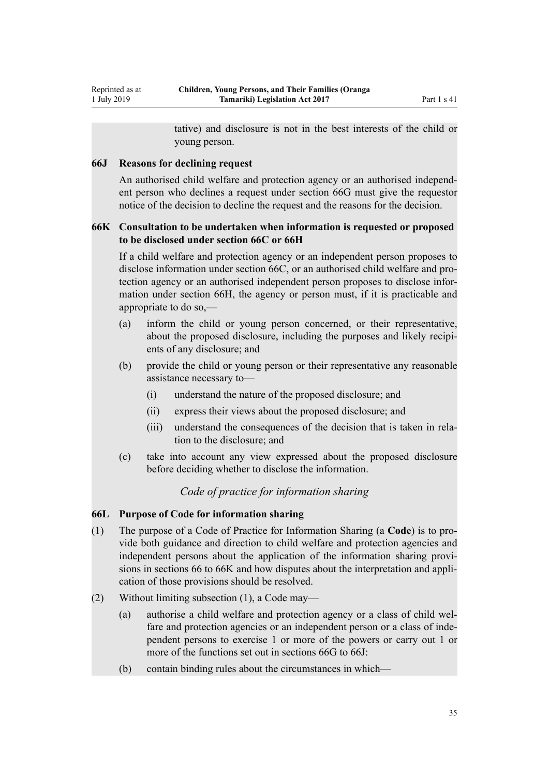tative) and disclosure is not in the best interests of the child or young person.

#### <span id="page-34-0"></span>**66J Reasons for declining request**

An authorised child welfare and protection agency or an authorised independent person who declines a request under section 66G must give the requestor notice of the decision to decline the request and the reasons for the decision.

# **66K Consultation to be undertaken when information is requested or proposed to be disclosed under section 66C or 66H**

If a child welfare and protection agency or an independent person proposes to disclose information under section 66C, or an authorised child welfare and protection agency or an authorised independent person proposes to disclose information under section 66H, the agency or person must, if it is practicable and appropriate to do so,—

- (a) inform the child or young person concerned, or their representative, about the proposed disclosure, including the purposes and likely recipients of any disclosure; and
- (b) provide the child or young person or their representative any reasonable assistance necessary to—
	- (i) understand the nature of the proposed disclosure; and
	- (ii) express their views about the proposed disclosure; and
	- (iii) understand the consequences of the decision that is taken in relation to the disclosure; and
- (c) take into account any view expressed about the proposed disclosure before deciding whether to disclose the information.

# *Code of practice for information sharing*

# **66L Purpose of Code for information sharing**

- (1) The purpose of a Code of Practice for Information Sharing (a **Code**) is to provide both guidance and direction to child welfare and protection agencies and independent persons about the application of the information sharing provisions in sections 66 to 66K and how disputes about the interpretation and application of those provisions should be resolved.
- (2) Without limiting subsection (1), a Code may—
	- (a) authorise a child welfare and protection agency or a class of child welfare and protection agencies or an independent person or a class of independent persons to exercise 1 or more of the powers or carry out 1 or more of the functions set out in sections 66G to 66J:
	- (b) contain binding rules about the circumstances in which—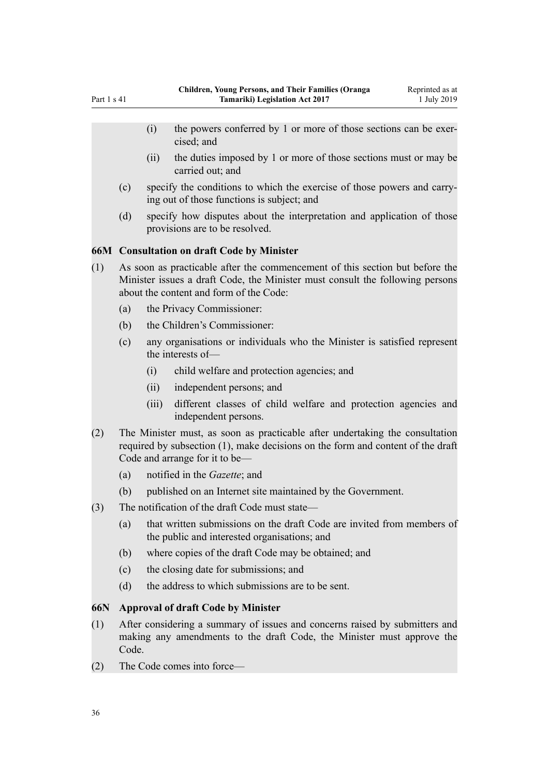- <span id="page-35-0"></span>(i) the powers conferred by 1 or more of those sections can be exercised; and
- (ii) the duties imposed by 1 or more of those sections must or may be carried out; and
- (c) specify the conditions to which the exercise of those powers and carrying out of those functions is subject; and
- (d) specify how disputes about the interpretation and application of those provisions are to be resolved.

#### **66M Consultation on draft Code by Minister**

- (1) As soon as practicable after the commencement of this section but before the Minister issues a draft Code, the Minister must consult the following persons about the content and form of the Code:
	- (a) the Privacy Commissioner:
	- (b) the Children's Commissioner:
	- (c) any organisations or individuals who the Minister is satisfied represent the interests of—
		- (i) child welfare and protection agencies; and
		- (ii) independent persons; and
		- (iii) different classes of child welfare and protection agencies and independent persons.
- (2) The Minister must, as soon as practicable after undertaking the consultation required by subsection (1), make decisions on the form and content of the draft Code and arrange for it to be—
	- (a) notified in the *Gazette*; and
	- (b) published on an Internet site maintained by the Government.
- (3) The notification of the draft Code must state—
	- (a) that written submissions on the draft Code are invited from members of the public and interested organisations; and
	- (b) where copies of the draft Code may be obtained; and
	- (c) the closing date for submissions; and
	- (d) the address to which submissions are to be sent.

#### **66N Approval of draft Code by Minister**

- (1) After considering a summary of issues and concerns raised by submitters and making any amendments to the draft Code, the Minister must approve the Code.
- (2) The Code comes into force—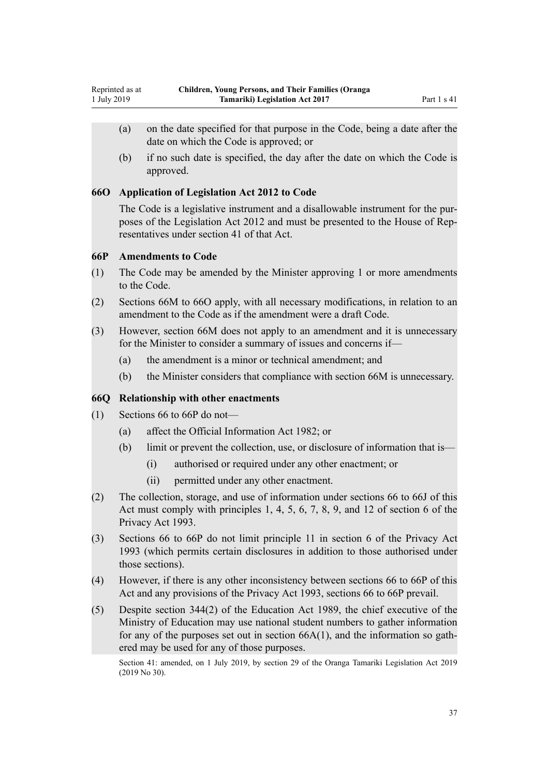- (a) on the date specified for that purpose in the Code, being a date after the date on which the Code is approved; or
- (b) if no such date is specified, the day after the date on which the Code is approved.

### **66O Application of Legislation Act 2012 to Code**

The Code is a legislative instrument and a disallowable instrument for the purposes of the Legislation Act 2012 and must be presented to the House of Representatives under section 41 of that Act.

### **66P Amendments to Code**

- (1) The Code may be amended by the Minister approving 1 or more amendments to the Code.
- (2) Sections 66M to 66O apply, with all necessary modifications, in relation to an amendment to the Code as if the amendment were a draft Code.
- (3) However, section 66M does not apply to an amendment and it is unnecessary for the Minister to consider a summary of issues and concerns if—
	- (a) the amendment is a minor or technical amendment; and
	- (b) the Minister considers that compliance with section 66M is unnecessary.

## **66Q Relationship with other enactments**

- (1) Sections 66 to 66P do not—
	- (a) affect the Official Information Act 1982; or
	- (b) limit or prevent the collection, use, or disclosure of information that is—
		- (i) authorised or required under any other enactment; or
		- (ii) permitted under any other enactment.
- (2) The collection, storage, and use of information under sections 66 to 66J of this Act must comply with principles 1, 4, 5, 6, 7, 8, 9, and 12 of section 6 of the Privacy Act 1993.
- (3) Sections 66 to 66P do not limit principle 11 in section 6 of the Privacy Act 1993 (which permits certain disclosures in addition to those authorised under those sections).
- (4) However, if there is any other inconsistency between sections 66 to 66P of this Act and any provisions of the Privacy Act 1993, sections 66 to 66P prevail.
- (5) Despite section 344(2) of the Education Act 1989, the chief executive of the Ministry of Education may use national student numbers to gather information for any of the purposes set out in section  $66A(1)$ , and the information so gathered may be used for any of those purposes.

Section 41: amended, on 1 July 2019, by [section 29](http://legislation.govt.nz/pdflink.aspx?id=LMS158699) of the Oranga Tamariki Legislation Act 2019 (2019 No 30).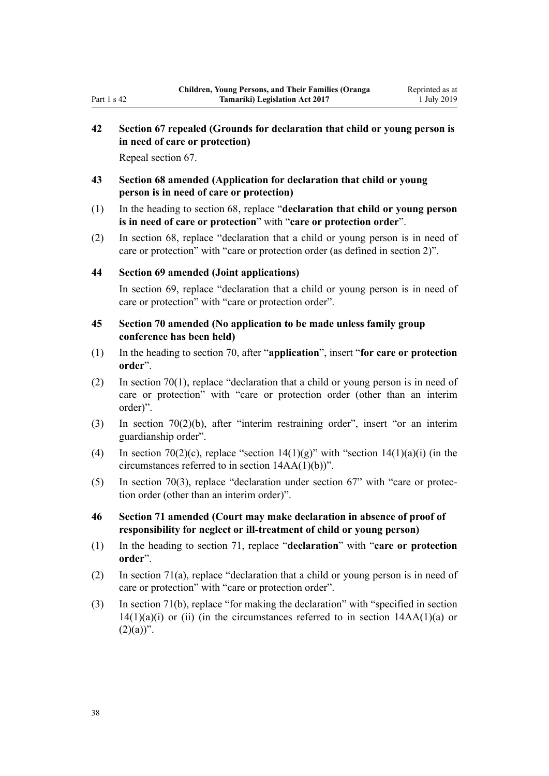# **42 Section 67 repealed (Grounds for declaration that child or young person is in need of care or protection)**

Repeal [section 67.](http://legislation.govt.nz/pdflink.aspx?id=DLM150051)

- **43 Section 68 amended (Application for declaration that child or young person is in need of care or protection)**
- (1) In the heading to [section 68](http://legislation.govt.nz/pdflink.aspx?id=DLM150052), replace "**declaration that child or young person is in need of care or protection**" with "**care or protection order**".
- (2) In [section 68](http://legislation.govt.nz/pdflink.aspx?id=DLM150052), replace "declaration that a child or young person is in need of care or protection" with "care or protection order (as defined in section 2)".

## **44 Section 69 amended (Joint applications)**

In [section 69](http://legislation.govt.nz/pdflink.aspx?id=DLM150053), replace "declaration that a child or young person is in need of care or protection" with "care or protection order".

### **45 Section 70 amended (No application to be made unless family group conference has been held)**

- (1) In the heading to [section 70,](http://legislation.govt.nz/pdflink.aspx?id=DLM150054) after "**application**", insert "**for care or protection order**".
- (2) In [section 70\(1\),](http://legislation.govt.nz/pdflink.aspx?id=DLM150054) replace "declaration that a child or young person is in need of care or protection" with "care or protection order (other than an interim order)".
- (3) In [section 70\(2\)\(b\)](http://legislation.govt.nz/pdflink.aspx?id=DLM150054), after "interim restraining order", insert "or an interim guardianship order".
- (4) In [section 70\(2\)\(c\)](http://legislation.govt.nz/pdflink.aspx?id=DLM150054), replace "section  $14(1)(g)$ " with "section  $14(1)(a)(i)$  (in the circumstances referred to in section 14AA(1)(b))".
- (5) In [section 70\(3\),](http://legislation.govt.nz/pdflink.aspx?id=DLM150054) replace "declaration under section 67" with "care or protection order (other than an interim order)".
- **46 Section 71 amended (Court may make declaration in absence of proof of responsibility for neglect or ill-treatment of child or young person)**
- (1) In the heading to [section 71](http://legislation.govt.nz/pdflink.aspx?id=DLM150059), replace "**declaration**" with "**care or protection order**".
- (2) In [section 71\(a\)](http://legislation.govt.nz/pdflink.aspx?id=DLM150059), replace "declaration that a child or young person is in need of care or protection" with "care or protection order".
- (3) In [section 71\(b\)](http://legislation.govt.nz/pdflink.aspx?id=DLM150059), replace "for making the declaration" with "specified in section  $14(1)(a)(i)$  or (ii) (in the circumstances referred to in section  $14AA(1)(a)$  or  $(2)(a)$ ".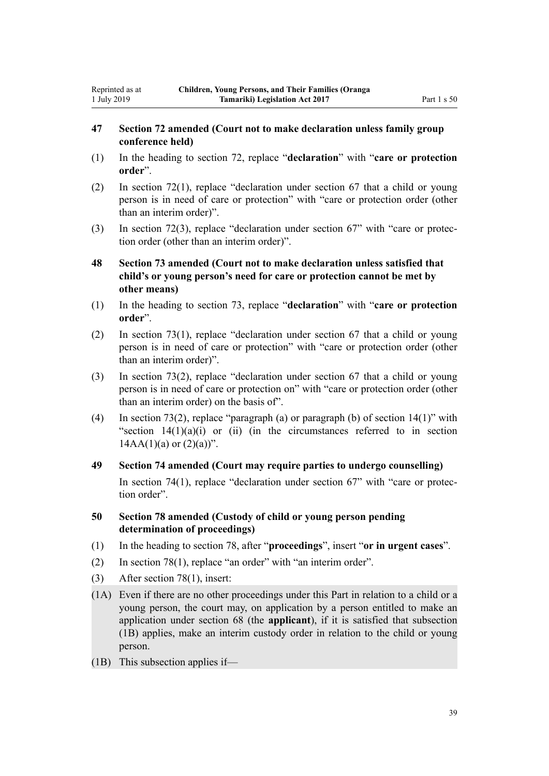## **47 Section 72 amended (Court not to make declaration unless family group conference held)**

- (1) In the heading to [section 72](http://legislation.govt.nz/pdflink.aspx?id=DLM150060), replace "**declaration**" with "**care or protection order**".
- (2) In [section 72\(1\)](http://legislation.govt.nz/pdflink.aspx?id=DLM150060), replace "declaration under section 67 that a child or young person is in need of care or protection" with "care or protection order (other than an interim order)".
- (3) In [section 72\(3\),](http://legislation.govt.nz/pdflink.aspx?id=DLM150060) replace "declaration under section 67" with "care or protection order (other than an interim order)".
- **48 Section 73 amended (Court not to make declaration unless satisfied that child's or young person's need for care or protection cannot be met by other means)**
- (1) In the heading to [section 73](http://legislation.govt.nz/pdflink.aspx?id=DLM150061), replace "**declaration**" with "**care or protection order**".
- (2) In [section 73\(1\)](http://legislation.govt.nz/pdflink.aspx?id=DLM150061), replace "declaration under section 67 that a child or young person is in need of care or protection" with "care or protection order (other than an interim order)".
- (3) In [section 73\(2\)](http://legislation.govt.nz/pdflink.aspx?id=DLM150061), replace "declaration under section 67 that a child or young person is in need of care or protection on" with "care or protection order (other than an interim order) on the basis of".
- (4) In [section 73\(2\),](http://legislation.govt.nz/pdflink.aspx?id=DLM150061) replace "paragraph (a) or paragraph (b) of section 14(1)" with "section  $14(1)(a)(i)$  or (ii) (in the circumstances referred to in section  $14AA(1)(a)$  or  $(2)(a)$ ".
- **49 Section 74 amended (Court may require parties to undergo counselling)** In [section 74\(1\),](http://legislation.govt.nz/pdflink.aspx?id=DLM150063) replace "declaration under section 67" with "care or protection order".
- **50 Section 78 amended (Custody of child or young person pending determination of proceedings)**
- (1) In the heading to [section 78,](http://legislation.govt.nz/pdflink.aspx?id=DLM150069) after "**proceedings**", insert "**or in urgent cases**".
- (2) In [section 78\(1\)](http://legislation.govt.nz/pdflink.aspx?id=DLM150069), replace "an order" with "an interim order".
- (3) After [section 78\(1\),](http://legislation.govt.nz/pdflink.aspx?id=DLM150069) insert:
- (1A) Even if there are no other proceedings under this Part in relation to a child or a young person, the court may, on application by a person entitled to make an application under section 68 (the **applicant**), if it is satisfied that subsection (1B) applies, make an interim custody order in relation to the child or young person.
- (1B) This subsection applies if—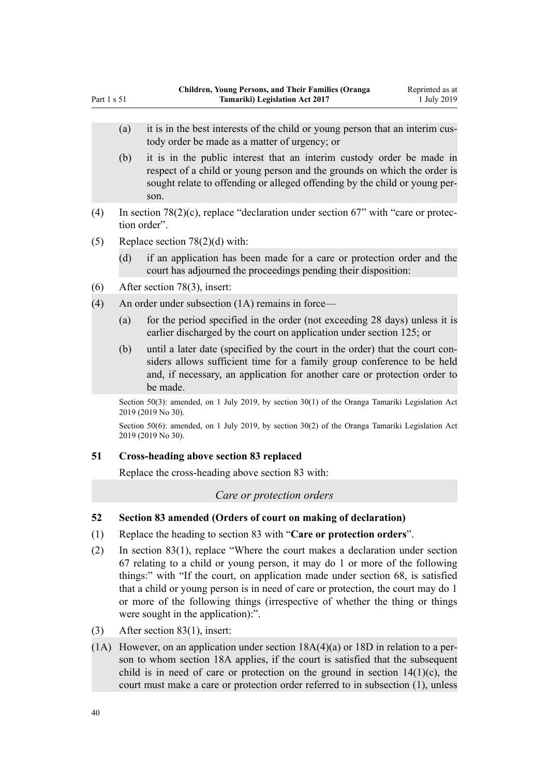- (a) it is in the best interests of the child or young person that an interim custody order be made as a matter of urgency; or
- (b) it is in the public interest that an interim custody order be made in respect of a child or young person and the grounds on which the order is sought relate to offending or alleged offending by the child or young person.
- (4) In [section 78\(2\)\(c\),](http://legislation.govt.nz/pdflink.aspx?id=DLM150069) replace "declaration under section 67" with "care or protection order".
- (5) Replace [section 78\(2\)\(d\)](http://legislation.govt.nz/pdflink.aspx?id=DLM150069) with:

Part 1 s 51

- (d) if an application has been made for a care or protection order and the court has adjourned the proceedings pending their disposition:
- (6) After [section 78\(3\),](http://legislation.govt.nz/pdflink.aspx?id=DLM150069) insert:
- (4) An order under subsection (1A) remains in force—
	- (a) for the period specified in the order (not exceeding 28 days) unless it is earlier discharged by the court on application under section 125; or
	- (b) until a later date (specified by the court in the order) that the court considers allows sufficient time for a family group conference to be held and, if necessary, an application for another care or protection order to be made.

Section 50(3): amended, on 1 July 2019, by [section 30\(1\)](http://legislation.govt.nz/pdflink.aspx?id=LMS158700) of the Oranga Tamariki Legislation Act 2019 (2019 No 30).

Section 50(6): amended, on 1 July 2019, by [section 30\(2\)](http://legislation.govt.nz/pdflink.aspx?id=LMS158700) of the Oranga Tamariki Legislation Act 2019 (2019 No 30).

### **51 Cross-heading above section 83 replaced**

Replace the cross-heading above [section 83](http://legislation.govt.nz/pdflink.aspx?id=DLM150083) with:

*Care or protection orders*

- **52 Section 83 amended (Orders of court on making of declaration)**
- (1) Replace the heading to [section 83](http://legislation.govt.nz/pdflink.aspx?id=DLM150083) with "**Care or protection orders**".
- (2) In [section 83\(1\),](http://legislation.govt.nz/pdflink.aspx?id=DLM150083) replace "Where the court makes a declaration under [section](http://legislation.govt.nz/pdflink.aspx?id=DLM150051) [67](http://legislation.govt.nz/pdflink.aspx?id=DLM150051) relating to a child or young person, it may do 1 or more of the following things:" with "If the court, on application made under [section 68,](http://legislation.govt.nz/pdflink.aspx?id=DLM150052) is satisfied that a child or young person is in need of care or protection, the court may do 1 or more of the following things (irrespective of whether the thing or things were sought in the application):".
- (3) After [section 83\(1\),](http://legislation.govt.nz/pdflink.aspx?id=DLM150083) insert:
- (1A) However, on an application under section  $18A(4)(a)$  or  $18D$  in relation to a person to whom section 18A applies, if the court is satisfied that the subsequent child is in need of care or protection on the ground in section  $14(1)(c)$ , the court must make a care or protection order referred to in subsection (1), unless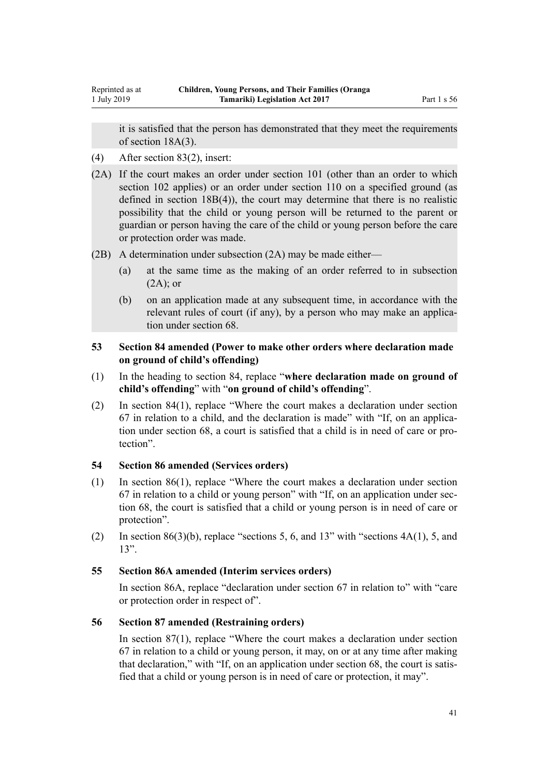it is satisfied that the person has demonstrated that they meet the requirements of section 18A(3).

- (4) After [section 83\(2\),](http://legislation.govt.nz/pdflink.aspx?id=DLM150083) insert:
- (2A) If the court makes an order under section 101 (other than an order to which section 102 applies) or an order under section 110 on a specified ground (as defined in section 18B(4)), the court may determine that there is no realistic possibility that the child or young person will be returned to the parent or guardian or person having the care of the child or young person before the care or protection order was made.
- (2B) A determination under subsection (2A) may be made either—
	- (a) at the same time as the making of an order referred to in subsection  $(2A)$ ; or
	- (b) on an application made at any subsequent time, in accordance with the relevant rules of court (if any), by a person who may make an application under section 68.

## **53 Section 84 amended (Power to make other orders where declaration made on ground of child's offending)**

- (1) In the heading to [section 84](http://legislation.govt.nz/pdflink.aspx?id=DLM150084), replace "**where declaration made on ground of child's offending**" with "**on ground of child's offending**".
- (2) In [section 84\(1\),](http://legislation.govt.nz/pdflink.aspx?id=DLM150084) replace "Where the court makes a declaration under section 67 in relation to a child, and the declaration is made" with "If, on an application under section 68, a court is satisfied that a child is in need of care or protection".

## **54 Section 86 amended (Services orders)**

- (1) In [section 86\(1\),](http://legislation.govt.nz/pdflink.aspx?id=DLM150089) replace "Where the court makes a declaration under section 67 in relation to a child or young person" with "If, on an application under section 68, the court is satisfied that a child or young person is in need of care or protection".
- (2) In section  $86(3)(b)$ , replace "sections 5, 6, and 13" with "sections  $4A(1)$ , 5, and 13".

### **55 Section 86A amended (Interim services orders)**

In [section 86A,](http://legislation.govt.nz/pdflink.aspx?id=DLM150092) replace "declaration under section 67 in relation to" with "care or protection order in respect of".

## **56 Section 87 amended (Restraining orders)**

In [section 87\(1\),](http://legislation.govt.nz/pdflink.aspx?id=DLM150095) replace "Where the court makes a declaration under section 67 in relation to a child or young person, it may, on or at any time after making that declaration," with "If, on an application under section 68, the court is satisfied that a child or young person is in need of care or protection, it may".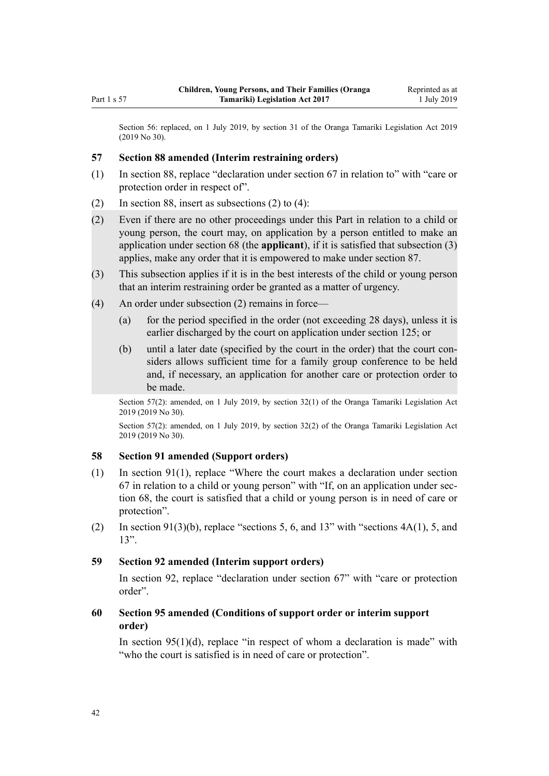Section 56: replaced, on 1 July 2019, by [section 31](http://legislation.govt.nz/pdflink.aspx?id=LMS158702) of the Oranga Tamariki Legislation Act 2019 (2019 No 30).

### **57 Section 88 amended (Interim restraining orders)**

- (1) In [section 88,](http://legislation.govt.nz/pdflink.aspx?id=DLM150097) replace "declaration under section 67 in relation to" with "care or protection order in respect of".
- (2) In [section 88,](http://legislation.govt.nz/pdflink.aspx?id=DLM150097) insert as subsections (2) to (4):
- (2) Even if there are no other proceedings under this Part in relation to a child or young person, the court may, on application by a person entitled to make an application under section 68 (the **applicant**), if it is satisfied that subsection (3) applies, make any order that it is empowered to make under section 87.
- (3) This subsection applies if it is in the best interests of the child or young person that an interim restraining order be granted as a matter of urgency.
- (4) An order under subsection (2) remains in force—
	- (a) for the period specified in the order (not exceeding 28 days), unless it is earlier discharged by the court on application under section 125; or
	- (b) until a later date (specified by the court in the order) that the court considers allows sufficient time for a family group conference to be held and, if necessary, an application for another care or protection order to be made.

Section 57(2): amended, on 1 July 2019, by [section 32\(1\)](http://legislation.govt.nz/pdflink.aspx?id=LMS158703) of the Oranga Tamariki Legislation Act 2019 (2019 No 30).

Section 57(2): amended, on 1 July 2019, by [section 32\(2\)](http://legislation.govt.nz/pdflink.aspx?id=LMS158703) of the Oranga Tamariki Legislation Act 2019 (2019 No 30).

### **58 Section 91 amended (Support orders)**

- (1) In [section 91\(1\),](http://legislation.govt.nz/pdflink.aspx?id=DLM150402) replace "Where the court makes a declaration under section 67 in relation to a child or young person" with "If, on an application under section 68, the court is satisfied that a child or young person is in need of care or protection".
- (2) In [section 91\(3\)\(b\),](http://legislation.govt.nz/pdflink.aspx?id=DLM150402) replace "sections 5, 6, and 13" with "sections  $4A(1)$ , 5, and 13".

### **59 Section 92 amended (Interim support orders)**

In [section 92,](http://legislation.govt.nz/pdflink.aspx?id=DLM150405) replace "declaration under section 67" with "care or protection order".

## **60 Section 95 amended (Conditions of support order or interim support order)**

In section  $95(1)(d)$ , replace "in respect of whom a declaration is made" with "who the court is satisfied is in need of care or protection".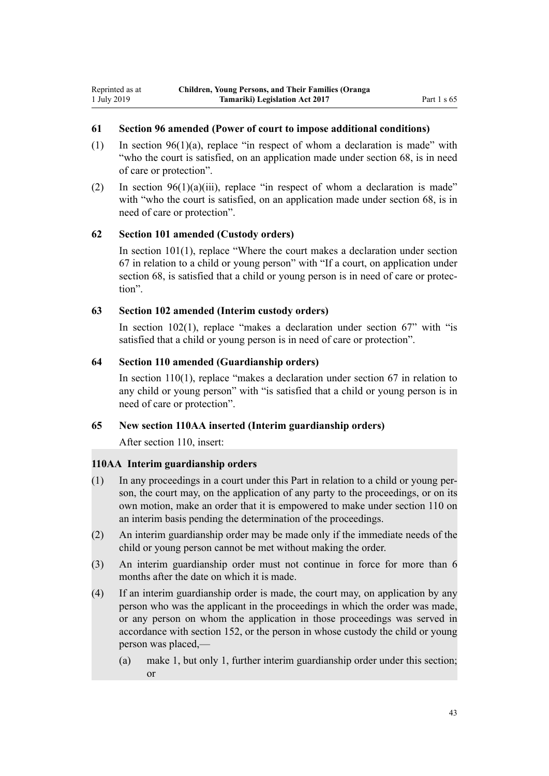### **61 Section 96 amended (Power of court to impose additional conditions)**

- (1) In section  $96(1)(a)$ , replace "in respect of whom a declaration is made" with "who the court is satisfied, on an application made under section 68, is in need of care or protection".
- (2) In section  $96(1)(a)(iii)$ , replace "in respect of whom a declaration is made" with "who the court is satisfied, on an application made under section 68, is in need of care or protection".

#### **62 Section 101 amended (Custody orders)**

In [section 101\(1\)](http://legislation.govt.nz/pdflink.aspx?id=DLM150420), replace "Where the court makes a declaration under section 67 in relation to a child or young person" with "If a court, on application under section 68, is satisfied that a child or young person is in need of care or protection".

### **63 Section 102 amended (Interim custody orders)**

In section  $102(1)$ , replace "makes a declaration under section  $67$ " with "is satisfied that a child or young person is in need of care or protection".

#### **64 Section 110 amended (Guardianship orders)**

In [section 110\(1\)](http://legislation.govt.nz/pdflink.aspx?id=DLM150441), replace "makes a declaration under section 67 in relation to any child or young person" with "is satisfied that a child or young person is in need of care or protection".

#### **65 New section 110AA inserted (Interim guardianship orders)**

After [section 110,](http://legislation.govt.nz/pdflink.aspx?id=DLM150441) insert:

### **110AA Interim guardianship orders**

- (1) In any proceedings in a court under this Part in relation to a child or young person, the court may, on the application of any party to the proceedings, or on its own motion, make an order that it is empowered to make under section 110 on an interim basis pending the determination of the proceedings.
- (2) An interim guardianship order may be made only if the immediate needs of the child or young person cannot be met without making the order.
- (3) An interim guardianship order must not continue in force for more than 6 months after the date on which it is made.
- (4) If an interim guardianship order is made, the court may, on application by any person who was the applicant in the proceedings in which the order was made, or any person on whom the application in those proceedings was served in accordance with section 152, or the person in whose custody the child or young person was placed,—
	- (a) make 1, but only 1, further interim guardianship order under this section; or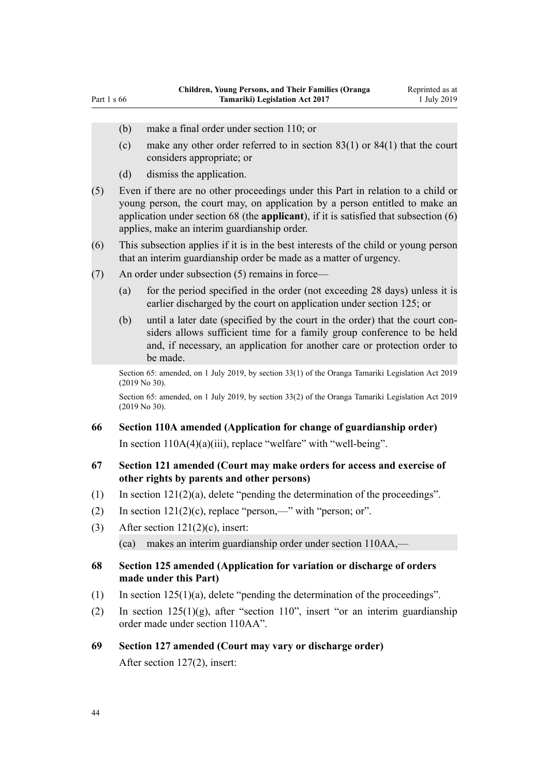- (b) make a final order under section 110; or
- (c) make any other order referred to in section 83(1) or 84(1) that the court considers appropriate; or
- (d) dismiss the application.
- (5) Even if there are no other proceedings under this Part in relation to a child or young person, the court may, on application by a person entitled to make an application under section 68 (the **applicant**), if it is satisfied that subsection (6) applies, make an interim guardianship order.
- (6) This subsection applies if it is in the best interests of the child or young person that an interim guardianship order be made as a matter of urgency.
- (7) An order under subsection (5) remains in force—
	- (a) for the period specified in the order (not exceeding 28 days) unless it is earlier discharged by the court on application under section 125; or
	- (b) until a later date (specified by the court in the order) that the court considers allows sufficient time for a family group conference to be held and, if necessary, an application for another care or protection order to be made.

Section 65: amended, on 1 July 2019, by [section 33\(1\)](http://legislation.govt.nz/pdflink.aspx?id=LMS158704) of the Oranga Tamariki Legislation Act 2019 (2019 No 30).

Section 65: amended, on 1 July 2019, by [section 33\(2\)](http://legislation.govt.nz/pdflink.aspx?id=LMS158704) of the Oranga Tamariki Legislation Act 2019 (2019 No 30).

#### **66 Section 110A amended (Application for change of guardianship order)**

In section  $110A(4)(a)(iii)$ , replace "welfare" with "well-being".

### **67 Section 121 amended (Court may make orders for access and exercise of other rights by parents and other persons)**

- (1) In section  $121(2)(a)$ , delete "pending the determination of the proceedings".
- (2) In section  $121(2)(c)$ , replace "person,—" with "person; or".
- (3) After section  $121(2)(c)$ , insert:

(ca) makes an interim guardianship order under section 110AA,—

### **68 Section 125 amended (Application for variation or discharge of orders made under this Part)**

- (1) In [section 125\(1\)\(a\),](http://legislation.govt.nz/pdflink.aspx?id=DLM150486) delete "pending the determination of the proceedings".
- (2) In [section 125\(1\)\(g\),](http://legislation.govt.nz/pdflink.aspx?id=DLM150486) after "section 110", insert "or an interim guardianship order made under section 110AA".

### **69 Section 127 amended (Court may vary or discharge order)**

After [section 127\(2\)](http://legislation.govt.nz/pdflink.aspx?id=DLM150495), insert: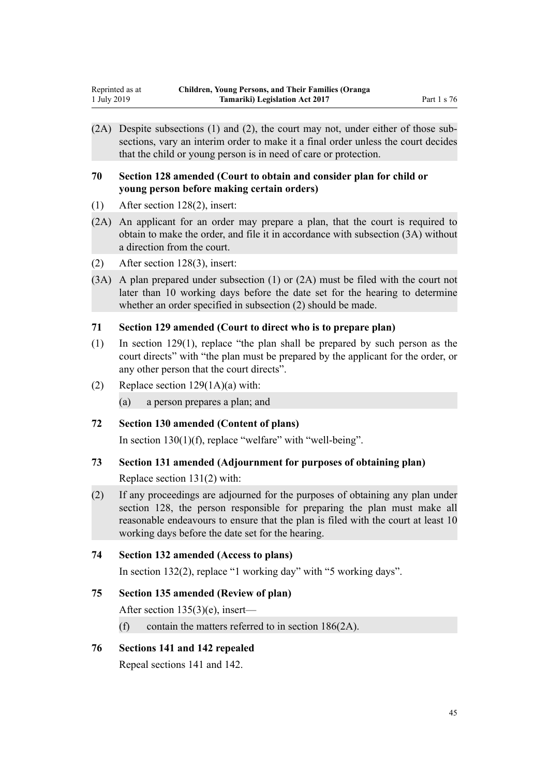(2A) Despite subsections (1) and (2), the court may not, under either of those subsections, vary an interim order to make it a final order unless the court decides that the child or young person is in need of care or protection.

### **70 Section 128 amended (Court to obtain and consider plan for child or young person before making certain orders)**

- (1) After [section 128\(2\)](http://legislation.govt.nz/pdflink.aspx?id=DLM151000), insert:
- (2A) An applicant for an order may prepare a plan, that the court is required to obtain to make the order, and file it in accordance with subsection (3A) without a direction from the court.
- (2) After [section 128\(3\)](http://legislation.govt.nz/pdflink.aspx?id=DLM151000), insert:
- (3A) A plan prepared under subsection (1) or (2A) must be filed with the court not later than 10 working days before the date set for the hearing to determine whether an order specified in subsection (2) should be made.

## **71 Section 129 amended (Court to direct who is to prepare plan)**

- (1) In [section 129\(1\)](http://legislation.govt.nz/pdflink.aspx?id=DLM151004), replace "the plan shall be prepared by such person as the court directs" with "the plan must be prepared by the applicant for the order, or any other person that the court directs".
- (2) Replace section  $129(1A)(a)$  with:
	- (a) a person prepares a plan; and

## **72 Section 130 amended (Content of plans)**

In [section 130\(1\)\(f\)](http://legislation.govt.nz/pdflink.aspx?id=DLM151007), replace "welfare" with "well-being".

## **73 Section 131 amended (Adjournment for purposes of obtaining plan)**

Replace [section 131\(2\)](http://legislation.govt.nz/pdflink.aspx?id=DLM151008) with:

(2) If any proceedings are adjourned for the purposes of obtaining any plan under section 128, the person responsible for preparing the plan must make all reasonable endeavours to ensure that the plan is filed with the court at least 10 working days before the date set for the hearing.

## **74 Section 132 amended (Access to plans)**

In [section 132\(2\),](http://legislation.govt.nz/pdflink.aspx?id=DLM151009) replace "1 working day" with "5 working days".

## **75 Section 135 amended (Review of plan)**

After [section 135\(3\)\(e\)](http://legislation.govt.nz/pdflink.aspx?id=DLM151015), insert—

(f) contain the matters referred to in section 186(2A).

## **76 Sections 141 and 142 repealed**

Repeal [sections 141](http://legislation.govt.nz/pdflink.aspx?id=DLM151029) and [142.](http://legislation.govt.nz/pdflink.aspx?id=DLM151035)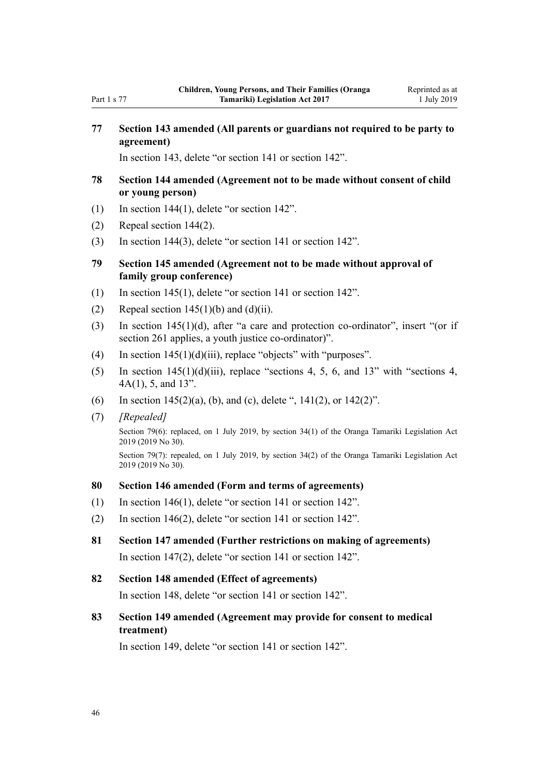## **77 Section 143 amended (All parents or guardians not required to be party to agreement)**

In [section 143](http://legislation.govt.nz/pdflink.aspx?id=DLM151041), delete "or section 141 or section 142".

- **78 Section 144 amended (Agreement not to be made without consent of child or young person)**
- (1) In [section 144\(1\),](http://legislation.govt.nz/pdflink.aspx?id=DLM151042) delete "or section 142".
- (2) Repeal [section 144\(2\)](http://legislation.govt.nz/pdflink.aspx?id=DLM151042).
- (3) In [section 144\(3\),](http://legislation.govt.nz/pdflink.aspx?id=DLM151042) delete "or section 141 or section 142".
- **79 Section 145 amended (Agreement not to be made without approval of family group conference)**
- (1) In [section 145\(1\),](http://legislation.govt.nz/pdflink.aspx?id=DLM151043) delete "or section 141 or section 142".
- (2) Repeal section  $145(1)(b)$  and  $(d)(ii)$ .
- (3) In [section 145\(1\)\(d\)](http://legislation.govt.nz/pdflink.aspx?id=DLM151043), after "a care and protection co-ordinator", insert "(or if section 261 applies, a youth justice co-ordinator)".
- (4) In section  $145(1)(d)(iii)$ , replace "objects" with "purposes".
- (5) In section  $145(1)(d)(iii)$ , replace "sections 4, 5, 6, and 13" with "sections 4, 4A(1), 5, and 13".
- (6) In section  $145(2)(a)$ , (b), and (c), delete ",  $141(2)$ , or  $142(2)$ ".
- (7) *[Repealed]*

Section 79(6): replaced, on 1 July 2019, by [section 34\(1\)](http://legislation.govt.nz/pdflink.aspx?id=LMS158705) of the Oranga Tamariki Legislation Act 2019 (2019 No 30).

Section 79(7): repealed, on 1 July 2019, by [section 34\(2\)](http://legislation.govt.nz/pdflink.aspx?id=LMS158705) of the Oranga Tamariki Legislation Act 2019 (2019 No 30).

### **80 Section 146 amended (Form and terms of agreements)**

- (1) In [section 146\(1\),](http://legislation.govt.nz/pdflink.aspx?id=DLM151044) delete "or section 141 or section 142".
- (2) In [section 146\(2\),](http://legislation.govt.nz/pdflink.aspx?id=DLM151044) delete "or section 141 or section 142".
- **81 Section 147 amended (Further restrictions on making of agreements)** In [section 147\(2\),](http://legislation.govt.nz/pdflink.aspx?id=DLM151045) delete "or section 141 or section 142".
- **82 Section 148 amended (Effect of agreements)** In [section 148](http://legislation.govt.nz/pdflink.aspx?id=DLM151049), delete "or section 141 or section 142".
- **83 Section 149 amended (Agreement may provide for consent to medical treatment)**

In [section 149](http://legislation.govt.nz/pdflink.aspx?id=DLM151050), delete "or section 141 or section 142".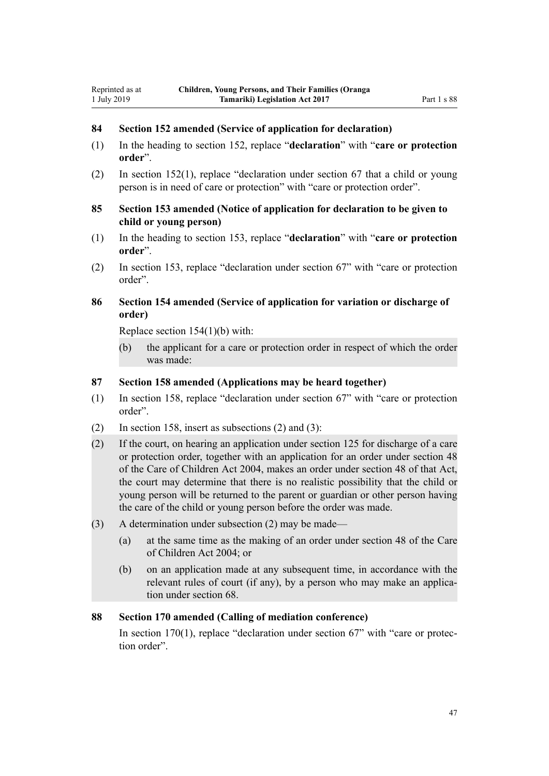## **84 Section 152 amended (Service of application for declaration)**

- (1) In the heading to [section 152,](http://legislation.govt.nz/pdflink.aspx?id=DLM151060) replace "**declaration**" with "**care or protection order**".
- (2) In [section 152\(1\)](http://legislation.govt.nz/pdflink.aspx?id=DLM151060), replace "declaration under section 67 that a child or young person is in need of care or protection" with "care or protection order".
- **85 Section 153 amended (Notice of application for declaration to be given to child or young person)**
- (1) In the heading to [section 153,](http://legislation.govt.nz/pdflink.aspx?id=DLM151065) replace "**declaration**" with "**care or protection order**".
- (2) In [section 153,](http://legislation.govt.nz/pdflink.aspx?id=DLM151065) replace "declaration under section 67" with "care or protection order".

## **86 Section 154 amended (Service of application for variation or discharge of order)**

Replace [section 154\(1\)\(b\)](http://legislation.govt.nz/pdflink.aspx?id=DLM151066) with:

Reprinted as at 1 July 2019

> (b) the applicant for a care or protection order in respect of which the order was made:

### **87 Section 158 amended (Applications may be heard together)**

- (1) In [section 158,](http://legislation.govt.nz/pdflink.aspx?id=DLM151079) replace "declaration under section 67" with "care or protection order".
- (2) In [section 158](http://legislation.govt.nz/pdflink.aspx?id=DLM151079), insert as subsections (2) and (3):
- (2) If the court, on hearing an application under section 125 for discharge of a care or protection order, together with an application for an order under section 48 of the Care of Children Act 2004, makes an order under section 48 of that Act, the court may determine that there is no realistic possibility that the child or young person will be returned to the parent or guardian or other person having the care of the child or young person before the order was made.
- (3) A determination under subsection (2) may be made—
	- (a) at the same time as the making of an order under section 48 of the Care of Children Act 2004; or
	- (b) on an application made at any subsequent time, in accordance with the relevant rules of court (if any), by a person who may make an application under section 68.

### **88 Section 170 amended (Calling of mediation conference)**

In [section 170\(1\)](http://legislation.govt.nz/pdflink.aspx?id=DLM151604), replace "declaration under section 67" with "care or protection order".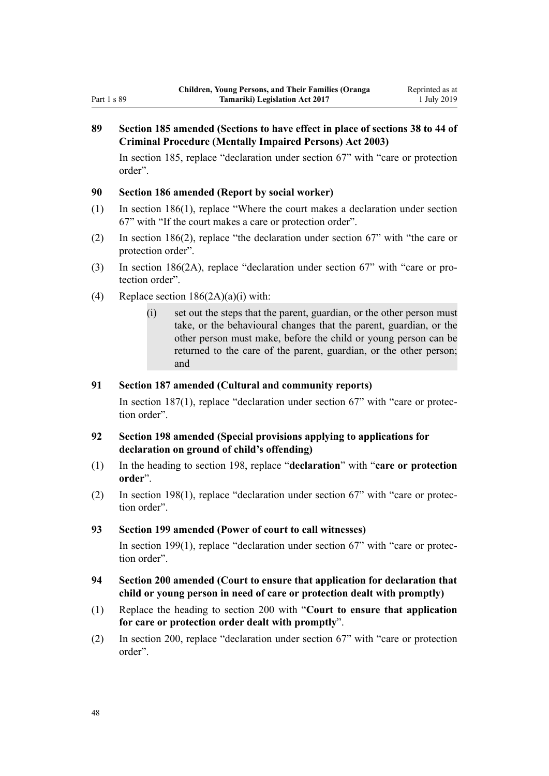## **89 Section 185 amended (Sections to have effect in place of sections 38 to 44 of Criminal Procedure (Mentally Impaired Persons) Act 2003)**

In [section 185,](http://legislation.govt.nz/pdflink.aspx?id=DLM151627) replace "declaration under section 67" with "care or protection order".

### **90 Section 186 amended (Report by social worker)**

- (1) In [section 186\(1\)](http://legislation.govt.nz/pdflink.aspx?id=DLM151629), replace "Where the court makes a declaration under section 67" with "If the court makes a care or protection order".
- (2) In [section 186\(2\)](http://legislation.govt.nz/pdflink.aspx?id=DLM151629), replace "the declaration under section 67" with "the care or protection order".
- (3) In [section 186\(2A\)](http://legislation.govt.nz/pdflink.aspx?id=DLM151629), replace "declaration under section 67" with "care or protection order".
- (4) Replace section  $186(2A)(a)(i)$  with:
	- (i) set out the steps that the parent, guardian, or the other person must take, or the behavioural changes that the parent, guardian, or the other person must make, before the child or young person can be returned to the care of the parent, guardian, or the other person; and

### **91 Section 187 amended (Cultural and community reports)**

In [section 187\(1\)](http://legislation.govt.nz/pdflink.aspx?id=DLM151633), replace "declaration under section 67" with "care or protection order".

### **92 Section 198 amended (Special provisions applying to applications for declaration on ground of child's offending)**

- (1) In the heading to [section 198,](http://legislation.govt.nz/pdflink.aspx?id=DLM151653) replace "**declaration**" with "**care or protection order**".
- (2) In [section 198\(1\)](http://legislation.govt.nz/pdflink.aspx?id=DLM151653), replace "declaration under section 67" with "care or protection order".

### **93 Section 199 amended (Power of court to call witnesses)**

In [section 199\(1\)](http://legislation.govt.nz/pdflink.aspx?id=DLM151654), replace "declaration under section 67" with "care or protection order".

- **94 Section 200 amended (Court to ensure that application for declaration that child or young person in need of care or protection dealt with promptly)**
- (1) Replace the heading to [section 200](http://legislation.govt.nz/pdflink.aspx?id=DLM151656) with "**Court to ensure that application for care or protection order dealt with promptly**".
- (2) In [section 200,](http://legislation.govt.nz/pdflink.aspx?id=DLM151656) replace "declaration under section 67" with "care or protection order".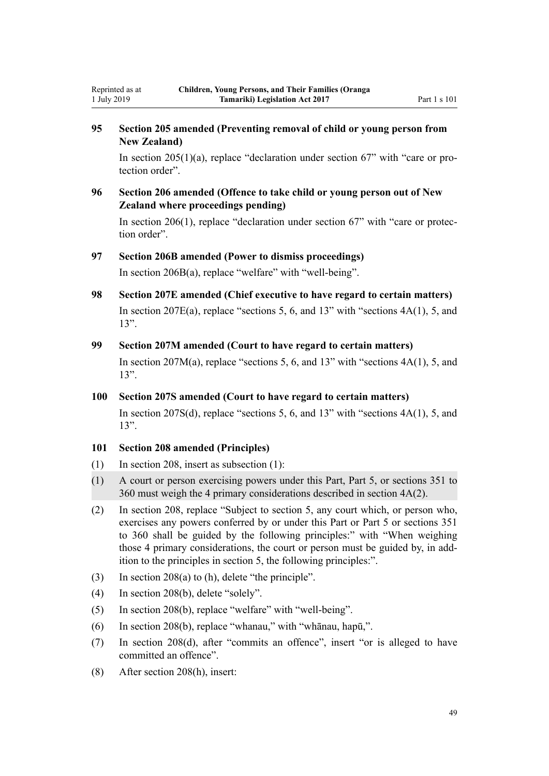## **95 Section 205 amended (Preventing removal of child or young person from New Zealand)**

In [section 205\(1\)\(a\)](http://legislation.govt.nz/pdflink.aspx?id=DLM151666), replace "declaration under section 67" with "care or protection order".

**96 Section 206 amended (Offence to take child or young person out of New Zealand where proceedings pending)**

In [section 206\(1\)](http://legislation.govt.nz/pdflink.aspx?id=DLM151670), replace "declaration under section 67" with "care or protection order".

### **97 Section 206B amended (Power to dismiss proceedings)**

In [section 206B\(a\),](http://legislation.govt.nz/pdflink.aspx?id=DLM6028118) replace "welfare" with "well-being".

**98 Section 207E amended (Chief executive to have regard to certain matters)** In section  $207E(a)$ , replace "sections 5, 6, and 13" with "sections  $4A(1)$ , 5, and 13".

#### **99 Section 207M amended (Court to have regard to certain matters)**

In section 207 $M(a)$ , replace "sections 5, 6, and 13" with "sections  $4A(1)$ , 5, and 13".

### **100 Section 207S amended (Court to have regard to certain matters)**

In [section 207S\(d\),](http://legislation.govt.nz/pdflink.aspx?id=DLM152143) replace "sections 5, 6, and 13" with "sections  $4A(1)$ , 5, and 13".

### **101 Section 208 amended (Principles)**

Reprinted as at 1 July 2019

- (1) In [section 208](http://legislation.govt.nz/pdflink.aspx?id=DLM152193), insert as subsection (1):
- (1) A court or person exercising powers under this Part, Part 5, or sections 351 to 360 must weigh the 4 primary considerations described in section 4A(2).
- (2) In [section 208,](http://legislation.govt.nz/pdflink.aspx?id=DLM152193) replace "Subject to section 5, any court which, or person who, exercises any powers conferred by or under this Part or Part 5 or sections 351 to 360 shall be guided by the following principles:" with "When weighing those 4 primary considerations, the court or person must be guided by, in addition to the principles in section 5, the following principles:".
- (3) In [section 208\(a\) to \(h\)](http://legislation.govt.nz/pdflink.aspx?id=DLM152193), delete "the principle".
- (4) In [section 208\(b\),](http://legislation.govt.nz/pdflink.aspx?id=DLM152193) delete "solely".
- (5) In [section 208\(b\),](http://legislation.govt.nz/pdflink.aspx?id=DLM152193) replace "welfare" with "well-being".
- (6) In [section 208\(b\),](http://legislation.govt.nz/pdflink.aspx?id=DLM152193) replace "whanau," with "whānau, hapū,".
- (7) In [section 208\(d\)](http://legislation.govt.nz/pdflink.aspx?id=DLM152193), after "commits an offence", insert "or is alleged to have committed an offence".
- (8) After [section 208\(h\)](http://legislation.govt.nz/pdflink.aspx?id=DLM152193), insert: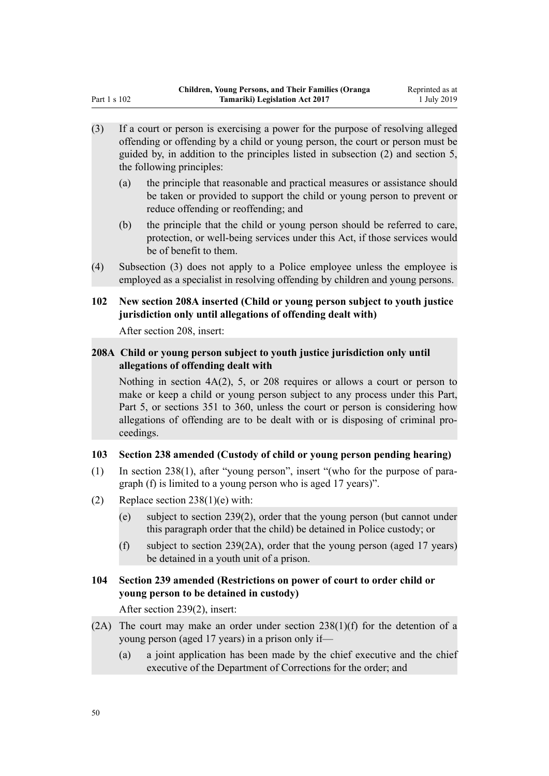- (3) If a court or person is exercising a power for the purpose of resolving alleged offending or offending by a child or young person, the court or person must be guided by, in addition to the principles listed in subsection (2) and section 5, the following principles:
	- (a) the principle that reasonable and practical measures or assistance should be taken or provided to support the child or young person to prevent or reduce offending or reoffending; and
	- (b) the principle that the child or young person should be referred to care, protection, or well-being services under this Act, if those services would be of benefit to them.
- (4) Subsection (3) does not apply to a Police employee unless the employee is employed as a specialist in resolving offending by children and young persons.

## **102 New section 208A inserted (Child or young person subject to youth justice jurisdiction only until allegations of offending dealt with)**

After [section 208](http://legislation.govt.nz/pdflink.aspx?id=DLM152193), insert:

## **208A Child or young person subject to youth justice jurisdiction only until allegations of offending dealt with**

Nothing in section 4A(2), 5, or 208 requires or allows a court or person to make or keep a child or young person subject to any process under this Part, Part 5, or sections 351 to 360, unless the court or person is considering how allegations of offending are to be dealt with or is disposing of criminal proceedings.

## **103 Section 238 amended (Custody of child or young person pending hearing)**

- (1) In [section 238\(1\),](http://legislation.govt.nz/pdflink.aspx?id=DLM152948) after "young person", insert "(who for the purpose of paragraph (f) is limited to a young person who is aged 17 years)".
- (2) Replace section  $238(1)(e)$  with:
	- (e) subject to section 239(2), order that the young person (but cannot under this paragraph order that the child) be detained in Police custody; or
	- (f) subject to section 239(2A), order that the young person (aged 17 years) be detained in a youth unit of a prison.

## **104 Section 239 amended (Restrictions on power of court to order child or young person to be detained in custody)**

After [section 239\(2\)](http://legislation.govt.nz/pdflink.aspx?id=DLM152953), insert:

- (2A) The court may make an order under section  $238(1)(f)$  for the detention of a young person (aged 17 years) in a prison only if—
	- (a) a joint application has been made by the chief executive and the chief executive of the Department of Corrections for the order; and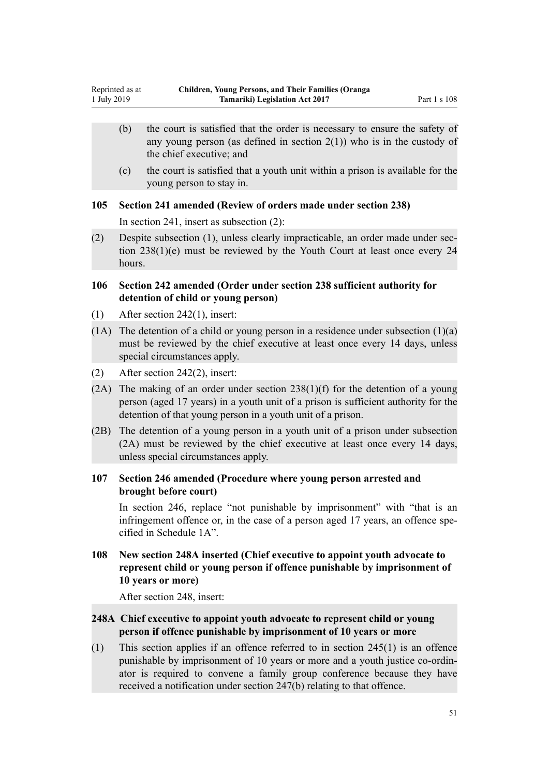- (b) the court is satisfied that the order is necessary to ensure the safety of any young person (as defined in section  $2(1)$ ) who is in the custody of the chief executive; and
- (c) the court is satisfied that a youth unit within a prison is available for the young person to stay in.

### **105 Section 241 amended (Review of orders made under section 238)**

In [section 241](http://legislation.govt.nz/pdflink.aspx?id=DLM152962), insert as subsection (2):

(2) Despite subsection (1), unless clearly impracticable, an order made under section 238(1)(e) must be reviewed by the Youth Court at least once every 24 hours.

### **106 Section 242 amended (Order under section 238 sufficient authority for detention of child or young person)**

- (1) After [section 242\(1\)](http://legislation.govt.nz/pdflink.aspx?id=DLM152963), insert:
- $(1)$  The detention of a child or young person in a residence under subsection  $(1)(a)$ must be reviewed by the chief executive at least once every 14 days, unless special circumstances apply.
- (2) After [section 242\(2\)](http://legislation.govt.nz/pdflink.aspx?id=DLM152963), insert:
- (2A) The making of an order under section  $238(1)(f)$  for the detention of a young person (aged 17 years) in a youth unit of a prison is sufficient authority for the detention of that young person in a youth unit of a prison.
- (2B) The detention of a young person in a youth unit of a prison under subsection (2A) must be reviewed by the chief executive at least once every 14 days, unless special circumstances apply.

## **107 Section 246 amended (Procedure where young person arrested and brought before court)**

In [section 246,](http://legislation.govt.nz/pdflink.aspx?id=DLM152970) replace "not punishable by imprisonment" with "that is an infringement offence or, in the case of a person aged 17 years, an offence specified in Schedule 1A".

## **108 New section 248A inserted (Chief executive to appoint youth advocate to represent child or young person if offence punishable by imprisonment of 10 years or more)**

After [section 248](http://legislation.govt.nz/pdflink.aspx?id=DLM152972), insert:

## **248A Chief executive to appoint youth advocate to represent child or young person if offence punishable by imprisonment of 10 years or more**

(1) This section applies if an offence referred to in section 245(1) is an offence punishable by imprisonment of 10 years or more and a youth justice co-ordinator is required to convene a family group conference because they have received a notification under section 247(b) relating to that offence.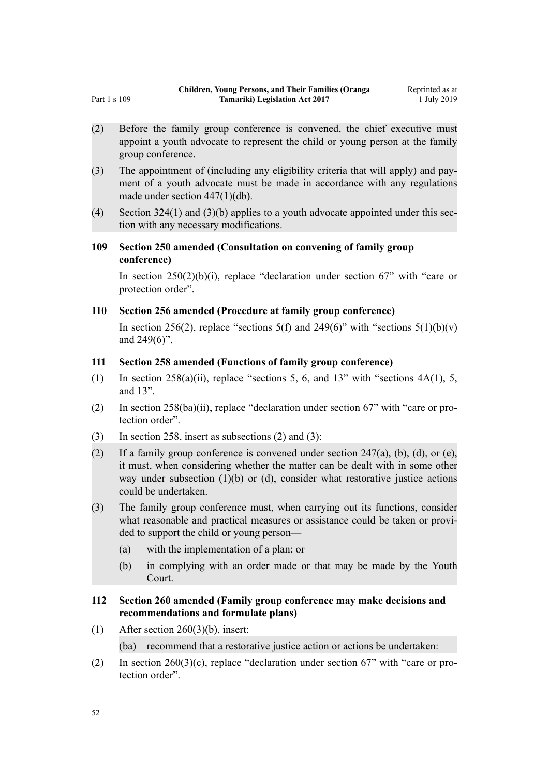- (2) Before the family group conference is convened, the chief executive must appoint a youth advocate to represent the child or young person at the family group conference.
- (3) The appointment of (including any eligibility criteria that will apply) and payment of a youth advocate must be made in accordance with any regulations made under section 447(1)(db).
- (4) Section 324(1) and (3)(b) applies to a youth advocate appointed under this section with any necessary modifications.
- **109 Section 250 amended (Consultation on convening of family group conference)**

In section  $250(2)(b)(i)$ , replace "declaration under section 67" with "care or protection order".

### **110 Section 256 amended (Procedure at family group conference)**

In [section 256\(2\),](http://legislation.govt.nz/pdflink.aspx?id=DLM152996) replace "sections 5(f) and 249(6)" with "sections  $5(1)(b)(v)$ and 249(6)".

## **111 Section 258 amended (Functions of family group conference)**

- (1) In section  $258(a)(ii)$ , replace "sections 5, 6, and 13" with "sections  $4A(1)$ , 5, and 13".
- (2) In [section 258\(ba\)\(ii\)](http://legislation.govt.nz/pdflink.aspx?id=DLM152998), replace "declaration under section 67" with "care or protection order".
- (3) In [section 258](http://legislation.govt.nz/pdflink.aspx?id=DLM152998), insert as subsections (2) and (3):
- (2) If a family group conference is convened under section  $247(a)$ , (b), (d), or (e), it must, when considering whether the matter can be dealt with in some other way under subsection  $(1)(b)$  or  $(d)$ , consider what restorative justice actions could be undertaken.
- (3) The family group conference must, when carrying out its functions, consider what reasonable and practical measures or assistance could be taken or provided to support the child or young person—
	- (a) with the implementation of a plan; or
	- (b) in complying with an order made or that may be made by the Youth Court.

### **112 Section 260 amended (Family group conference may make decisions and recommendations and formulate plans)**

- (1) After section  $260(3)(b)$ , insert: (ba) recommend that a restorative justice action or actions be undertaken:
- (2) In [section 260\(3\)\(c\)](http://legislation.govt.nz/pdflink.aspx?id=DLM153401), replace "declaration under section 67" with "care or protection order".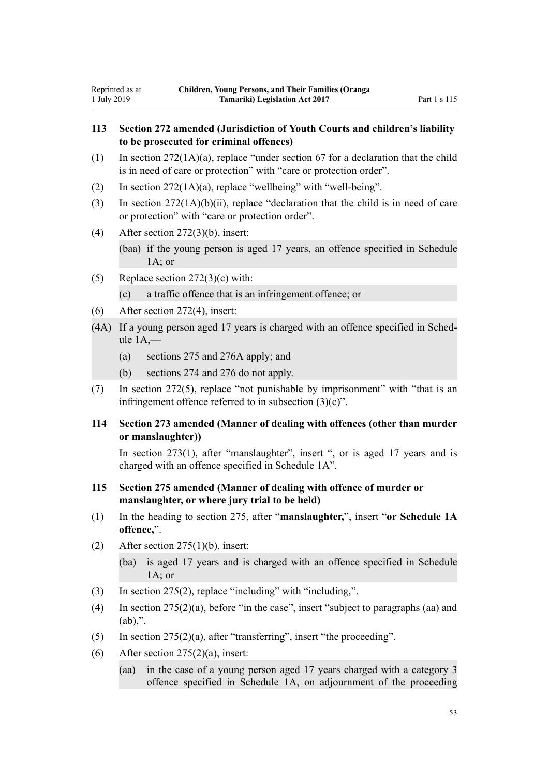## **113 Section 272 amended (Jurisdiction of Youth Courts and children's liability to be prosecuted for criminal offences)**

- $(1)$  In [section 272\(1A\)\(a\)](http://legislation.govt.nz/pdflink.aspx?id=DLM153418), replace "under section 67 for a declaration that the child is in need of care or protection" with "care or protection order".
- (2) In section  $272(1A)(a)$ , replace "wellbeing" with "well-being".
- (3) In [section 272\(1A\)\(b\)\(ii\)](http://legislation.govt.nz/pdflink.aspx?id=DLM153418), replace "declaration that the child is in need of care or protection" with "care or protection order".
- (4) After [section 272\(3\)\(b\),](http://legislation.govt.nz/pdflink.aspx?id=DLM153418) insert:

(baa) if the young person is aged 17 years, an offence specified in Schedule  $1A$ ; or

(5) Replace section  $272(3)(c)$  with:

(c) a traffic offence that is an infringement offence; or

- (6) After [section 272\(4\)](http://legislation.govt.nz/pdflink.aspx?id=DLM153418), insert:
- (4A) If a young person aged 17 years is charged with an offence specified in Schedule  $1A$ .
	- (a) sections 275 and 276A apply; and
	- (b) sections 274 and 276 do not apply.
- (7) In [section 272\(5\)](http://legislation.govt.nz/pdflink.aspx?id=DLM153418), replace "not punishable by imprisonment" with "that is an infringement offence referred to in subsection (3)(c)".

## **114 Section 273 amended (Manner of dealing with offences (other than murder or manslaughter))**

In [section 273\(1\),](http://legislation.govt.nz/pdflink.aspx?id=DLM153419) after "manslaughter", insert ", or is aged 17 years and is charged with an offence specified in Schedule 1A".

- **115 Section 275 amended (Manner of dealing with offence of murder or manslaughter, or where jury trial to be held)**
- (1) In the heading to [section 275](http://legislation.govt.nz/pdflink.aspx?id=DLM153422), after "**manslaughter,**", insert "**or Schedule 1A offence,**".
- (2) After section  $275(1)(b)$ , insert:
	- (ba) is aged 17 years and is charged with an offence specified in Schedule 1A; or
- (3) In [section 275\(2\),](http://legislation.govt.nz/pdflink.aspx?id=DLM153422) replace "including" with "including,".
- (4) In [section 275\(2\)\(a\),](http://legislation.govt.nz/pdflink.aspx?id=DLM153422) before "in the case", insert "subject to paragraphs (aa) and  $(ab)$ .".
- (5) In [section 275\(2\)\(a\),](http://legislation.govt.nz/pdflink.aspx?id=DLM153422) after "transferring", insert "the proceeding".
- (6) After section  $275(2)(a)$ , insert:
	- (aa) in the case of a young person aged 17 years charged with a category 3 offence specified in Schedule 1A, on adjournment of the proceeding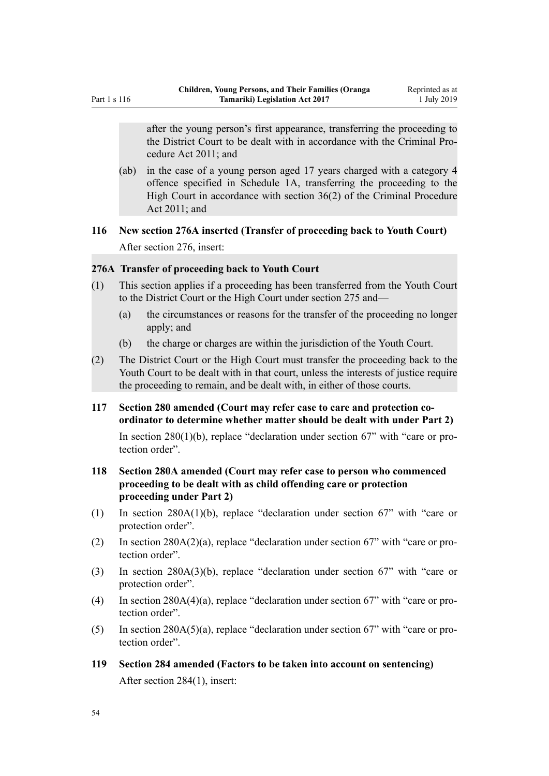after the young person's first appearance, transferring the proceeding to the District Court to be dealt with in accordance with the Criminal Procedure Act 2011; and

(ab) in the case of a young person aged 17 years charged with a category 4 offence specified in Schedule 1A, transferring the proceeding to the High Court in accordance with section 36(2) of the Criminal Procedure Act 2011; and

## **116 New section 276A inserted (Transfer of proceeding back to Youth Court)** After [section 276](http://legislation.govt.nz/pdflink.aspx?id=DLM153423), insert:

### **276A Transfer of proceeding back to Youth Court**

- (1) This section applies if a proceeding has been transferred from the Youth Court to the District Court or the High Court under section 275 and—
	- (a) the circumstances or reasons for the transfer of the proceeding no longer apply; and
	- (b) the charge or charges are within the jurisdiction of the Youth Court.
- (2) The District Court or the High Court must transfer the proceeding back to the Youth Court to be dealt with in that court, unless the interests of justice require the proceeding to remain, and be dealt with, in either of those courts.

### **117 Section 280 amended (Court may refer case to care and protection coordinator to determine whether matter should be dealt with under Part 2)**

In section  $280(1)(b)$ , replace "declaration under section 67" with "care or protection order".

## **118 Section 280A amended (Court may refer case to person who commenced proceeding to be dealt with as child offending care or protection proceeding under Part 2)**

- (1) In [section 280A\(1\)\(b\),](http://legislation.govt.nz/pdflink.aspx?id=DLM3275227) replace "declaration under section 67" with "care or protection order".
- (2) In [section 280A\(2\)\(a\),](http://legislation.govt.nz/pdflink.aspx?id=DLM3275227) replace "declaration under section 67" with "care or protection order".
- (3) In [section 280A\(3\)\(b\),](http://legislation.govt.nz/pdflink.aspx?id=DLM3275227) replace "declaration under section 67" with "care or protection order".
- (4) In [section 280A\(4\)\(a\),](http://legislation.govt.nz/pdflink.aspx?id=DLM3275227) replace "declaration under section 67" with "care or protection order".
- (5) In [section 280A\(5\)\(a\),](http://legislation.govt.nz/pdflink.aspx?id=DLM3275227) replace "declaration under section 67" with "care or protection order".
- **119 Section 284 amended (Factors to be taken into account on sentencing)** After [section 284\(1\)](http://legislation.govt.nz/pdflink.aspx?id=DLM153441), insert: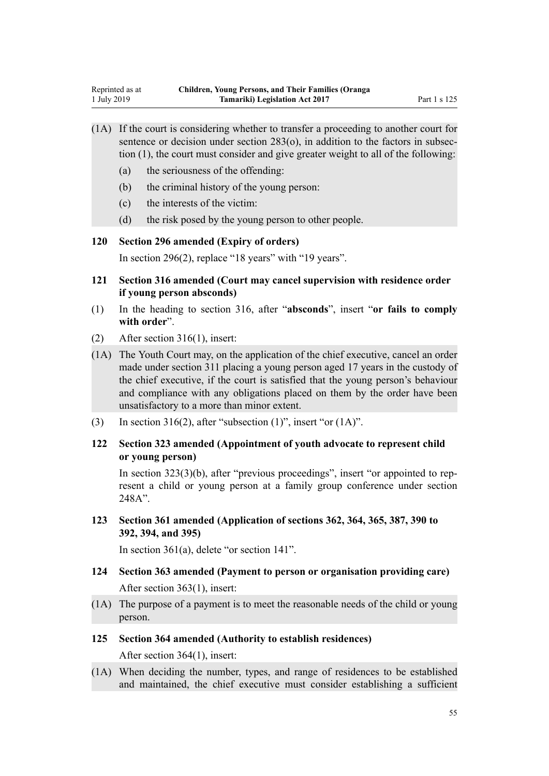- (1A) If the court is considering whether to transfer a proceeding to another court for sentence or decision under section 283(o), in addition to the factors in subsection (1), the court must consider and give greater weight to all of the following:
	- (a) the seriousness of the offending:
	- (b) the criminal history of the young person:
	- (c) the interests of the victim:
	- (d) the risk posed by the young person to other people.

**120 Section 296 amended (Expiry of orders)**

In [section 296\(2\),](http://legislation.govt.nz/pdflink.aspx?id=DLM153474) replace "18 years" with "19 years".

- **121 Section 316 amended (Court may cancel supervision with residence order if young person absconds)**
- (1) In the heading to [section 316,](http://legislation.govt.nz/pdflink.aspx?id=DLM154016) after "**absconds**", insert "**or fails to comply with order**".
- (2) After [section 316\(1\)](http://legislation.govt.nz/pdflink.aspx?id=DLM154016), insert:
- (1A) The Youth Court may, on the application of the chief executive, cancel an order made under section 311 placing a young person aged 17 years in the custody of the chief executive, if the court is satisfied that the young person's behaviour and compliance with any obligations placed on them by the order have been unsatisfactory to a more than minor extent.
- (3) In [section 316\(2\),](http://legislation.govt.nz/pdflink.aspx?id=DLM154016) after "subsection  $(1)$ ", insert "or  $(1A)$ ".
- **122 Section 323 amended (Appointment of youth advocate to represent child or young person)**

In [section 323\(3\)\(b\),](http://legislation.govt.nz/pdflink.aspx?id=DLM154035) after "previous proceedings", insert "or appointed to represent a child or young person at a family group conference under section 248A".

**123 Section 361 amended (Application of sections 362, 364, 365, 387, 390 to 392, 394, and 395)**

In [section 361\(a\)](http://legislation.govt.nz/pdflink.aspx?id=DLM154309), delete "or section 141".

- **124 Section 363 amended (Payment to person or organisation providing care)** After [section 363\(1\)](http://legislation.govt.nz/pdflink.aspx?id=DLM154316), insert:
- (1A) The purpose of a payment is to meet the reasonable needs of the child or young person.
- **125 Section 364 amended (Authority to establish residences)** After [section 364\(1\)](http://legislation.govt.nz/pdflink.aspx?id=DLM154320), insert:
- (1A) When deciding the number, types, and range of residences to be established and maintained, the chief executive must consider establishing a sufficient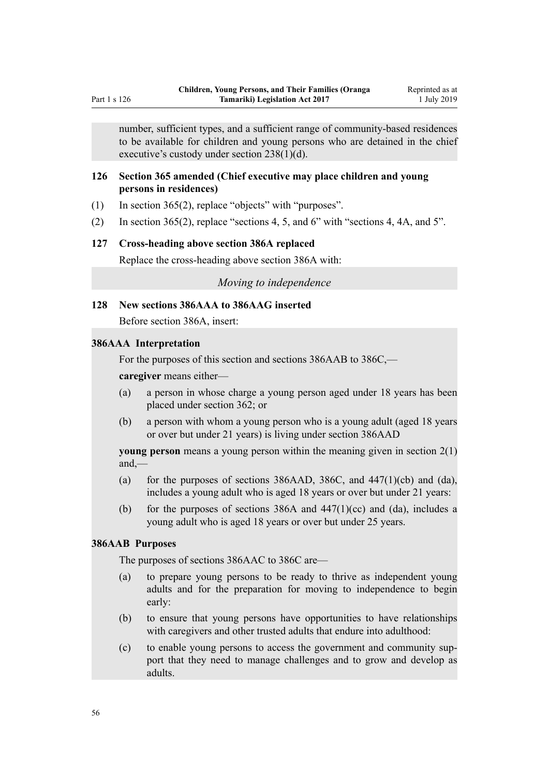number, sufficient types, and a sufficient range of community-based residences to be available for children and young persons who are detained in the chief executive's custody under section 238(1)(d).

### **126 Section 365 amended (Chief executive may place children and young persons in residences)**

- (1) In [section 365\(2\),](http://legislation.govt.nz/pdflink.aspx?id=DLM154326) replace "objects" with "purposes".
- (2) In [section 365\(2\),](http://legislation.govt.nz/pdflink.aspx?id=DLM154326) replace "sections 4, 5, and 6" with "sections 4, 4A, and 5".

#### **127 Cross-heading above section 386A replaced**

Replace the cross-heading above [section 386A](http://legislation.govt.nz/pdflink.aspx?id=DLM6892483) with:

#### *Moving to independence*

#### **128 New sections 386AAA to 386AAG inserted**

Before [section 386A](http://legislation.govt.nz/pdflink.aspx?id=DLM6892483), insert:

#### **386AAA Interpretation**

For the purposes of this section and sections 386AAB to 386C,—

**caregiver** means either—

- (a) a person in whose charge a young person aged under 18 years has been placed under section 362; or
- (b) a person with whom a young person who is a young adult (aged 18 years or over but under 21 years) is living under section 386AAD

**young person** means a young person within the meaning given in section 2(1) and,—

- (a) for the purposes of sections 386AAD, 386C, and  $447(1)(cb)$  and  $(da)$ , includes a young adult who is aged 18 years or over but under 21 years:
- (b) for the purposes of sections 386A and  $447(1)(cc)$  and (da), includes a young adult who is aged 18 years or over but under 25 years.

### **386AAB Purposes**

The purposes of sections 386AAC to 386C are—

- (a) to prepare young persons to be ready to thrive as independent young adults and for the preparation for moving to independence to begin early:
- (b) to ensure that young persons have opportunities to have relationships with caregivers and other trusted adults that endure into adulthood:
- (c) to enable young persons to access the government and community support that they need to manage challenges and to grow and develop as adults.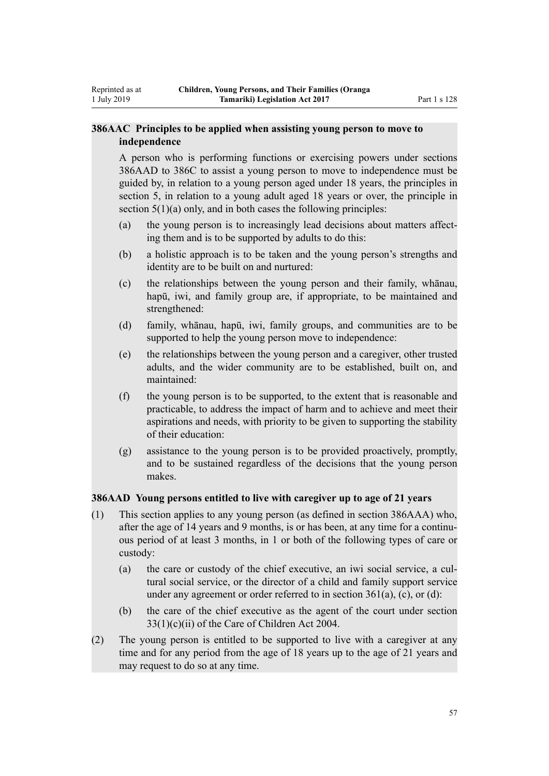## **386AAC Principles to be applied when assisting young person to move to independence**

Reprinted as at 1 July 2019

> A person who is performing functions or exercising powers under sections 386AAD to 386C to assist a young person to move to independence must be guided by, in relation to a young person aged under 18 years, the principles in section 5, in relation to a young adult aged 18 years or over, the principle in section  $5(1)(a)$  only, and in both cases the following principles:

- (a) the young person is to increasingly lead decisions about matters affecting them and is to be supported by adults to do this:
- (b) a holistic approach is to be taken and the young person's strengths and identity are to be built on and nurtured:
- (c) the relationships between the young person and their family, whānau, hapū, iwi, and family group are, if appropriate, to be maintained and strengthened:
- (d) family, whānau, hapū, iwi, family groups, and communities are to be supported to help the young person move to independence:
- (e) the relationships between the young person and a caregiver, other trusted adults, and the wider community are to be established, built on, and maintained:
- (f) the young person is to be supported, to the extent that is reasonable and practicable, to address the impact of harm and to achieve and meet their aspirations and needs, with priority to be given to supporting the stability of their education:
- (g) assistance to the young person is to be provided proactively, promptly, and to be sustained regardless of the decisions that the young person makes.

### **386AAD Young persons entitled to live with caregiver up to age of 21 years**

- (1) This section applies to any young person (as defined in section 386AAA) who, after the age of 14 years and 9 months, is or has been, at any time for a continuous period of at least 3 months, in 1 or both of the following types of care or custody:
	- (a) the care or custody of the chief executive, an iwi social service, a cultural social service, or the director of a child and family support service under any agreement or order referred to in section  $361(a)$ , (c), or (d):
	- (b) the care of the chief executive as the agent of the court under section 33(1)(c)(ii) of the Care of Children Act 2004.
- (2) The young person is entitled to be supported to live with a caregiver at any time and for any period from the age of 18 years up to the age of 21 years and may request to do so at any time.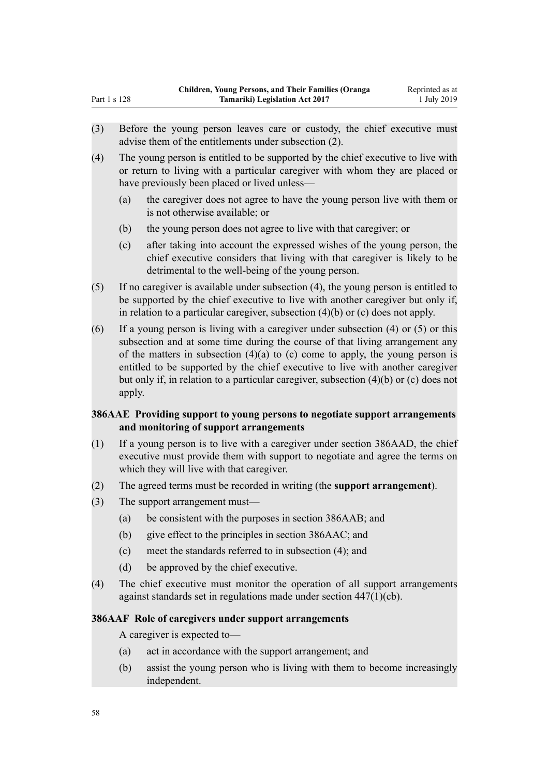(4) The young person is entitled to be supported by the chief executive to live with or return to living with a particular caregiver with whom they are placed or have previously been placed or lived unless—

- (a) the caregiver does not agree to have the young person live with them or is not otherwise available; or
- (b) the young person does not agree to live with that caregiver; or
- (c) after taking into account the expressed wishes of the young person, the chief executive considers that living with that caregiver is likely to be detrimental to the well-being of the young person.
- (5) If no caregiver is available under subsection (4), the young person is entitled to be supported by the chief executive to live with another caregiver but only if, in relation to a particular caregiver, subsection (4)(b) or (c) does not apply.
- (6) If a young person is living with a caregiver under subsection (4) or (5) or this subsection and at some time during the course of that living arrangement any of the matters in subsection  $(4)(a)$  to (c) come to apply, the young person is entitled to be supported by the chief executive to live with another caregiver but only if, in relation to a particular caregiver, subsection (4)(b) or (c) does not apply.

## **386AAE Providing support to young persons to negotiate support arrangements and monitoring of support arrangements**

- (1) If a young person is to live with a caregiver under section 386AAD, the chief executive must provide them with support to negotiate and agree the terms on which they will live with that caregiver.
- (2) The agreed terms must be recorded in writing (the **support arrangement**).
- (3) The support arrangement must—
	- (a) be consistent with the purposes in section 386AAB; and
	- (b) give effect to the principles in section 386AAC; and
	- (c) meet the standards referred to in subsection (4); and
	- (d) be approved by the chief executive.
- (4) The chief executive must monitor the operation of all support arrangements against standards set in regulations made under section 447(1)(cb).

### **386AAF Role of caregivers under support arrangements**

A caregiver is expected to—

- (a) act in accordance with the support arrangement; and
- (b) assist the young person who is living with them to become increasingly independent.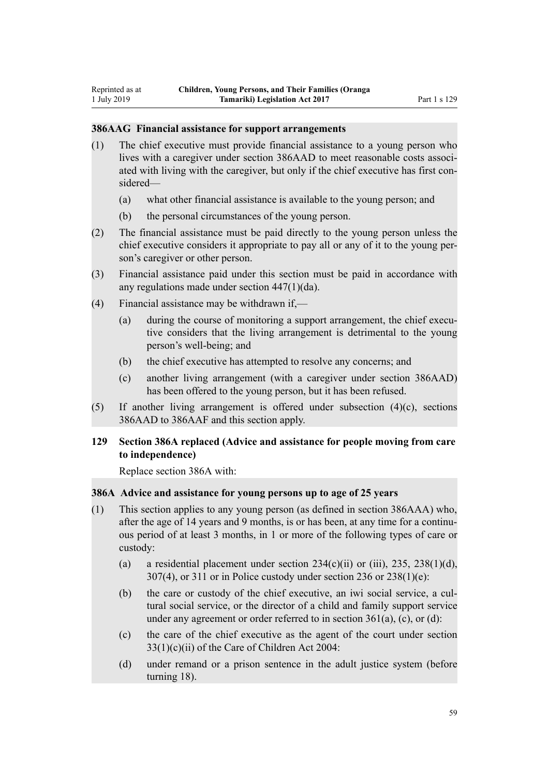#### **386AAG Financial assistance for support arrangements**

- (1) The chief executive must provide financial assistance to a young person who lives with a caregiver under section 386AAD to meet reasonable costs associated with living with the caregiver, but only if the chief executive has first considered—
	- (a) what other financial assistance is available to the young person; and
	- (b) the personal circumstances of the young person.
- (2) The financial assistance must be paid directly to the young person unless the chief executive considers it appropriate to pay all or any of it to the young person's caregiver or other person.
- (3) Financial assistance paid under this section must be paid in accordance with any regulations made under section 447(1)(da).
- (4) Financial assistance may be withdrawn if,—
	- (a) during the course of monitoring a support arrangement, the chief executive considers that the living arrangement is detrimental to the young person's well-being; and
	- (b) the chief executive has attempted to resolve any concerns; and
	- (c) another living arrangement (with a caregiver under section 386AAD) has been offered to the young person, but it has been refused.
- $(5)$  If another living arrangement is offered under subsection  $(4)(c)$ , sections 386AAD to 386AAF and this section apply.

### **129 Section 386A replaced (Advice and assistance for people moving from care to independence)**

Replace [section 386A](http://legislation.govt.nz/pdflink.aspx?id=DLM6892483) with:

### **386A Advice and assistance for young persons up to age of 25 years**

- (1) This section applies to any young person (as defined in section 386AAA) who, after the age of 14 years and 9 months, is or has been, at any time for a continuous period of at least 3 months, in 1 or more of the following types of care or custody:
	- (a) a residential placement under section  $234(c)(ii)$  or (iii),  $235$ ,  $238(1)(d)$ , 307(4), or 311 or in Police custody under section 236 or 238(1)(e):
	- (b) the care or custody of the chief executive, an iwi social service, a cultural social service, or the director of a child and family support service under any agreement or order referred to in section  $361(a)$ , (c), or (d):
	- (c) the care of the chief executive as the agent of the court under section 33(1)(c)(ii) of the Care of Children Act 2004:
	- (d) under remand or a prison sentence in the adult justice system (before turning 18).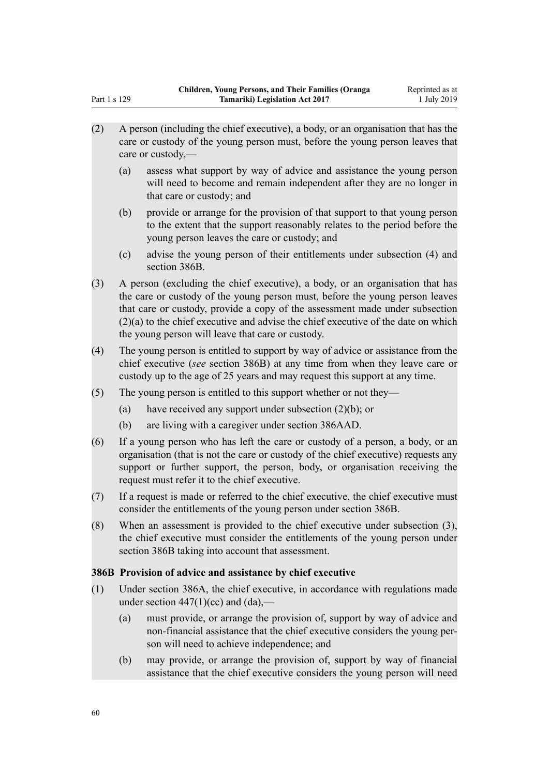- (2) A person (including the chief executive), a body, or an organisation that has the care or custody of the young person must, before the young person leaves that care or custody,—
	- (a) assess what support by way of advice and assistance the young person will need to become and remain independent after they are no longer in that care or custody; and
	- (b) provide or arrange for the provision of that support to that young person to the extent that the support reasonably relates to the period before the young person leaves the care or custody; and
	- (c) advise the young person of their entitlements under subsection (4) and section 386B.
- (3) A person (excluding the chief executive), a body, or an organisation that has the care or custody of the young person must, before the young person leaves that care or custody, provide a copy of the assessment made under subsection (2)(a) to the chief executive and advise the chief executive of the date on which the young person will leave that care or custody.
- (4) The young person is entitled to support by way of advice or assistance from the chief executive (*see* section 386B) at any time from when they leave care or custody up to the age of 25 years and may request this support at any time.
- (5) The young person is entitled to this support whether or not they—
	- (a) have received any support under subsection (2)(b); or
	- (b) are living with a caregiver under section 386AAD.
- (6) If a young person who has left the care or custody of a person, a body, or an organisation (that is not the care or custody of the chief executive) requests any support or further support, the person, body, or organisation receiving the request must refer it to the chief executive.
- (7) If a request is made or referred to the chief executive, the chief executive must consider the entitlements of the young person under section 386B.
- (8) When an assessment is provided to the chief executive under subsection (3), the chief executive must consider the entitlements of the young person under section 386B taking into account that assessment.

### **386B Provision of advice and assistance by chief executive**

- (1) Under section 386A, the chief executive, in accordance with regulations made under section  $447(1)(cc)$  and  $(da)$ .
	- (a) must provide, or arrange the provision of, support by way of advice and non-financial assistance that the chief executive considers the young person will need to achieve independence; and
	- (b) may provide, or arrange the provision of, support by way of financial assistance that the chief executive considers the young person will need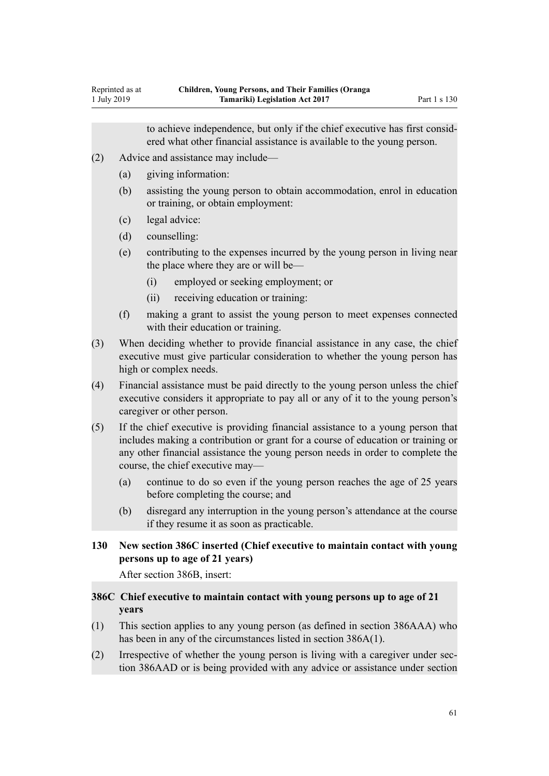to achieve independence, but only if the chief executive has first considered what other financial assistance is available to the young person.

- (2) Advice and assistance may include—
	- (a) giving information:
		- (b) assisting the young person to obtain accommodation, enrol in education or training, or obtain employment:
		- (c) legal advice:

Reprinted as at 1 July 2019

- (d) counselling:
- (e) contributing to the expenses incurred by the young person in living near the place where they are or will be—
	- (i) employed or seeking employment; or
	- (ii) receiving education or training:
- (f) making a grant to assist the young person to meet expenses connected with their education or training.
- (3) When deciding whether to provide financial assistance in any case, the chief executive must give particular consideration to whether the young person has high or complex needs.
- (4) Financial assistance must be paid directly to the young person unless the chief executive considers it appropriate to pay all or any of it to the young person's caregiver or other person.
- (5) If the chief executive is providing financial assistance to a young person that includes making a contribution or grant for a course of education or training or any other financial assistance the young person needs in order to complete the course, the chief executive may—
	- (a) continue to do so even if the young person reaches the age of 25 years before completing the course; and
	- (b) disregard any interruption in the young person's attendance at the course if they resume it as soon as practicable.

## **130 New section 386C inserted (Chief executive to maintain contact with young persons up to age of 21 years)**

After section 386B, insert:

## **386C Chief executive to maintain contact with young persons up to age of 21 years**

- (1) This section applies to any young person (as defined in section 386AAA) who has been in any of the circumstances listed in section 386A(1).
- (2) Irrespective of whether the young person is living with a caregiver under section 386AAD or is being provided with any advice or assistance under section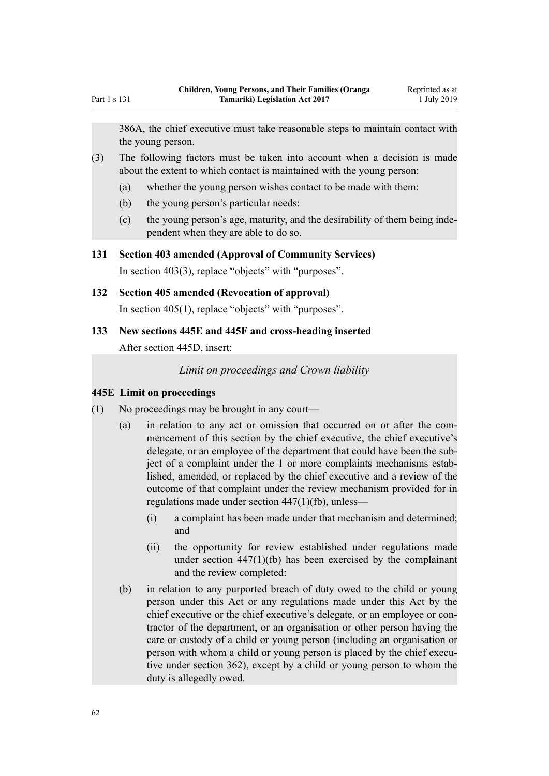386A, the chief executive must take reasonable steps to maintain contact with the young person.

- (3) The following factors must be taken into account when a decision is made about the extent to which contact is maintained with the young person:
	- (a) whether the young person wishes contact to be made with them:
	- (b) the young person's particular needs:
	- (c) the young person's age, maturity, and the desirability of them being independent when they are able to do so.

### **131 Section 403 amended (Approval of Community Services)**

In [section 403\(3\),](http://legislation.govt.nz/pdflink.aspx?id=DLM154574) replace "objects" with "purposes".

## **132 Section 405 amended (Revocation of approval)**

In [section 405\(1\),](http://legislation.govt.nz/pdflink.aspx?id=DLM154578) replace "objects" with "purposes".

**133 New sections 445E and 445F and cross-heading inserted**

After [section 445D](http://legislation.govt.nz/pdflink.aspx?id=DLM4838326), insert:

*Limit on proceedings and Crown liability*

### **445E Limit on proceedings**

- (1) No proceedings may be brought in any court—
	- (a) in relation to any act or omission that occurred on or after the commencement of this section by the chief executive, the chief executive's delegate, or an employee of the department that could have been the subject of a complaint under the 1 or more complaints mechanisms established, amended, or replaced by the chief executive and a review of the outcome of that complaint under the review mechanism provided for in regulations made under section 447(1)(fb), unless—
		- (i) a complaint has been made under that mechanism and determined; and
		- (ii) the opportunity for review established under regulations made under section 447(1)(fb) has been exercised by the complainant and the review completed:
	- (b) in relation to any purported breach of duty owed to the child or young person under this Act or any regulations made under this Act by the chief executive or the chief executive's delegate, or an employee or contractor of the department, or an organisation or other person having the care or custody of a child or young person (including an organisation or person with whom a child or young person is placed by the chief executive under section 362), except by a child or young person to whom the duty is allegedly owed.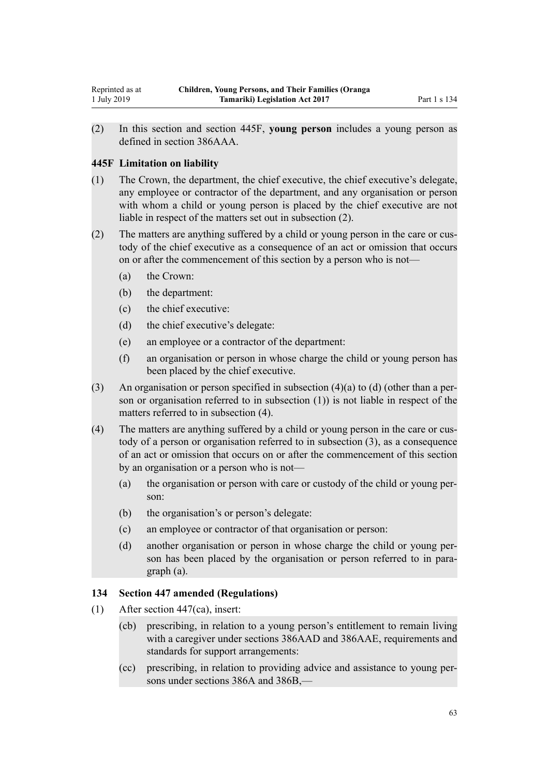(2) In this section and section 445F, **young person** includes a young person as defined in section 386AAA.

### **445F Limitation on liability**

- (1) The Crown, the department, the chief executive, the chief executive's delegate, any employee or contractor of the department, and any organisation or person with whom a child or young person is placed by the chief executive are not liable in respect of the matters set out in subsection (2).
- (2) The matters are anything suffered by a child or young person in the care or custody of the chief executive as a consequence of an act or omission that occurs on or after the commencement of this section by a person who is not—
	- (a) the Crown:
	- (b) the department:
	- (c) the chief executive:
	- (d) the chief executive's delegate:
	- (e) an employee or a contractor of the department:
	- (f) an organisation or person in whose charge the child or young person has been placed by the chief executive.
- (3) An organisation or person specified in subsection (4)(a) to (d) (other than a person or organisation referred to in subsection (1)) is not liable in respect of the matters referred to in subsection (4).
- (4) The matters are anything suffered by a child or young person in the care or custody of a person or organisation referred to in subsection (3), as a consequence of an act or omission that occurs on or after the commencement of this section by an organisation or a person who is not—
	- (a) the organisation or person with care or custody of the child or young person:
	- (b) the organisation's or person's delegate:
	- (c) an employee or contractor of that organisation or person:
	- (d) another organisation or person in whose charge the child or young person has been placed by the organisation or person referred to in paragraph (a).

## **134 Section 447 amended (Regulations)**

- (1) After [section 447\(ca\),](http://legislation.govt.nz/pdflink.aspx?id=DLM155080) insert:
	- (cb) prescribing, in relation to a young person's entitlement to remain living with a caregiver under sections 386AAD and 386AAE, requirements and standards for support arrangements:
	- (cc) prescribing, in relation to providing advice and assistance to young persons under sections 386A and 386B,—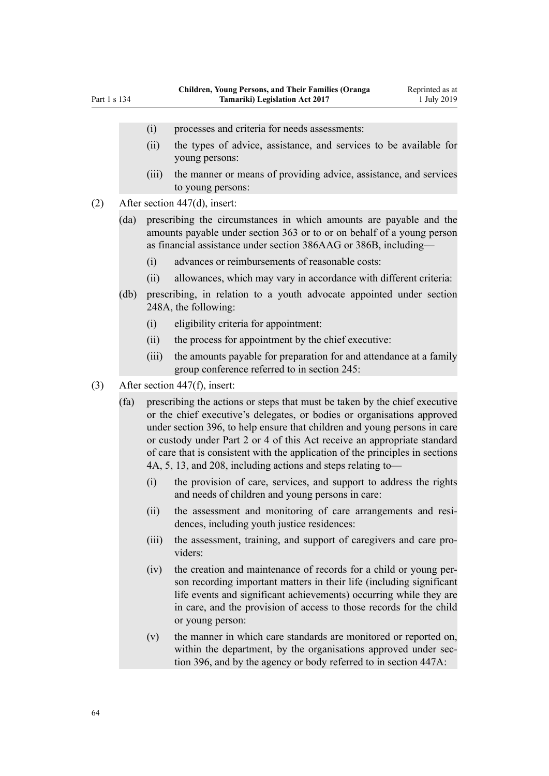- (i) processes and criteria for needs assessments:
- (ii) the types of advice, assistance, and services to be available for young persons:
- (iii) the manner or means of providing advice, assistance, and services to young persons:
- (2) After [section 447\(d\)](http://legislation.govt.nz/pdflink.aspx?id=DLM155080), insert:
	- (da) prescribing the circumstances in which amounts are payable and the amounts payable under section 363 or to or on behalf of a young person as financial assistance under section 386AAG or 386B, including—
		- (i) advances or reimbursements of reasonable costs:
		- (ii) allowances, which may vary in accordance with different criteria:
	- (db) prescribing, in relation to a youth advocate appointed under section 248A, the following:
		- (i) eligibility criteria for appointment:
		- (ii) the process for appointment by the chief executive:
		- (iii) the amounts payable for preparation for and attendance at a family group conference referred to in section 245:
- (3) After [section 447\(f\),](http://legislation.govt.nz/pdflink.aspx?id=DLM155080) insert:
	- (fa) prescribing the actions or steps that must be taken by the chief executive or the chief executive's delegates, or bodies or organisations approved under section 396, to help ensure that children and young persons in care or custody under Part 2 or 4 of this Act receive an appropriate standard of care that is consistent with the application of the principles in sections 4A, 5, 13, and 208, including actions and steps relating to—
		- (i) the provision of care, services, and support to address the rights and needs of children and young persons in care:
		- (ii) the assessment and monitoring of care arrangements and residences, including youth justice residences:
		- (iii) the assessment, training, and support of caregivers and care providers:
		- (iv) the creation and maintenance of records for a child or young person recording important matters in their life (including significant life events and significant achievements) occurring while they are in care, and the provision of access to those records for the child or young person:
		- (v) the manner in which care standards are monitored or reported on, within the department, by the organisations approved under section 396, and by the agency or body referred to in section 447A: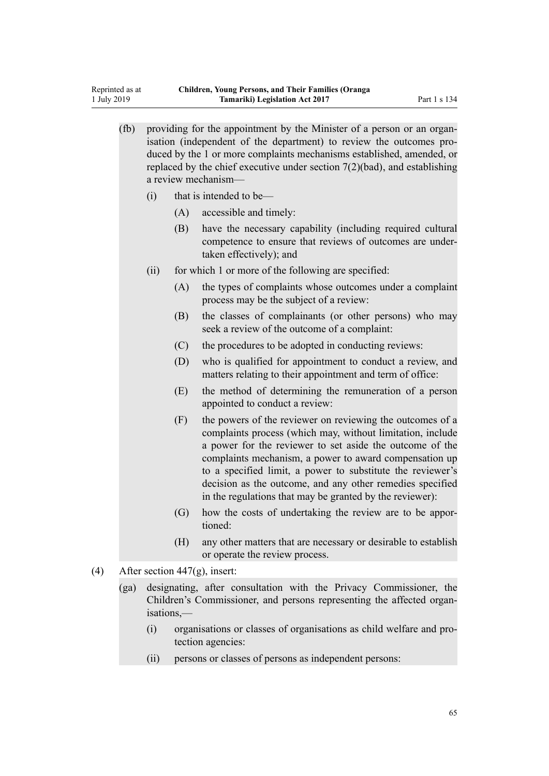(fb) providing for the appointment by the Minister of a person or an organisation (independent of the department) to review the outcomes produced by the 1 or more complaints mechanisms established, amended, or replaced by the chief executive under section 7(2)(bad), and establishing a review mechanism—

(i) that is intended to be—

Reprinted as at 1 July 2019

- (A) accessible and timely:
- (B) have the necessary capability (including required cultural competence to ensure that reviews of outcomes are undertaken effectively); and
- (ii) for which 1 or more of the following are specified:
	- (A) the types of complaints whose outcomes under a complaint process may be the subject of a review:
	- (B) the classes of complainants (or other persons) who may seek a review of the outcome of a complaint:
	- (C) the procedures to be adopted in conducting reviews:
	- (D) who is qualified for appointment to conduct a review, and matters relating to their appointment and term of office:
	- (E) the method of determining the remuneration of a person appointed to conduct a review:
	- (F) the powers of the reviewer on reviewing the outcomes of a complaints process (which may, without limitation, include a power for the reviewer to set aside the outcome of the complaints mechanism, a power to award compensation up to a specified limit, a power to substitute the reviewer's decision as the outcome, and any other remedies specified in the regulations that may be granted by the reviewer):
	- (G) how the costs of undertaking the review are to be apportioned:
	- (H) any other matters that are necessary or desirable to establish or operate the review process.
- (4) After [section 447\(g\)](http://legislation.govt.nz/pdflink.aspx?id=DLM155080), insert:
	- (ga) designating, after consultation with the Privacy Commissioner, the Children's Commissioner, and persons representing the affected organisations,—
		- (i) organisations or classes of organisations as child welfare and protection agencies:
		- (ii) persons or classes of persons as independent persons: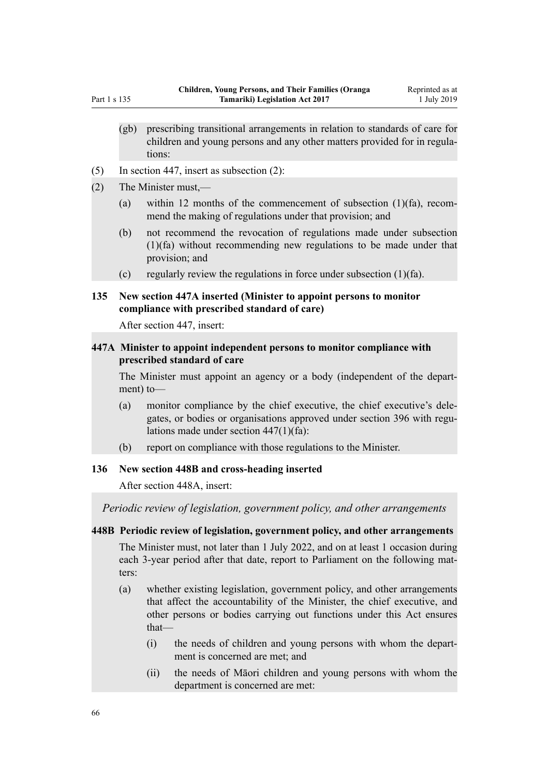- (gb) prescribing transitional arrangements in relation to standards of care for children and young persons and any other matters provided for in regulations:
- (5) In [section 447](http://legislation.govt.nz/pdflink.aspx?id=DLM155080), insert as subsection (2):
- (2) The Minister must,—
	- (a) within 12 months of the commencement of subsection (1)(fa), recommend the making of regulations under that provision; and
	- (b) not recommend the revocation of regulations made under subsection (1)(fa) without recommending new regulations to be made under that provision; and
	- (c) regularly review the regulations in force under subsection  $(1)(fa)$ .

### **135 New section 447A inserted (Minister to appoint persons to monitor compliance with prescribed standard of care)**

After [section 447](http://legislation.govt.nz/pdflink.aspx?id=DLM155080), insert:

### **447A Minister to appoint independent persons to monitor compliance with prescribed standard of care**

The Minister must appoint an agency or a body (independent of the department) to—

- (a) monitor compliance by the chief executive, the chief executive's delegates, or bodies or organisations approved under section 396 with regulations made under section 447(1)(fa):
- (b) report on compliance with those regulations to the Minister.

### **136 New section 448B and cross-heading inserted**

After [section 448A](http://legislation.govt.nz/pdflink.aspx?id=DLM155087), insert:

*Periodic review of legislation, government policy, and other arrangements*

### **448B Periodic review of legislation, government policy, and other arrangements**

The Minister must, not later than 1 July 2022, and on at least 1 occasion during each 3-year period after that date, report to Parliament on the following matters:

- (a) whether existing legislation, government policy, and other arrangements that affect the accountability of the Minister, the chief executive, and other persons or bodies carrying out functions under this Act ensures that—
	- (i) the needs of children and young persons with whom the department is concerned are met; and
	- (ii) the needs of Māori children and young persons with whom the department is concerned are met: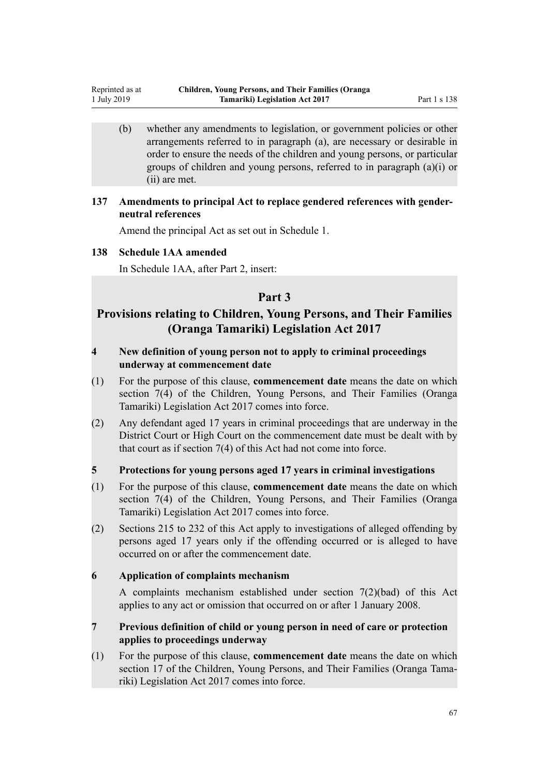(b) whether any amendments to legislation, or government policies or other arrangements referred to in paragraph (a), are necessary or desirable in order to ensure the needs of the children and young persons, or particular groups of children and young persons, referred to in paragraph (a)(i) or (ii) are met.

## **137 Amendments to principal Act to replace gendered references with genderneutral references**

Amend the principal Act as set out in [Schedule 1](#page-72-0).

### **138 Schedule 1AA amended**

Reprinted as at 1 July 2019

In [Schedule 1AA](http://legislation.govt.nz/pdflink.aspx?id=DLM5801132), after Part 2, insert:

## **Part 3**

## **Provisions relating to Children, Young Persons, and Their Families (Oranga Tamariki) Legislation Act 2017**

## **4 New definition of young person not to apply to criminal proceedings underway at commencement date**

- (1) For the purpose of this clause, **commencement date** means the date on which section 7(4) of the Children, Young Persons, and Their Families (Oranga Tamariki) Legislation Act 2017 comes into force.
- (2) Any defendant aged 17 years in criminal proceedings that are underway in the District Court or High Court on the commencement date must be dealt with by that court as if section 7(4) of this Act had not come into force.

## **5 Protections for young persons aged 17 years in criminal investigations**

- (1) For the purpose of this clause, **commencement date** means the date on which section 7(4) of the Children, Young Persons, and Their Families (Oranga Tamariki) Legislation Act 2017 comes into force.
- (2) Sections 215 to 232 of this Act apply to investigations of alleged offending by persons aged 17 years only if the offending occurred or is alleged to have occurred on or after the commencement date.

### **6 Application of complaints mechanism**

A complaints mechanism established under section 7(2)(bad) of this Act applies to any act or omission that occurred on or after 1 January 2008.

## **7 Previous definition of child or young person in need of care or protection applies to proceedings underway**

(1) For the purpose of this clause, **commencement date** means the date on which section 17 of the Children, Young Persons, and Their Families (Oranga Tamariki) Legislation Act 2017 comes into force.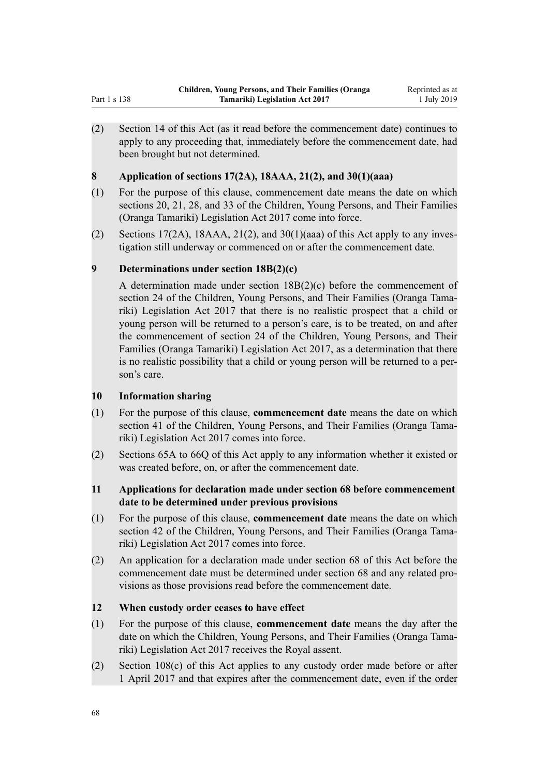(2) Section 14 of this Act (as it read before the commencement date) continues to apply to any proceeding that, immediately before the commencement date, had been brought but not determined.

## **8 Application of sections 17(2A), 18AAA, 21(2), and 30(1)(aaa)**

- (1) For the purpose of this clause, commencement date means the date on which sections 20, 21, 28, and 33 of the Children, Young Persons, and Their Families (Oranga Tamariki) Legislation Act 2017 come into force.
- (2) Sections 17(2A), 18AAA, 21(2), and 30(1)(aaa) of this Act apply to any investigation still underway or commenced on or after the commencement date.

## **9 Determinations under section 18B(2)(c)**

A determination made under section 18B(2)(c) before the commencement of section 24 of the Children, Young Persons, and Their Families (Oranga Tamariki) Legislation Act 2017 that there is no realistic prospect that a child or young person will be returned to a person's care, is to be treated, on and after the commencement of section 24 of the Children, Young Persons, and Their Families (Oranga Tamariki) Legislation Act 2017, as a determination that there is no realistic possibility that a child or young person will be returned to a person's care.

## **10 Information sharing**

- (1) For the purpose of this clause, **commencement date** means the date on which section 41 of the Children, Young Persons, and Their Families (Oranga Tamariki) Legislation Act 2017 comes into force.
- (2) Sections 65A to 66Q of this Act apply to any information whether it existed or was created before, on, or after the commencement date.
- **11 Applications for declaration made under section 68 before commencement date to be determined under previous provisions**
- (1) For the purpose of this clause, **commencement date** means the date on which section 42 of the Children, Young Persons, and Their Families (Oranga Tamariki) Legislation Act 2017 comes into force.
- (2) An application for a declaration made under section 68 of this Act before the commencement date must be determined under section 68 and any related provisions as those provisions read before the commencement date.

## **12 When custody order ceases to have effect**

- (1) For the purpose of this clause, **commencement date** means the day after the date on which the Children, Young Persons, and Their Families (Oranga Tamariki) Legislation Act 2017 receives the Royal assent.
- (2) Section 108(c) of this Act applies to any custody order made before or after 1 April 2017 and that expires after the commencement date, even if the order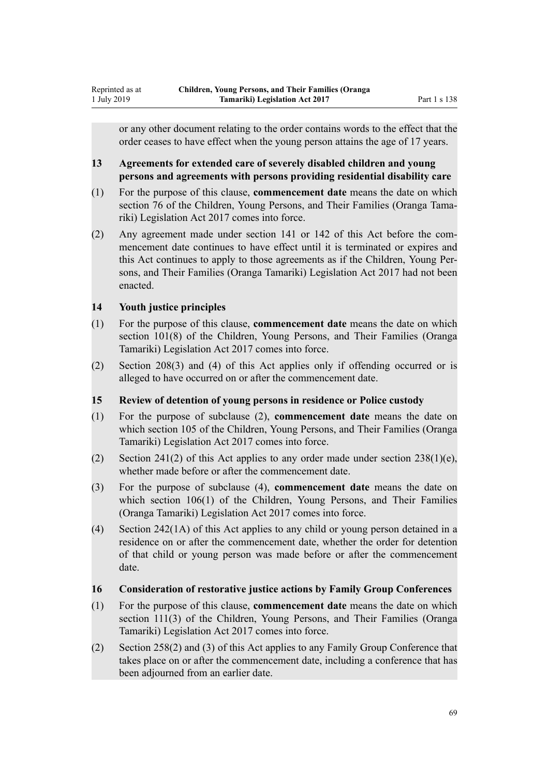or any other document relating to the order contains words to the effect that the order ceases to have effect when the young person attains the age of 17 years.

## **13 Agreements for extended care of severely disabled children and young persons and agreements with persons providing residential disability care**

- (1) For the purpose of this clause, **commencement date** means the date on which section 76 of the Children, Young Persons, and Their Families (Oranga Tamariki) Legislation Act 2017 comes into force.
- (2) Any agreement made under section 141 or 142 of this Act before the commencement date continues to have effect until it is terminated or expires and this Act continues to apply to those agreements as if the Children, Young Persons, and Their Families (Oranga Tamariki) Legislation Act 2017 had not been enacted.

## **14 Youth justice principles**

Reprinted as at 1 July 2019

- (1) For the purpose of this clause, **commencement date** means the date on which section 101(8) of the Children, Young Persons, and Their Families (Oranga Tamariki) Legislation Act 2017 comes into force.
- (2) Section 208(3) and (4) of this Act applies only if offending occurred or is alleged to have occurred on or after the commencement date.

## **15 Review of detention of young persons in residence or Police custody**

- (1) For the purpose of subclause (2), **commencement date** means the date on which section 105 of the Children, Young Persons, and Their Families (Oranga Tamariki) Legislation Act 2017 comes into force.
- (2) Section 241(2) of this Act applies to any order made under section  $238(1)(e)$ , whether made before or after the commencement date.
- (3) For the purpose of subclause (4), **commencement date** means the date on which section 106(1) of the Children, Young Persons, and Their Families (Oranga Tamariki) Legislation Act 2017 comes into force.
- (4) Section 242(1A) of this Act applies to any child or young person detained in a residence on or after the commencement date, whether the order for detention of that child or young person was made before or after the commencement date.

## **16 Consideration of restorative justice actions by Family Group Conferences**

- (1) For the purpose of this clause, **commencement date** means the date on which section 111(3) of the Children, Young Persons, and Their Families (Oranga Tamariki) Legislation Act 2017 comes into force.
- (2) Section 258(2) and (3) of this Act applies to any Family Group Conference that takes place on or after the commencement date, including a conference that has been adjourned from an earlier date.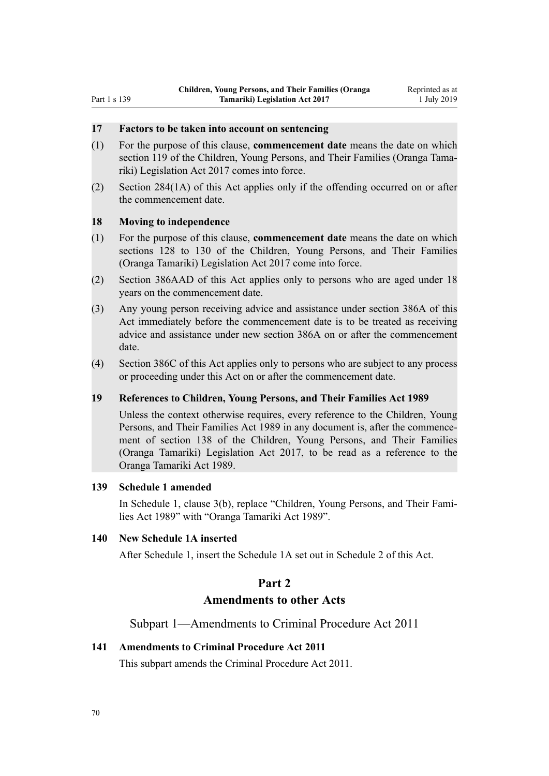#### **17 Factors to be taken into account on sentencing**

- (1) For the purpose of this clause, **commencement date** means the date on which section 119 of the Children, Young Persons, and Their Families (Oranga Tamariki) Legislation Act 2017 comes into force.
- (2) Section 284(1A) of this Act applies only if the offending occurred on or after the commencement date.

### **18 Moving to independence**

- (1) For the purpose of this clause, **commencement date** means the date on which sections 128 to 130 of the Children, Young Persons, and Their Families (Oranga Tamariki) Legislation Act 2017 come into force.
- (2) Section 386AAD of this Act applies only to persons who are aged under 18 years on the commencement date.
- (3) Any young person receiving advice and assistance under section 386A of this Act immediately before the commencement date is to be treated as receiving advice and assistance under new section 386A on or after the commencement date.
- (4) Section 386C of this Act applies only to persons who are subject to any process or proceeding under this Act on or after the commencement date.

#### **19 References to Children, Young Persons, and Their Families Act 1989**

Unless the context otherwise requires, every reference to the Children, Young Persons, and Their Families Act 1989 in any document is, after the commencement of section 138 of the Children, Young Persons, and Their Families (Oranga Tamariki) Legislation Act 2017, to be read as a reference to the Oranga Tamariki Act 1989.

### **139 Schedule 1 amended**

In [Schedule 1](http://legislation.govt.nz/pdflink.aspx?id=DLM155340), clause 3(b), replace "Children, Young Persons, and Their Families Act 1989" with "Oranga Tamariki Act 1989".

### **140 New Schedule 1A inserted**

After [Schedule 1](http://legislation.govt.nz/pdflink.aspx?id=DLM155340), insert the Schedule 1A set out in Schedule 2 of this Act.

### **Part 2**

## **Amendments to other Acts**

Subpart 1—Amendments to Criminal Procedure Act 2011

#### **141 Amendments to Criminal Procedure Act 2011**

This subpart amends the [Criminal Procedure Act 2011](http://legislation.govt.nz/pdflink.aspx?id=DLM3359902).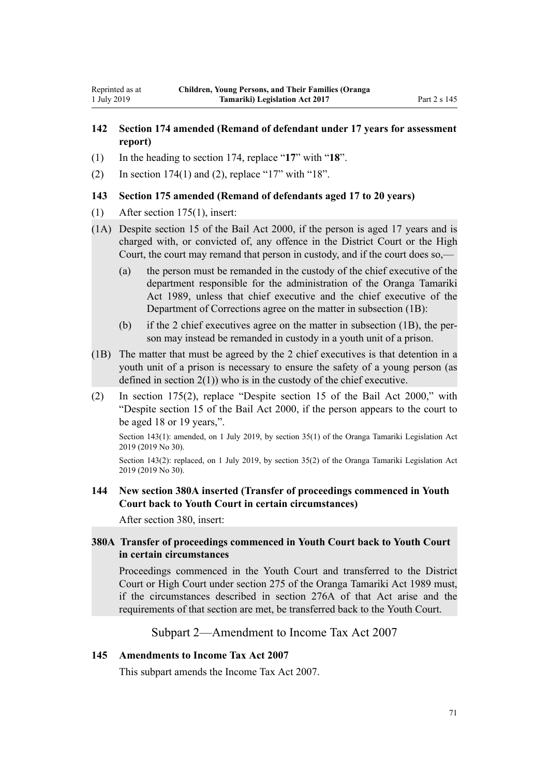## **142 Section 174 amended (Remand of defendant under 17 years for assessment report)**

- (1) In the heading to [section 174](http://legislation.govt.nz/pdflink.aspx?id=DLM3360303), replace "**17**" with "**18**".
- (2) In [section 174\(1\) and \(2\),](http://legislation.govt.nz/pdflink.aspx?id=DLM3360303) replace "17" with "18".

### **143 Section 175 amended (Remand of defendants aged 17 to 20 years)**

- (1) After [section 175\(1\)](http://legislation.govt.nz/pdflink.aspx?id=DLM3360304), insert:
- (1A) Despite section 15 of the Bail Act 2000, if the person is aged 17 years and is charged with, or convicted of, any offence in the District Court or the High Court, the court may remand that person in custody, and if the court does so,—
	- (a) the person must be remanded in the custody of the chief executive of the department responsible for the administration of the Oranga Tamariki Act 1989, unless that chief executive and the chief executive of the Department of Corrections agree on the matter in subsection (1B):
	- (b) if the 2 chief executives agree on the matter in subsection (1B), the person may instead be remanded in custody in a youth unit of a prison.
- (1B) The matter that must be agreed by the 2 chief executives is that detention in a youth unit of a prison is necessary to ensure the safety of a young person (as defined in section  $2(1)$ ) who is in the custody of the chief executive.
- (2) In [section 175\(2\)](http://legislation.govt.nz/pdflink.aspx?id=DLM3360304), replace "Despite section 15 of the Bail Act 2000," with "Despite section 15 of the Bail Act 2000, if the person appears to the court to be aged 18 or 19 years,".

Section 143(1): amended, on 1 July 2019, by [section 35\(1\)](http://legislation.govt.nz/pdflink.aspx?id=LMS158706) of the Oranga Tamariki Legislation Act 2019 (2019 No 30).

Section 143(2): replaced, on 1 July 2019, by [section 35\(2\)](http://legislation.govt.nz/pdflink.aspx?id=LMS158706) of the Oranga Tamariki Legislation Act 2019 (2019 No 30).

## **144 New section 380A inserted (Transfer of proceedings commenced in Youth Court back to Youth Court in certain circumstances)**

After [section 380](http://legislation.govt.nz/pdflink.aspx?id=DLM3360597), insert:

## **380A Transfer of proceedings commenced in Youth Court back to Youth Court in certain circumstances**

Proceedings commenced in the Youth Court and transferred to the District Court or High Court under section 275 of the Oranga Tamariki Act 1989 must, if the circumstances described in section 276A of that Act arise and the requirements of that section are met, be transferred back to the Youth Court.

## Subpart 2—Amendment to Income Tax Act 2007

### **145 Amendments to Income Tax Act 2007**

This subpart amends the [Income Tax Act 2007.](http://legislation.govt.nz/pdflink.aspx?id=DLM1512300)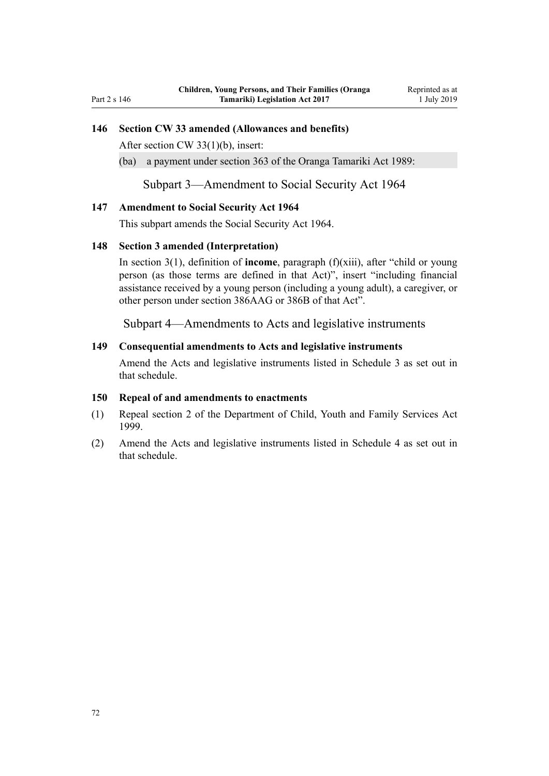### **146 Section CW 33 amended (Allowances and benefits)**

After [section CW 33\(1\)\(b\),](http://legislation.govt.nz/pdflink.aspx?id=DLM1513240) insert:

(ba) a payment under section 363 of the Oranga Tamariki Act 1989:

Subpart 3—Amendment to Social Security Act 1964

#### **147 Amendment to Social Security Act 1964**

This subpart amends the [Social Security Act 1964](http://legislation.govt.nz/pdflink.aspx?id=DLM359106).

#### **148 Section 3 amended (Interpretation)**

In [section 3\(1\),](http://legislation.govt.nz/pdflink.aspx?id=DLM359124) definition of **income**, paragraph (f)(xiii), after "child or young person (as those terms are defined in that Act)", insert "including financial assistance received by a young person (including a young adult), a caregiver, or other person under section 386AAG or 386B of that Act".

Subpart 4—Amendments to Acts and legislative instruments

#### **149 Consequential amendments to Acts and legislative instruments**

Amend the Acts and legislative instruments listed in [Schedule 3](#page-79-0) as set out in that schedule.

#### **150 Repeal of and amendments to enactments**

- (1) Repeal [section 2](http://legislation.govt.nz/pdflink.aspx?id=DLM31278) of the Department of Child, Youth and Family Services Act 1999.
- (2) Amend the Acts and legislative instruments listed in [Schedule 4](#page-82-0) as set out in that schedule.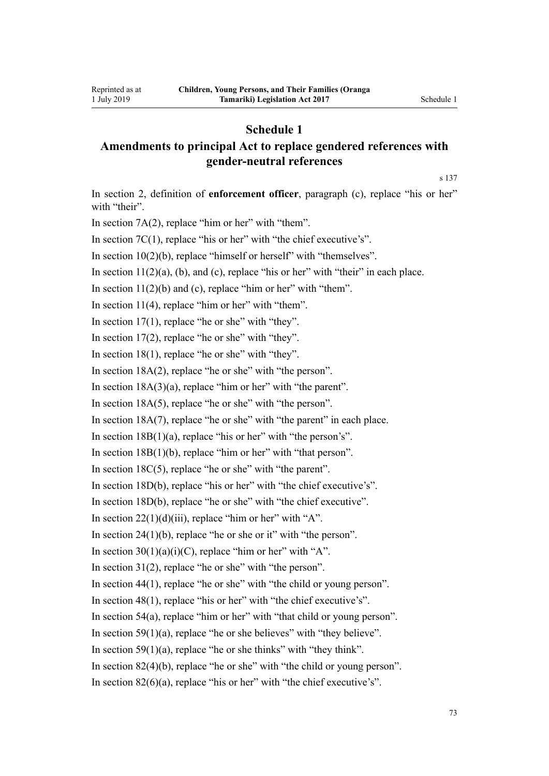## **Schedule 1**

## **Amendments to principal Act to replace gendered references with gender-neutral references**

[s 137](#page-66-0)

In [section 2,](http://legislation.govt.nz/pdflink.aspx?id=DLM147094) definition of **enforcement officer**, paragraph (c), replace "his or her" with "their". In section  $7A(2)$ , replace "him or her" with "them". In [section 7C\(1\),](http://legislation.govt.nz/pdflink.aspx?id=DLM7220902) replace "his or her" with "the chief executive's". In section  $10(2)(b)$ , replace "himself or herself" with "themselves". In section  $11(2)(a)$ , (b), and (c), replace "his or her" with "their" in each place. In section  $11(2)(b)$  and (c), replace "him or her" with "them". In section  $11(4)$ , replace "him or her" with "them". In section  $17(1)$ , replace "he or she" with "they". In section  $17(2)$ , replace "he or she" with "they". In [section 18\(1\)](http://legislation.govt.nz/pdflink.aspx?id=DLM149472), replace "he or she" with "they". In [section 18A\(2\)](http://legislation.govt.nz/pdflink.aspx?id=DLM6889643), replace "he or she" with "the person". In section  $18A(3)(a)$ , replace "him or her" with "the parent". In [section 18A\(5\)](http://legislation.govt.nz/pdflink.aspx?id=DLM6889643), replace "he or she" with "the person". In [section 18A\(7\)](http://legislation.govt.nz/pdflink.aspx?id=DLM6889643), replace "he or she" with "the parent" in each place. In section  $18B(1)(a)$ , replace "his or her" with "the person's". In section  $18B(1)(b)$ , replace "him or her" with "that person". In [section 18C\(5\),](http://legislation.govt.nz/pdflink.aspx?id=DLM6889625) replace "he or she" with "the parent". In [section 18D\(b\)](http://legislation.govt.nz/pdflink.aspx?id=DLM6889654), replace "his or her" with "the chief executive's". In [section 18D\(b\)](http://legislation.govt.nz/pdflink.aspx?id=DLM6889654), replace "he or she" with "the chief executive". In section  $22(1)(d)(iii)$ , replace "him or her" with "A". In section  $24(1)(b)$ , replace "he or she or it" with "the person". In section  $30(1)(a)(i)(C)$ , replace "him or her" with "A". In [section 31\(2\)](http://legislation.govt.nz/pdflink.aspx?id=DLM149491), replace "he or she" with "the person". In [section 44\(1\)](http://legislation.govt.nz/pdflink.aspx?id=DLM150014), replace "he or she" with "the child or young person". In [section 48\(1\)](http://legislation.govt.nz/pdflink.aspx?id=DLM150022), replace "his or her" with "the chief executive's". In [section 54\(a\)](http://legislation.govt.nz/pdflink.aspx?id=DLM150035), replace "him or her" with "that child or young person". In section  $59(1)(a)$ , replace "he or she believes" with "they believe". In section  $59(1)(a)$ , replace "he or she thinks" with "they think". In [section 82\(4\)\(b\)](http://legislation.govt.nz/pdflink.aspx?id=DLM150079), replace "he or she" with "the child or young person". In section  $82(6)(a)$ , replace "his or her" with "the chief executive's".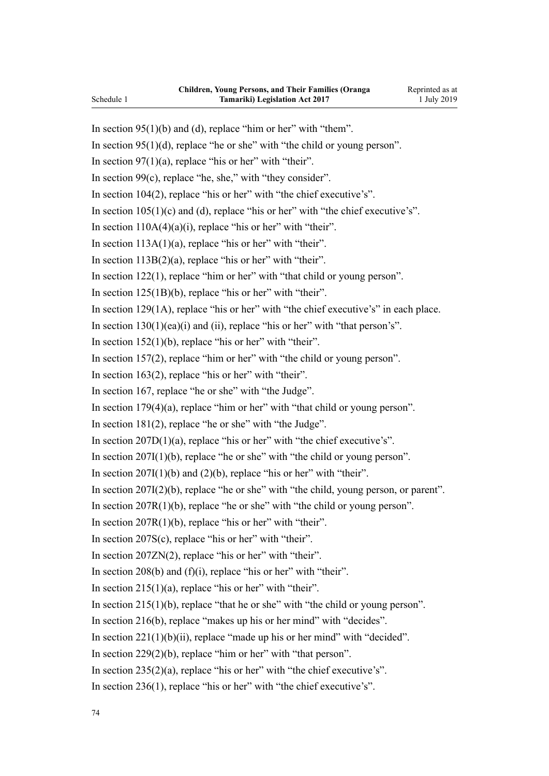In section  $95(1)(b)$  and (d), replace "him or her" with "them". In section  $95(1)(d)$ , replace "he or she" with "the child or young person". In section  $97(1)(a)$ , replace "his or her" with "their". In section  $99(c)$ , replace "he, she," with "they consider". In [section 104\(2\),](http://legislation.govt.nz/pdflink.aspx?id=DLM150427) replace "his or her" with "the chief executive's". In section  $105(1)(c)$  and (d), replace "his or her" with "the chief executive's". In section  $110A(4)(a)(i)$ , replace "his or her" with "their". In section  $113A(1)(a)$ , replace "his or her" with "their". In section  $113B(2)(a)$ , replace "his or her" with "their". In [section 122\(1\),](http://legislation.govt.nz/pdflink.aspx?id=DLM150481) replace "him or her" with "that child or young person". In [section 125\(1B\)\(b\),](http://legislation.govt.nz/pdflink.aspx?id=DLM150486) replace "his or her" with "their". In [section 129\(1A\)](http://legislation.govt.nz/pdflink.aspx?id=DLM151004), replace "his or her" with "the chief executive's" in each place. In section  $130(1)(ea)(i)$  and (ii), replace "his or her" with "that person's". In section  $152(1)(b)$ , replace "his or her" with "their". In [section 157\(2\),](http://legislation.govt.nz/pdflink.aspx?id=DLM151074) replace "him or her" with "the child or young person". In section  $163(2)$ , replace "his or her" with "their". In [section 167](http://legislation.govt.nz/pdflink.aspx?id=DLM151098), replace "he or she" with "the Judge". In section  $179(4)(a)$ , replace "him or her" with "that child or young person". In [section 181\(2\),](http://legislation.govt.nz/pdflink.aspx?id=DLM151622) replace "he or she" with "the Judge". In section  $207D(1)(a)$ , replace "his or her" with "the chief executive's". In section  $207I(1)(b)$ , replace "he or she" with "the child or young person". In section  $207I(1)(b)$  and  $(2)(b)$ , replace "his or her" with "their". In [section 207I\(2\)\(b\)](http://legislation.govt.nz/pdflink.aspx?id=DLM152119), replace "he or she" with "the child, young person, or parent". In [section 207R\(1\)\(b\),](http://legislation.govt.nz/pdflink.aspx?id=DLM152141) replace "he or she" with "the child or young person". In section  $207R(1)(b)$ , replace "his or her" with "their". In section  $207S(c)$ , replace "his or her" with "their". In [section 207ZN\(2\)](http://legislation.govt.nz/pdflink.aspx?id=DLM152187), replace "his or her" with "their". In section 208(b) and  $(f)(i)$ , replace "his or her" with "their". In section  $215(1)(a)$ , replace "his or her" with "their". In section  $215(1)(b)$ , replace "that he or she" with "the child or young person". In [section 216\(b\),](http://legislation.govt.nz/pdflink.aspx?id=DLM152910) replace "makes up his or her mind" with "decides". In section  $221(1)(b)(ii)$ , replace "made up his or her mind" with "decided". In [section 229\(2\)\(b\)](http://legislation.govt.nz/pdflink.aspx?id=DLM152930), replace "him or her" with "that person". In [section 235\(2\)\(a\),](http://legislation.govt.nz/pdflink.aspx?id=DLM152943) replace "his or her" with "the chief executive's". In [section 236\(1\),](http://legislation.govt.nz/pdflink.aspx?id=DLM152945) replace "his or her" with "the chief executive's". Schedule 1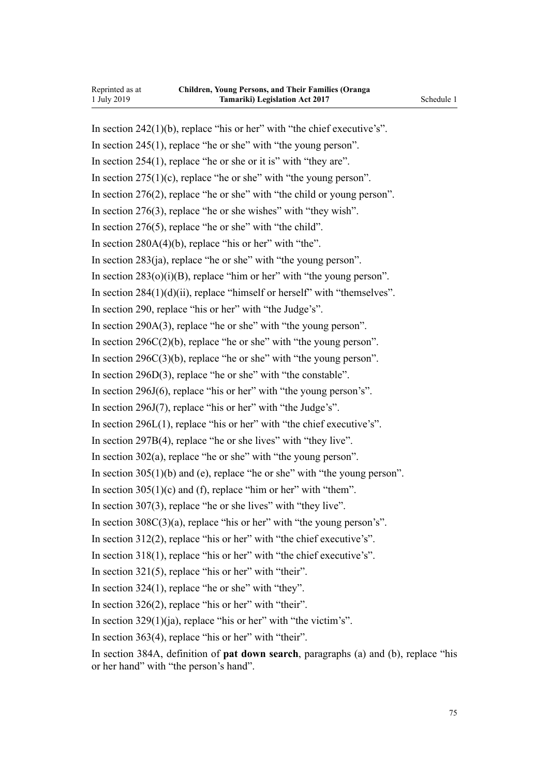In section  $242(1)(b)$ , replace "his or her" with "the chief executive's". In [section 245\(1\),](http://legislation.govt.nz/pdflink.aspx?id=DLM152969) replace "he or she" with "the young person". In [section 254\(1\),](http://legislation.govt.nz/pdflink.aspx?id=DLM152994) replace "he or she or it is" with "they are". In section  $275(1)(c)$ , replace "he or she" with "the young person". In [section 276\(2\),](http://legislation.govt.nz/pdflink.aspx?id=DLM153423) replace "he or she" with "the child or young person". In [section 276\(3\),](http://legislation.govt.nz/pdflink.aspx?id=DLM153423) replace "he or she wishes" with "they wish". In [section 276\(5\),](http://legislation.govt.nz/pdflink.aspx?id=DLM153423) replace "he or she" with "the child". In section  $280A(4)(b)$ , replace "his or her" with "the". In [section 283\(ja\)](http://legislation.govt.nz/pdflink.aspx?id=DLM153436), replace "he or she" with "the young person". In section  $283(o)(i)(B)$ , replace "him or her" with "the young person". In section  $284(1)(d)(ii)$ , replace "himself or herself" with "themselves". In [section 290](http://legislation.govt.nz/pdflink.aspx?id=DLM153451), replace "his or her" with "the Judge's". In [section 290A\(3\)](http://legislation.govt.nz/pdflink.aspx?id=DLM3275435), replace "he or she" with "the young person". In section  $296C(2)(b)$ , replace "he or she" with "the young person". In [section 296C\(3\)\(b\),](http://legislation.govt.nz/pdflink.aspx?id=DLM3275480) replace "he or she" with "the young person". In [section 296D\(3\)](http://legislation.govt.nz/pdflink.aspx?id=DLM3275482), replace "he or she" with "the constable". In [section 296J\(6\)](http://legislation.govt.nz/pdflink.aspx?id=DLM3275491), replace "his or her" with "the young person's". In [section 296J\(7\)](http://legislation.govt.nz/pdflink.aspx?id=DLM3275491), replace "his or her" with "the Judge's". In [section 296L\(1\),](http://legislation.govt.nz/pdflink.aspx?id=DLM3275497) replace "his or her" with "the chief executive's". In [section 297B\(4\)](http://legislation.govt.nz/pdflink.aspx?id=DLM3276660), replace "he or she lives" with "they live". In [section 302\(a\)](http://legislation.govt.nz/pdflink.aspx?id=DLM153483), replace "he or she" with "the young person". In [section 305\(1\)\(b\) and \(e\)](http://legislation.govt.nz/pdflink.aspx?id=DLM153493), replace "he or she" with "the young person". In section  $305(1)(c)$  and (f), replace "him or her" with "them". In [section 307\(3\),](http://legislation.govt.nz/pdflink.aspx?id=DLM153497) replace "he or she lives" with "they live". In section  $308C(3)(a)$ , replace "his or her" with "the young person's". In [section 312\(2\),](http://legislation.govt.nz/pdflink.aspx?id=DLM154007) replace "his or her" with "the chief executive's". In [section 318\(1\),](http://legislation.govt.nz/pdflink.aspx?id=DLM154020) replace "his or her" with "the chief executive's". In [section 321\(5\),](http://legislation.govt.nz/pdflink.aspx?id=DLM154029) replace "his or her" with "their". In [section 324\(1\),](http://legislation.govt.nz/pdflink.aspx?id=DLM154036) replace "he or she" with "they". In [section 326\(2\),](http://legislation.govt.nz/pdflink.aspx?id=DLM154039) replace "his or her" with "their". In [section 329\(1\)\(ja\),](http://legislation.govt.nz/pdflink.aspx?id=DLM154045) replace "his or her" with "the victim's". In [section 363\(4\),](http://legislation.govt.nz/pdflink.aspx?id=DLM154316) replace "his or her" with "their".

In [section 384A](http://legislation.govt.nz/pdflink.aspx?id=DLM154371), definition of **pat down search**, paragraphs (a) and (b), replace "his or her hand" with "the person's hand".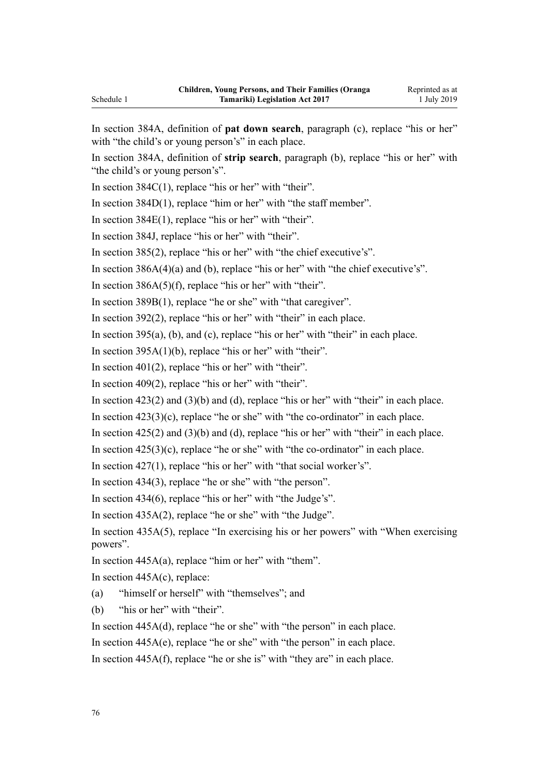In [section 384A,](http://legislation.govt.nz/pdflink.aspx?id=DLM154371) definition of **pat down search**, paragraph (c), replace "his or her" with "the child's or young person's" in each place.

In section 384A, definition of **strip search**, paragraph (b), replace "his or her" with "the child's or young person's".

In section  $384C(1)$ , replace "his or her" with "their".

In [section 384D\(1\)](http://legislation.govt.nz/pdflink.aspx?id=DLM154397), replace "him or her" with "the staff member".

In [section 384E\(1\),](http://legislation.govt.nz/pdflink.aspx?id=DLM154399) replace "his or her" with "their".

In [section 384J,](http://legislation.govt.nz/pdflink.aspx?id=DLM154509) replace "his or her" with "their".

In [section 385\(2\),](http://legislation.govt.nz/pdflink.aspx?id=DLM154514) replace "his or her" with "the chief executive's".

In section  $386A(4)(a)$  and (b), replace "his or her" with "the chief executive's".

In section  $386A(5)(f)$ , replace "his or her" with "their".

In [section 389B\(1\)](http://legislation.govt.nz/pdflink.aspx?id=DLM6892489), replace "he or she" with "that caregiver".

In [section 392\(2\),](http://legislation.govt.nz/pdflink.aspx?id=DLM154534) replace "his or her" with "their" in each place.

In section  $395(a)$ , (b), and (c), replace "his or her" with "their" in each place.

In [section 395A\(1\)\(b\)](http://legislation.govt.nz/pdflink.aspx?id=DLM6361836), replace "his or her" with "their".

In section  $401(2)$ , replace "his or her" with "their".

In [section 409\(2\),](http://legislation.govt.nz/pdflink.aspx?id=DLM154586) replace "his or her" with "their".

In section  $423(2)$  and  $(3)(b)$  and  $(d)$ , replace "his or her" with "their" in each place.

In section  $423(3)(c)$ , replace "he or she" with "the co-ordinator" in each place.

In section  $425(2)$  and  $(3)(b)$  and  $(d)$ , replace "his or her" with "their" in each place.

In section  $425(3)(c)$ , replace "he or she" with "the co-ordinator" in each place.

In [section 427\(1\),](http://legislation.govt.nz/pdflink.aspx?id=DLM155033) replace "his or her" with "that social worker's".

In [section 434\(3\),](http://legislation.govt.nz/pdflink.aspx?id=DLM155046) replace "he or she" with "the person".

In [section 434\(6\),](http://legislation.govt.nz/pdflink.aspx?id=DLM155046) replace "his or her" with "the Judge's".

In [section 435A\(2\)](http://legislation.govt.nz/pdflink.aspx?id=DLM155049), replace "he or she" with "the Judge".

In [section 435A\(5\)](http://legislation.govt.nz/pdflink.aspx?id=DLM155049), replace "In exercising his or her powers" with "When exercising powers".

In [section 445A\(a\)](http://legislation.govt.nz/pdflink.aspx?id=DLM155064), replace "him or her" with "them".

In section  $445A(c)$ , replace:

(a) "himself or herself" with "themselves"; and

(b) "his or her" with "their".

In [section 445A\(d\)](http://legislation.govt.nz/pdflink.aspx?id=DLM155064), replace "he or she" with "the person" in each place.

In [section 445A\(e\)](http://legislation.govt.nz/pdflink.aspx?id=DLM155064), replace "he or she" with "the person" in each place.

In [section 445A\(f\)](http://legislation.govt.nz/pdflink.aspx?id=DLM155064), replace "he or she is" with "they are" in each place.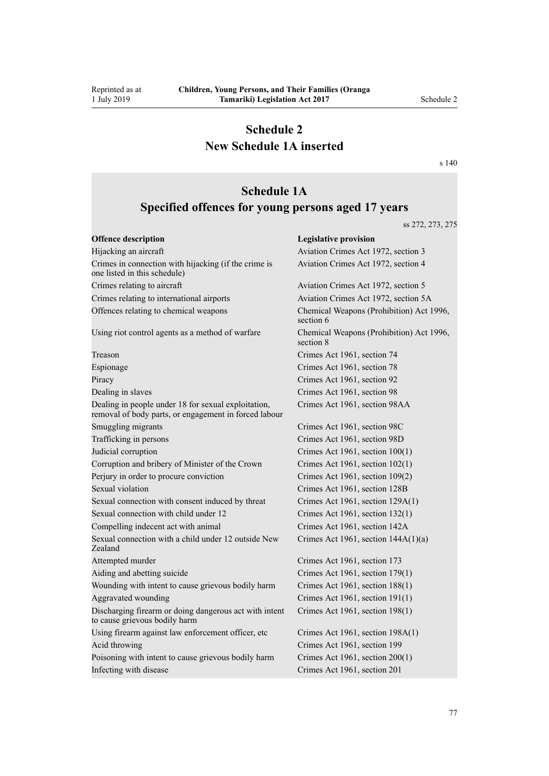Reprinted as at 1 July 2019

## **Schedule 2 New Schedule 1A inserted**

[s 140](#page-69-0)

## **Schedule 1A**

## **Specified offences for young persons aged 17 years**

ss 272, 273, 275

| <b>Offence description</b>                                                                                   | <b>Legislative provision</b>                          |  |
|--------------------------------------------------------------------------------------------------------------|-------------------------------------------------------|--|
| Hijacking an aircraft                                                                                        | Aviation Crimes Act 1972, section 3                   |  |
| Crimes in connection with hijacking (if the crime is<br>one listed in this schedule)                         | Aviation Crimes Act 1972, section 4                   |  |
| Crimes relating to aircraft                                                                                  | Aviation Crimes Act 1972, section 5                   |  |
| Crimes relating to international airports                                                                    | Aviation Crimes Act 1972, section 5A                  |  |
| Offences relating to chemical weapons                                                                        | Chemical Weapons (Prohibition) Act 1996,<br>section 6 |  |
| Using riot control agents as a method of warfare                                                             | Chemical Weapons (Prohibition) Act 1996,<br>section 8 |  |
| Treason                                                                                                      | Crimes Act 1961, section 74                           |  |
| Espionage                                                                                                    | Crimes Act 1961, section 78                           |  |
| Piracy                                                                                                       | Crimes Act 1961, section 92                           |  |
| Dealing in slaves                                                                                            | Crimes Act 1961, section 98                           |  |
| Dealing in people under 18 for sexual exploitation,<br>removal of body parts, or engagement in forced labour | Crimes Act 1961, section 98AA                         |  |
| Smuggling migrants                                                                                           | Crimes Act 1961, section 98C                          |  |
| Trafficking in persons                                                                                       | Crimes Act 1961, section 98D                          |  |
| Judicial corruption                                                                                          | Crimes Act 1961, section 100(1)                       |  |
| Corruption and bribery of Minister of the Crown                                                              | Crimes Act 1961, section 102(1)                       |  |
| Perjury in order to procure conviction                                                                       | Crimes Act 1961, section 109(2)                       |  |
| Sexual violation                                                                                             | Crimes Act 1961, section 128B                         |  |
| Sexual connection with consent induced by threat                                                             | Crimes Act 1961, section 129A(1)                      |  |
| Sexual connection with child under 12                                                                        | Crimes Act 1961, section 132(1)                       |  |
| Compelling indecent act with animal                                                                          | Crimes Act 1961, section 142A                         |  |
| Sexual connection with a child under 12 outside New<br>Zealand                                               | Crimes Act 1961, section $144A(1)(a)$                 |  |
| Attempted murder                                                                                             | Crimes Act 1961, section 173                          |  |
| Aiding and abetting suicide                                                                                  | Crimes Act 1961, section 179(1)                       |  |
| Wounding with intent to cause grievous bodily harm                                                           | Crimes Act 1961, section 188(1)                       |  |
| Aggravated wounding                                                                                          | Crimes Act 1961, section 191(1)                       |  |
| Discharging firearm or doing dangerous act with intent<br>to cause grievous bodily harm                      | Crimes Act 1961, section 198(1)                       |  |
| Using firearm against law enforcement officer, etc                                                           | Crimes Act 1961, section 198A(1)                      |  |
| Acid throwing                                                                                                | Crimes Act 1961, section 199                          |  |
| Poisoning with intent to cause grievous bodily harm                                                          | Crimes Act 1961, section 200(1)                       |  |
| Infecting with disease                                                                                       | Crimes Act 1961, section 201                          |  |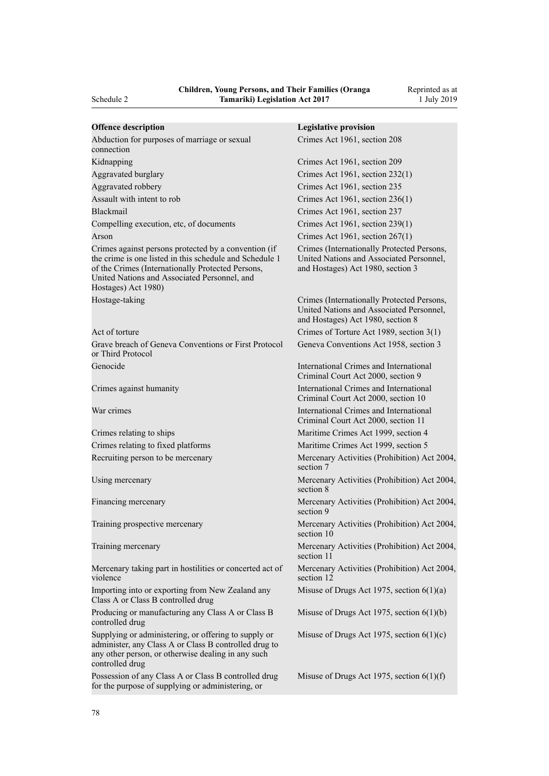| <b>Offence description</b>                                                                                                                                                                                                                  | <b>Legislative provision</b>                                                                                                |  |
|---------------------------------------------------------------------------------------------------------------------------------------------------------------------------------------------------------------------------------------------|-----------------------------------------------------------------------------------------------------------------------------|--|
| Abduction for purposes of marriage or sexual<br>connection                                                                                                                                                                                  | Crimes Act 1961, section 208                                                                                                |  |
| Kidnapping                                                                                                                                                                                                                                  | Crimes Act 1961, section 209                                                                                                |  |
| Aggravated burglary                                                                                                                                                                                                                         | Crimes Act 1961, section 232(1)                                                                                             |  |
| Aggravated robbery                                                                                                                                                                                                                          | Crimes Act 1961, section 235                                                                                                |  |
| Assault with intent to rob                                                                                                                                                                                                                  | Crimes Act 1961, section 236(1)                                                                                             |  |
| <b>Blackmail</b>                                                                                                                                                                                                                            | Crimes Act 1961, section 237                                                                                                |  |
| Compelling execution, etc, of documents                                                                                                                                                                                                     | Crimes Act 1961, section 239(1)                                                                                             |  |
| Arson                                                                                                                                                                                                                                       | Crimes Act 1961, section 267(1)                                                                                             |  |
| Crimes against persons protected by a convention (if<br>the crime is one listed in this schedule and Schedule 1<br>of the Crimes (Internationally Protected Persons,<br>United Nations and Associated Personnel, and<br>Hostages) Act 1980) | Crimes (Internationally Protected Persons,<br>United Nations and Associated Personnel,<br>and Hostages) Act 1980, section 3 |  |
| Hostage-taking                                                                                                                                                                                                                              | Crimes (Internationally Protected Persons,<br>United Nations and Associated Personnel,<br>and Hostages) Act 1980, section 8 |  |
| Act of torture                                                                                                                                                                                                                              | Crimes of Torture Act 1989, section 3(1)                                                                                    |  |
| Grave breach of Geneva Conventions or First Protocol<br>or Third Protocol                                                                                                                                                                   | Geneva Conventions Act 1958, section 3                                                                                      |  |
| Genocide                                                                                                                                                                                                                                    | International Crimes and International<br>Criminal Court Act 2000, section 9                                                |  |
| Crimes against humanity                                                                                                                                                                                                                     | International Crimes and International<br>Criminal Court Act 2000, section 10                                               |  |
| War crimes                                                                                                                                                                                                                                  | International Crimes and International<br>Criminal Court Act 2000, section 11                                               |  |
| Crimes relating to ships                                                                                                                                                                                                                    | Maritime Crimes Act 1999, section 4                                                                                         |  |
| Crimes relating to fixed platforms                                                                                                                                                                                                          | Maritime Crimes Act 1999, section 5                                                                                         |  |
| Recruiting person to be mercenary                                                                                                                                                                                                           | Mercenary Activities (Prohibition) Act 2004.<br>section 7                                                                   |  |
| Using mercenary                                                                                                                                                                                                                             | Mercenary Activities (Prohibition) Act 2004,<br>section 8                                                                   |  |
| Financing mercenary                                                                                                                                                                                                                         | Mercenary Activities (Prohibition) Act 2004,<br>section 9                                                                   |  |
| Training prospective mercenary                                                                                                                                                                                                              | Mercenary Activities (Prohibition) Act 2004,<br>section 10                                                                  |  |
| Training mercenary                                                                                                                                                                                                                          | Mercenary Activities (Prohibition) Act 2004,<br>section 11                                                                  |  |
| Mercenary taking part in hostilities or concerted act of<br>violence                                                                                                                                                                        | Mercenary Activities (Prohibition) Act 2004,<br>section 12                                                                  |  |
| Importing into or exporting from New Zealand any<br>Class A or Class B controlled drug                                                                                                                                                      | Misuse of Drugs Act 1975, section $6(1)(a)$                                                                                 |  |
| Producing or manufacturing any Class A or Class B<br>controlled drug                                                                                                                                                                        | Misuse of Drugs Act 1975, section $6(1)(b)$                                                                                 |  |
| Supplying or administering, or offering to supply or<br>administer, any Class A or Class B controlled drug to<br>any other person, or otherwise dealing in any such<br>controlled drug                                                      | Misuse of Drugs Act 1975, section $6(1)(c)$                                                                                 |  |
| Possession of any Class A or Class B controlled drug<br>for the purpose of supplying or administering, or                                                                                                                                   | Misuse of Drugs Act 1975, section $6(1)(f)$                                                                                 |  |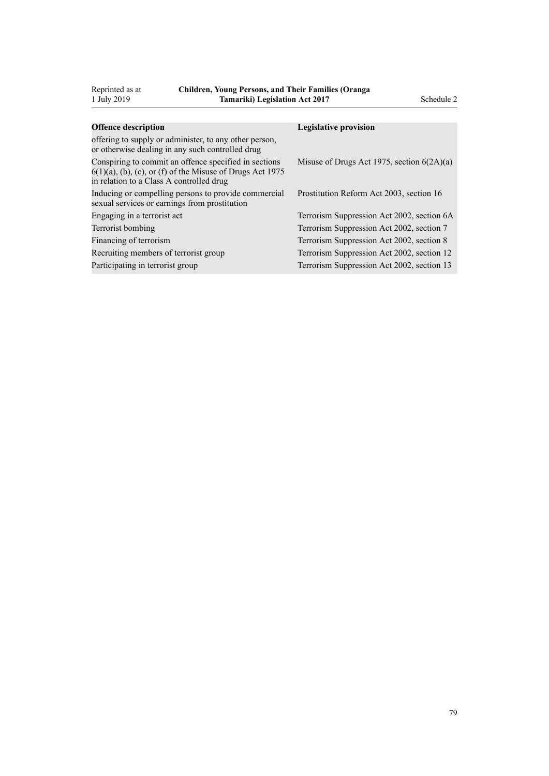| 1 July 2019                                                                                                                                                       | <b>Tamariki</b> ) Legislation Act 2017 |                                              | Schedule 2 |
|-------------------------------------------------------------------------------------------------------------------------------------------------------------------|----------------------------------------|----------------------------------------------|------------|
|                                                                                                                                                                   |                                        |                                              |            |
| <b>Offence description</b>                                                                                                                                        |                                        | <b>Legislative provision</b>                 |            |
| offering to supply or administer, to any other person,<br>or otherwise dealing in any such controlled drug                                                        |                                        |                                              |            |
| Conspiring to commit an offence specified in sections<br>$6(1)(a)$ , (b), (c), or (f) of the Misuse of Drugs Act 1975<br>in relation to a Class A controlled drug |                                        | Misuse of Drugs Act 1975, section $6(2A)(a)$ |            |
| Inducing or compelling persons to provide commercial<br>sexual services or earnings from prostitution                                                             |                                        | Prostitution Reform Act 2003, section 16     |            |
| Engaging in a terrorist act                                                                                                                                       |                                        | Terrorism Suppression Act 2002, section 6A   |            |
| Terrorist bombing                                                                                                                                                 |                                        | Terrorism Suppression Act 2002, section 7    |            |
| Financing of terrorism                                                                                                                                            |                                        | Terrorism Suppression Act 2002, section 8    |            |
| Recruiting members of terrorist group                                                                                                                             |                                        | Terrorism Suppression Act 2002, section 12   |            |
| Participating in terrorist group                                                                                                                                  |                                        | Terrorism Suppression Act 2002, section 13   |            |

Reprinted as at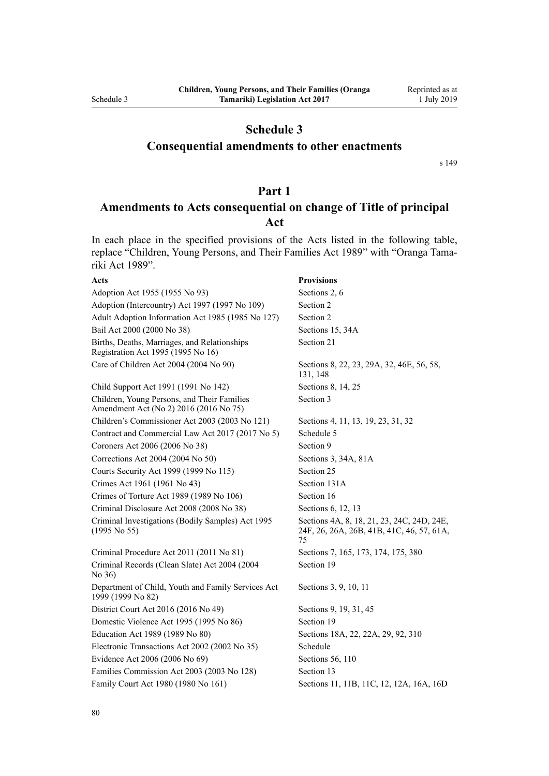## **Schedule 3**

## **Consequential amendments to other enactments**

[s 149](#page-71-0)

## **Part 1**

## **Amendments to Acts consequential on change of Title of principal Act**

In each place in the specified provisions of the Acts listed in the following table, replace "Children, Young Persons, and Their Families Act 1989" with "Oranga Tamariki Act 1989".

#### **Acts Provisions**

| Adoption Act 1955 (1955 No 93)                                                        | Sections 2, 6                                                                                 |
|---------------------------------------------------------------------------------------|-----------------------------------------------------------------------------------------------|
| Adoption (Intercountry) Act 1997 (1997 No 109)                                        | Section 2                                                                                     |
|                                                                                       |                                                                                               |
| Adult Adoption Information Act 1985 (1985 No 127)                                     | Section 2                                                                                     |
| Bail Act 2000 (2000 No 38)                                                            | Sections 15, 34A                                                                              |
| Births, Deaths, Marriages, and Relationships<br>Registration Act 1995 (1995 No 16)    | Section 21                                                                                    |
| Care of Children Act 2004 (2004 No 90)                                                | Sections 8, 22, 23, 29A, 32, 46E, 56, 58,<br>131, 148                                         |
| Child Support Act 1991 (1991 No 142)                                                  | Sections 8, 14, 25                                                                            |
| Children, Young Persons, and Their Families<br>Amendment Act (No 2) 2016 (2016 No 75) | Section 3                                                                                     |
| Children's Commissioner Act 2003 (2003 No 121)                                        | Sections 4, 11, 13, 19, 23, 31, 32                                                            |
| Contract and Commercial Law Act 2017 (2017 No 5)                                      | Schedule 5                                                                                    |
| Coroners Act 2006 (2006 No 38)                                                        | Section 9                                                                                     |
| Corrections Act 2004 (2004 No 50)                                                     | Sections 3, 34A, 81A                                                                          |
| Courts Security Act 1999 (1999 No 115)                                                | Section 25                                                                                    |
| Crimes Act 1961 (1961 No 43)                                                          | Section 131A                                                                                  |
| Crimes of Torture Act 1989 (1989 No 106)                                              | Section 16                                                                                    |
| Criminal Disclosure Act 2008 (2008 No 38)                                             | Sections 6, 12, 13                                                                            |
| Criminal Investigations (Bodily Samples) Act 1995<br>$(1995$ No 55)                   | Sections 4A, 8, 18, 21, 23, 24C, 24D, 24E,<br>24F, 26, 26A, 26B, 41B, 41C, 46, 57, 61A,<br>75 |
| Criminal Procedure Act 2011 (2011 No 81)                                              | Sections 7, 165, 173, 174, 175, 380                                                           |
| Criminal Records (Clean Slate) Act 2004 (2004<br>No 36)                               | Section 19                                                                                    |
| Department of Child, Youth and Family Services Act<br>1999 (1999 No 82)               | Sections 3, 9, 10, 11                                                                         |
| District Court Act 2016 (2016 No 49)                                                  | Sections 9, 19, 31, 45                                                                        |
| Domestic Violence Act 1995 (1995 No 86)                                               | Section 19                                                                                    |
| Education Act 1989 (1989 No 80)                                                       | Sections 18A, 22, 22A, 29, 92, 310                                                            |
| Electronic Transactions Act 2002 (2002 No 35)                                         | Schedule                                                                                      |
| Evidence Act 2006 (2006 No 69)                                                        | Sections 56, 110                                                                              |
| Families Commission Act 2003 (2003 No 128)                                            | Section 13                                                                                    |
| Family Court Act 1980 (1980 No 161)                                                   | Sections 11, 11B, 11C, 12, 12A, 16A, 16D                                                      |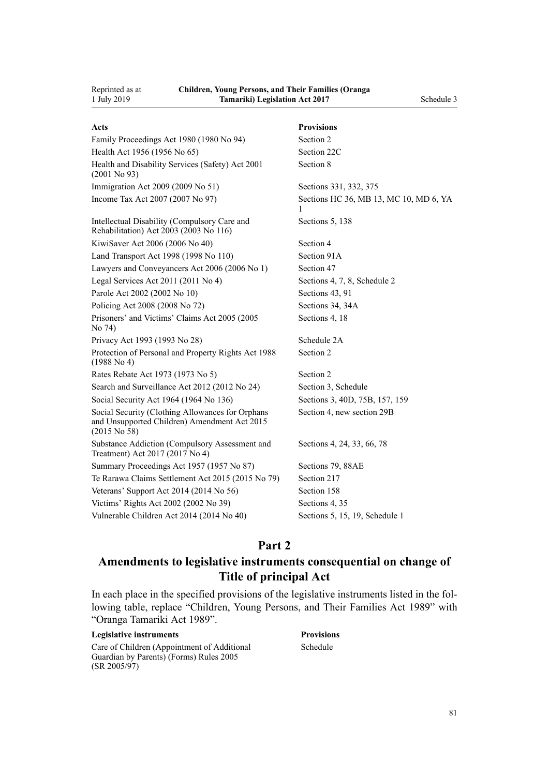| Acts                                                                                                             | <b>Provisions</b>                           |
|------------------------------------------------------------------------------------------------------------------|---------------------------------------------|
| Family Proceedings Act 1980 (1980 No 94)                                                                         | Section 2                                   |
| Health Act 1956 (1956 No 65)                                                                                     | Section 22C                                 |
| Health and Disability Services (Safety) Act 2001<br>$(2001$ No 93)                                               | Section 8                                   |
| Immigration Act 2009 (2009 No 51)                                                                                | Sections 331, 332, 375                      |
| Income Tax Act 2007 (2007 No 97)                                                                                 | Sections HC 36, MB 13, MC 10, MD 6, YA<br>1 |
| Intellectual Disability (Compulsory Care and<br>Rehabilitation) Act 2003 (2003 No 116)                           | Sections 5, 138                             |
| KiwiSaver Act 2006 (2006 No 40)                                                                                  | Section 4                                   |
| Land Transport Act 1998 (1998 No 110)                                                                            | Section 91A                                 |
| Lawyers and Conveyancers Act 2006 (2006 No 1)                                                                    | Section 47                                  |
| Legal Services Act 2011 (2011 No 4)                                                                              | Sections 4, 7, 8, Schedule 2                |
| Parole Act 2002 (2002 No 10)                                                                                     | Sections 43, 91                             |
| Policing Act 2008 (2008 No 72)                                                                                   | Sections 34, 34A                            |
| Prisoners' and Victims' Claims Act 2005 (2005)<br>No 74)                                                         | Sections 4, 18                              |
| Privacy Act 1993 (1993 No 28)                                                                                    | Schedule 2A                                 |
| Protection of Personal and Property Rights Act 1988<br>(1988 No 4)                                               | Section 2                                   |
| Rates Rebate Act 1973 (1973 No 5)                                                                                | Section 2                                   |
| Search and Surveillance Act 2012 (2012 No 24)                                                                    | Section 3, Schedule                         |
| Social Security Act 1964 (1964 No 136)                                                                           | Sections 3, 40D, 75B, 157, 159              |
| Social Security (Clothing Allowances for Orphans<br>and Unsupported Children) Amendment Act 2015<br>(2015 No 58) | Section 4, new section 29B                  |
| Substance Addiction (Compulsory Assessment and<br>Treatment) Act 2017 (2017 No 4)                                | Sections 4, 24, 33, 66, 78                  |
| Summary Proceedings Act 1957 (1957 No 87)                                                                        | Sections 79, 88AE                           |
| Te Rarawa Claims Settlement Act 2015 (2015 No 79)                                                                | Section 217                                 |
| Veterans' Support Act 2014 (2014 No 56)                                                                          | Section 158                                 |
| Victims' Rights Act 2002 (2002 No 39)                                                                            | Sections 4, 35                              |
| Vulnerable Children Act 2014 (2014 No 40)                                                                        | Sections 5, 15, 19, Schedule 1              |

## **Part 2**

## **Amendments to legislative instruments consequential on change of Title of principal Act**

In each place in the specified provisions of the legislative instruments listed in the following table, replace "Children, Young Persons, and Their Families Act 1989" with "Oranga Tamariki Act 1989".

#### **Legislative instruments Provisions**

[Care of Children \(Appointment of Additional](http://legislation.govt.nz/pdflink.aspx?id=DLM326020) [Guardian by Parents\) \(Forms\) Rules 2005](http://legislation.govt.nz/pdflink.aspx?id=DLM326020) (SR 2005/97)

[Schedule](http://legislation.govt.nz/pdflink.aspx?id=DLM326029)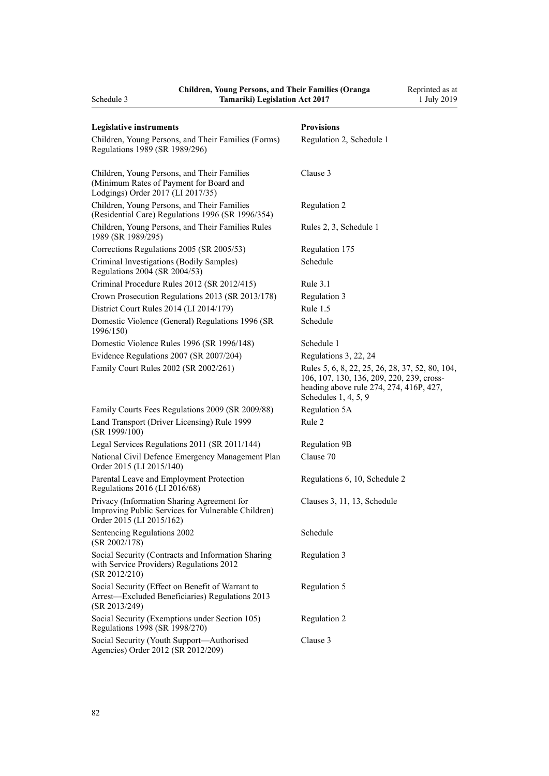| Schedule 3                                                                                                                   | <b>Tamariki) Legislation Act 2017</b> |                                                                                                                                                                   | 1 July 2019 |
|------------------------------------------------------------------------------------------------------------------------------|---------------------------------------|-------------------------------------------------------------------------------------------------------------------------------------------------------------------|-------------|
| <b>Legislative instruments</b>                                                                                               |                                       | <b>Provisions</b>                                                                                                                                                 |             |
| Children, Young Persons, and Their Families (Forms)<br>Regulations 1989 (SR 1989/296)                                        |                                       | Regulation 2, Schedule 1                                                                                                                                          |             |
| Children, Young Persons, and Their Families<br>(Minimum Rates of Payment for Board and<br>Lodgings) Order 2017 (LI 2017/35)  |                                       | Clause 3                                                                                                                                                          |             |
| Children, Young Persons, and Their Families<br>(Residential Care) Regulations 1996 (SR 1996/354)                             |                                       | Regulation 2                                                                                                                                                      |             |
| Children, Young Persons, and Their Families Rules<br>1989 (SR 1989/295)                                                      |                                       | Rules 2, 3, Schedule 1                                                                                                                                            |             |
| Corrections Regulations 2005 (SR 2005/53)                                                                                    |                                       | Regulation 175                                                                                                                                                    |             |
| Criminal Investigations (Bodily Samples)<br>Regulations 2004 (SR 2004/53)                                                    |                                       | Schedule                                                                                                                                                          |             |
| Criminal Procedure Rules 2012 (SR 2012/415)                                                                                  |                                       | Rule $3.1$                                                                                                                                                        |             |
| Crown Prosecution Regulations 2013 (SR 2013/178)                                                                             |                                       | Regulation 3                                                                                                                                                      |             |
| District Court Rules 2014 (LI 2014/179)                                                                                      |                                       | Rule $1.5$                                                                                                                                                        |             |
| Domestic Violence (General) Regulations 1996 (SR<br>1996/150)                                                                |                                       | Schedule                                                                                                                                                          |             |
| Domestic Violence Rules 1996 (SR 1996/148)                                                                                   |                                       | Schedule 1                                                                                                                                                        |             |
| Evidence Regulations 2007 (SR 2007/204)                                                                                      |                                       | Regulations 3, 22, 24                                                                                                                                             |             |
| Family Court Rules 2002 (SR 2002/261)                                                                                        |                                       | Rules 5, 6, 8, 22, 25, 26, 28, 37, 52, 80, 104,<br>106, 107, 130, 136, 209, 220, 239, cross-<br>heading above rule 274, 274, 416P, 427,<br>Schedules $1, 4, 5, 9$ |             |
| Family Courts Fees Regulations 2009 (SR 2009/88)                                                                             |                                       | Regulation 5A                                                                                                                                                     |             |
| Land Transport (Driver Licensing) Rule 1999<br>(SR 1999/100)                                                                 |                                       | Rule 2                                                                                                                                                            |             |
| Legal Services Regulations 2011 (SR 2011/144)                                                                                |                                       | <b>Regulation 9B</b>                                                                                                                                              |             |
| National Civil Defence Emergency Management Plan<br>Order 2015 (LI 2015/140)                                                 |                                       | Clause 70                                                                                                                                                         |             |
| Parental Leave and Employment Protection<br>Regulations 2016 (LI 2016/68)                                                    |                                       | Regulations 6, 10, Schedule 2                                                                                                                                     |             |
| Privacy (Information Sharing Agreement for<br>Improving Public Services for Vulnerable Children)<br>Order 2015 (LI 2015/162) |                                       | Clauses 3, 11, 13, Schedule                                                                                                                                       |             |
| Sentencing Regulations 2002<br>(SR 2002/178)                                                                                 |                                       | Schedule                                                                                                                                                          |             |
| Social Security (Contracts and Information Sharing<br>with Service Providers) Regulations 2012<br>(SR 2012/210)              |                                       | Regulation 3                                                                                                                                                      |             |
| Social Security (Effect on Benefit of Warrant to<br>Arrest-Excluded Beneficiaries) Regulations 2013<br>(SR 2013/249)         |                                       | Regulation 5                                                                                                                                                      |             |
| Social Security (Exemptions under Section 105)<br>Regulations 1998 (SR 1998/270)                                             |                                       | Regulation 2                                                                                                                                                      |             |
| Social Security (Youth Support-Authorised<br>Agencies) Order 2012 (SR 2012/209)                                              |                                       | Clause 3                                                                                                                                                          |             |

Reprinted as at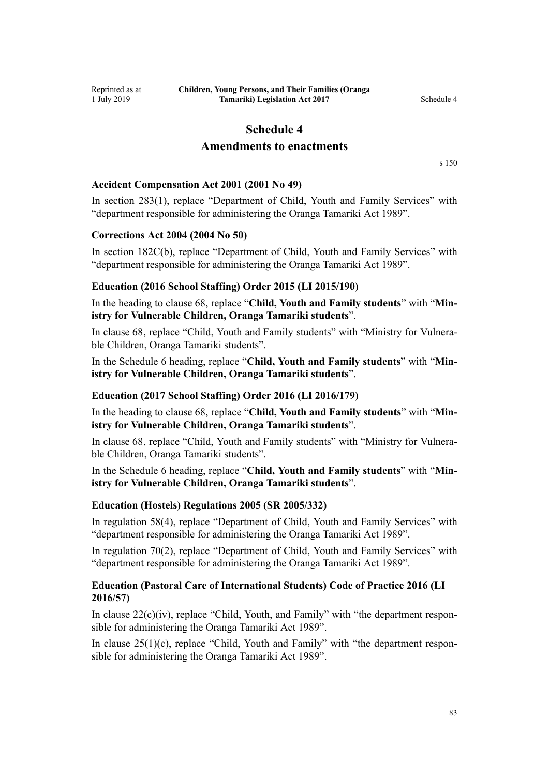# **Schedule 4**

## **Amendments to enactments**

[s 150](#page-71-0)

## **Accident Compensation Act 2001 (2001 No 49)**

In [section 283\(1\),](http://legislation.govt.nz/pdflink.aspx?id=DLM103406) replace "Department of Child, Youth and Family Services" with "department responsible for administering the Oranga Tamariki Act 1989".

### **Corrections Act 2004 (2004 No 50)**

In [section 182C\(b\)](http://legislation.govt.nz/pdflink.aspx?id=DLM296584), replace "Department of Child, Youth and Family Services" with "department responsible for administering the Oranga Tamariki Act 1989".

### **Education (2016 School Staffing) Order 2015 (LI 2015/190)**

In the heading to [clause 68,](http://legislation.govt.nz/pdflink.aspx?id=DLM6555510) replace "**Child, Youth and Family students**" with "**Ministry for Vulnerable Children, Oranga Tamariki students**".

In [clause 68,](http://legislation.govt.nz/pdflink.aspx?id=DLM6555510) replace "Child, Youth and Family students" with "Ministry for Vulnerable Children, Oranga Tamariki students".

In the [Schedule 6](http://legislation.govt.nz/pdflink.aspx?id=DLM6555544) heading, replace "**Child, Youth and Family students**" with "**Ministry for Vulnerable Children, Oranga Tamariki students**".

#### **Education (2017 School Staffing) Order 2016 (LI 2016/179)**

In the heading to [clause 68,](http://legislation.govt.nz/pdflink.aspx?id=DLM6914466) replace "**Child, Youth and Family students**" with "**Ministry for Vulnerable Children, Oranga Tamariki students**".

In [clause 68,](http://legislation.govt.nz/pdflink.aspx?id=DLM6914466) replace "Child, Youth and Family students" with "Ministry for Vulnerable Children, Oranga Tamariki students".

In the [Schedule 6](http://legislation.govt.nz/pdflink.aspx?id=DLM6915304) heading, replace "**Child, Youth and Family students**" with "**Ministry for Vulnerable Children, Oranga Tamariki students**".

## **Education (Hostels) Regulations 2005 (SR 2005/332)**

In [regulation 58\(4\),](http://legislation.govt.nz/pdflink.aspx?id=DLM362435) replace "Department of Child, Youth and Family Services" with "department responsible for administering the Oranga Tamariki Act 1989".

In [regulation 70\(2\),](http://legislation.govt.nz/pdflink.aspx?id=DLM362448) replace "Department of Child, Youth and Family Services" with "department responsible for administering the Oranga Tamariki Act 1989".

## **Education (Pastoral Care of International Students) Code of Practice 2016 (LI 2016/57)**

In clause  $22(c)(iv)$ , replace "Child, Youth, and Family" with "the department responsible for administering the Oranga Tamariki Act 1989".

In clause  $25(1)(c)$ , replace "Child, Youth and Family" with "the department responsible for administering the Oranga Tamariki Act 1989".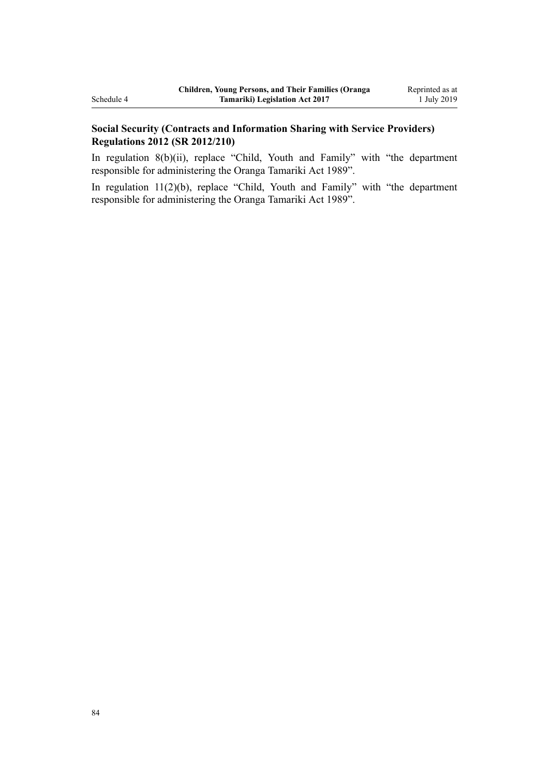## **Social Security (Contracts and Information Sharing with Service Providers) Regulations 2012 (SR 2012/210)**

In regulation  $8(b)(ii)$ , replace "Child, Youth and Family" with "the department" responsible for administering the Oranga Tamariki Act 1989".

In [regulation 11\(2\)\(b\)](http://legislation.govt.nz/pdflink.aspx?id=DLM4630940), replace "Child, Youth and Family" with "the department responsible for administering the Oranga Tamariki Act 1989".